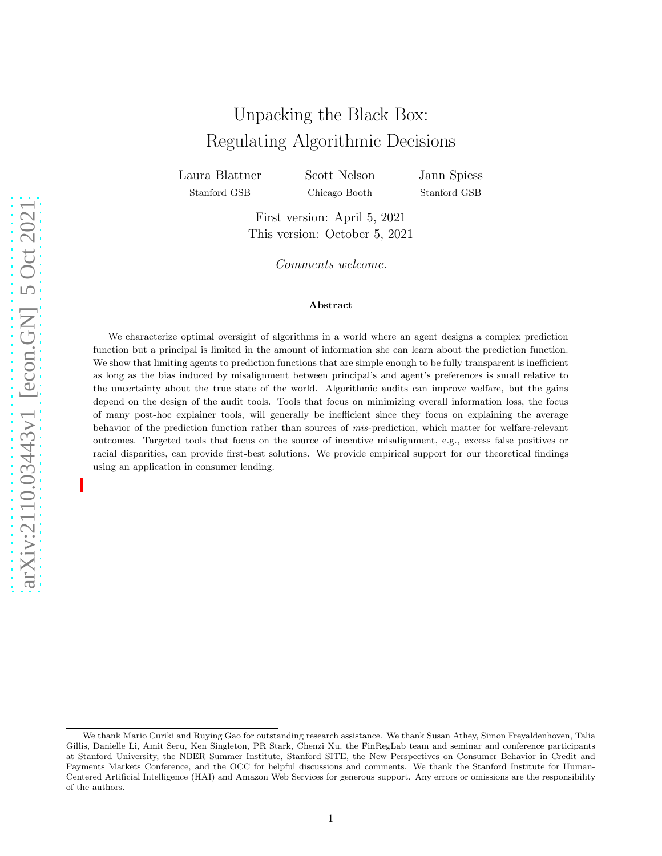# Unpacking the Black Box: Regulating Algorithmic Decisions

Laura Blattner Stanford GSB

Scott Nelson Chicago Booth

Jann Spiess Stanford GSB

First version: April 5, 2021 This version: October 5, 2021

Comments welcome.

#### Abstract

We characterize optimal oversight of algorithms in a world where an agent designs a complex prediction function but a principal is limited in the amount of information she can learn about the prediction function. We show that limiting agents to prediction functions that are simple enough to be fully transparent is inefficient as long as the bias induced by misalignment between principal's and agent's preferences is small relative to the uncertainty about the true state of the world. Algorithmic audits can improve welfare, but the gains depend on the design of the audit tools. Tools that focus on minimizing overall information loss, the focus of many post-hoc explainer tools, will generally be inefficient since they focus on explaining the average behavior of the prediction function rather than sources of mis-prediction, which matter for welfare-relevant outcomes. Targeted tools that focus on the source of incentive misalignment, e.g., excess false positives or racial disparities, can provide first-best solutions. We provide empirical support for our theoretical findings using an application in consumer lending.

We thank Mario Curiki and Ruying Gao for outstanding research assistance. We thank Susan Athey, Simon Freyaldenhoven, Talia Gillis, Danielle Li, Amit Seru, Ken Singleton, PR Stark, Chenzi Xu, the FinRegLab team and seminar and conference participants at Stanford University, the NBER Summer Institute, Stanford SITE, the New Perspectives on Consumer Behavior in Credit and Payments Markets Conference, and the OCC for helpful discussions and comments. We thank the Stanford Institute for Human-Centered Artificial Intelligence (HAI) and Amazon Web Services for generous support. Any errors or omissions are the responsibility of the authors.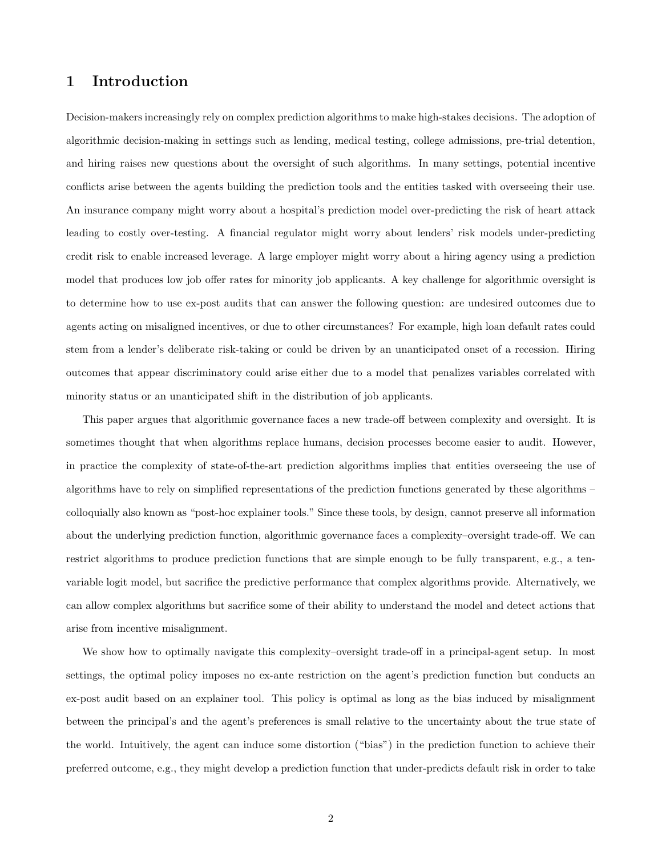### 1 Introduction

Decision-makers increasingly rely on complex prediction algorithms to make high-stakes decisions. The adoption of algorithmic decision-making in settings such as lending, medical testing, college admissions, pre-trial detention, and hiring raises new questions about the oversight of such algorithms. In many settings, potential incentive conflicts arise between the agents building the prediction tools and the entities tasked with overseeing their use. An insurance company might worry about a hospital's prediction model over-predicting the risk of heart attack leading to costly over-testing. A financial regulator might worry about lenders' risk models under-predicting credit risk to enable increased leverage. A large employer might worry about a hiring agency using a prediction model that produces low job offer rates for minority job applicants. A key challenge for algorithmic oversight is to determine how to use ex-post audits that can answer the following question: are undesired outcomes due to agents acting on misaligned incentives, or due to other circumstances? For example, high loan default rates could stem from a lender's deliberate risk-taking or could be driven by an unanticipated onset of a recession. Hiring outcomes that appear discriminatory could arise either due to a model that penalizes variables correlated with minority status or an unanticipated shift in the distribution of job applicants.

This paper argues that algorithmic governance faces a new trade-off between complexity and oversight. It is sometimes thought that when algorithms replace humans, decision processes become easier to audit. However, in practice the complexity of state-of-the-art prediction algorithms implies that entities overseeing the use of algorithms have to rely on simplified representations of the prediction functions generated by these algorithms – colloquially also known as "post-hoc explainer tools." Since these tools, by design, cannot preserve all information about the underlying prediction function, algorithmic governance faces a complexity–oversight trade-off. We can restrict algorithms to produce prediction functions that are simple enough to be fully transparent, e.g., a tenvariable logit model, but sacrifice the predictive performance that complex algorithms provide. Alternatively, we can allow complex algorithms but sacrifice some of their ability to understand the model and detect actions that arise from incentive misalignment.

We show how to optimally navigate this complexity–oversight trade-off in a principal-agent setup. In most settings, the optimal policy imposes no ex-ante restriction on the agent's prediction function but conducts an ex-post audit based on an explainer tool. This policy is optimal as long as the bias induced by misalignment between the principal's and the agent's preferences is small relative to the uncertainty about the true state of the world. Intuitively, the agent can induce some distortion ("bias") in the prediction function to achieve their preferred outcome, e.g., they might develop a prediction function that under-predicts default risk in order to take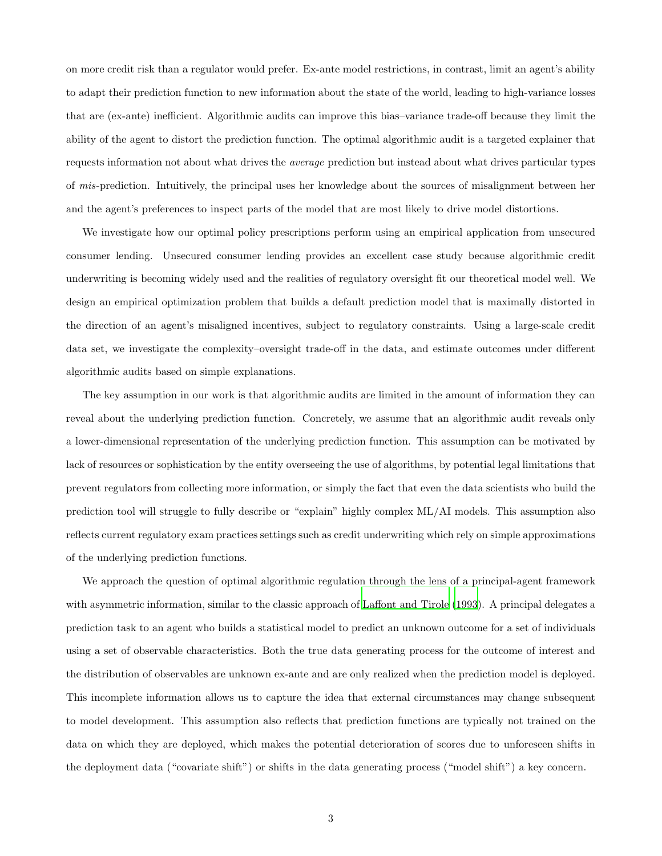on more credit risk than a regulator would prefer. Ex-ante model restrictions, in contrast, limit an agent's ability to adapt their prediction function to new information about the state of the world, leading to high-variance losses that are (ex-ante) inefficient. Algorithmic audits can improve this bias–variance trade-off because they limit the ability of the agent to distort the prediction function. The optimal algorithmic audit is a targeted explainer that requests information not about what drives the average prediction but instead about what drives particular types of mis-prediction. Intuitively, the principal uses her knowledge about the sources of misalignment between her and the agent's preferences to inspect parts of the model that are most likely to drive model distortions.

We investigate how our optimal policy prescriptions perform using an empirical application from unsecured consumer lending. Unsecured consumer lending provides an excellent case study because algorithmic credit underwriting is becoming widely used and the realities of regulatory oversight fit our theoretical model well. We design an empirical optimization problem that builds a default prediction model that is maximally distorted in the direction of an agent's misaligned incentives, subject to regulatory constraints. Using a large-scale credit data set, we investigate the complexity–oversight trade-off in the data, and estimate outcomes under different algorithmic audits based on simple explanations.

The key assumption in our work is that algorithmic audits are limited in the amount of information they can reveal about the underlying prediction function. Concretely, we assume that an algorithmic audit reveals only a lower-dimensional representation of the underlying prediction function. This assumption can be motivated by lack of resources or sophistication by the entity overseeing the use of algorithms, by potential legal limitations that prevent regulators from collecting more information, or simply the fact that even the data scientists who build the prediction tool will struggle to fully describe or "explain" highly complex ML/AI models. This assumption also reflects current regulatory exam practices settings such as credit underwriting which rely on simple approximations of the underlying prediction functions.

We approach the question of optimal algorithmic regulation through the lens of a principal-agent framework with asymmetric information, similar to the classic approach of [Laffont and Tirole \(1993\)](#page-42-0). A principal delegates a prediction task to an agent who builds a statistical model to predict an unknown outcome for a set of individuals using a set of observable characteristics. Both the true data generating process for the outcome of interest and the distribution of observables are unknown ex-ante and are only realized when the prediction model is deployed. This incomplete information allows us to capture the idea that external circumstances may change subsequent to model development. This assumption also reflects that prediction functions are typically not trained on the data on which they are deployed, which makes the potential deterioration of scores due to unforeseen shifts in the deployment data ("covariate shift") or shifts in the data generating process ("model shift") a key concern.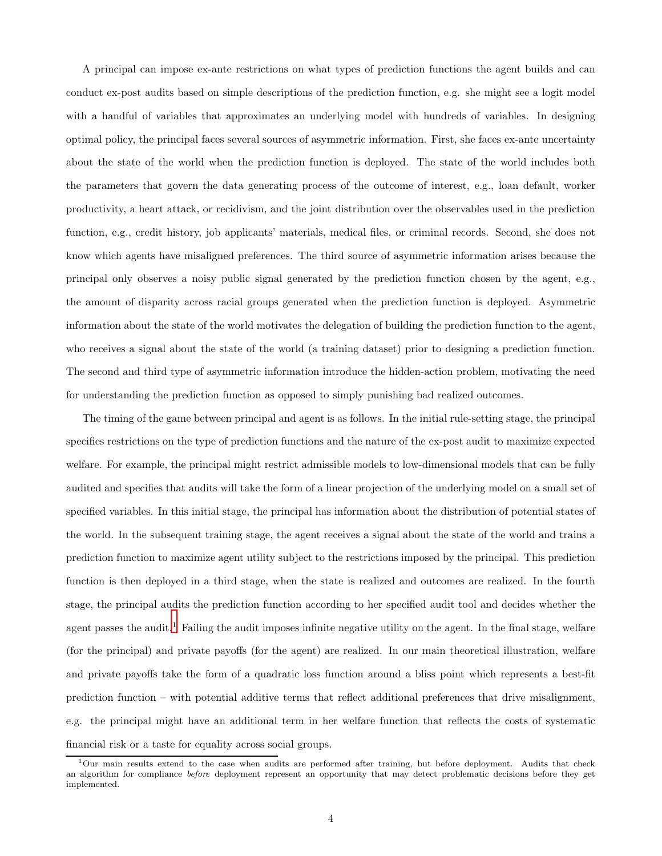A principal can impose ex-ante restrictions on what types of prediction functions the agent builds and can conduct ex-post audits based on simple descriptions of the prediction function, e.g. she might see a logit model with a handful of variables that approximates an underlying model with hundreds of variables. In designing optimal policy, the principal faces several sources of asymmetric information. First, she faces ex-ante uncertainty about the state of the world when the prediction function is deployed. The state of the world includes both the parameters that govern the data generating process of the outcome of interest, e.g., loan default, worker productivity, a heart attack, or recidivism, and the joint distribution over the observables used in the prediction function, e.g., credit history, job applicants' materials, medical files, or criminal records. Second, she does not know which agents have misaligned preferences. The third source of asymmetric information arises because the principal only observes a noisy public signal generated by the prediction function chosen by the agent, e.g., the amount of disparity across racial groups generated when the prediction function is deployed. Asymmetric information about the state of the world motivates the delegation of building the prediction function to the agent, who receives a signal about the state of the world (a training dataset) prior to designing a prediction function. The second and third type of asymmetric information introduce the hidden-action problem, motivating the need for understanding the prediction function as opposed to simply punishing bad realized outcomes.

The timing of the game between principal and agent is as follows. In the initial rule-setting stage, the principal specifies restrictions on the type of prediction functions and the nature of the ex-post audit to maximize expected welfare. For example, the principal might restrict admissible models to low-dimensional models that can be fully audited and specifies that audits will take the form of a linear projection of the underlying model on a small set of specified variables. In this initial stage, the principal has information about the distribution of potential states of the world. In the subsequent training stage, the agent receives a signal about the state of the world and trains a prediction function to maximize agent utility subject to the restrictions imposed by the principal. This prediction function is then deployed in a third stage, when the state is realized and outcomes are realized. In the fourth stage, the principal audits the prediction function according to her specified audit tool and decides whether the agent passes the audit.<sup>1</sup> Failing the audit imposes infinite negative utility on the agent. In the final stage, welfare (for the principal) and private payoffs (for the agent) are realized. In our main theoretical illustration, welfare and private payoffs take the form of a quadratic loss function around a bliss point which represents a best-fit prediction function – with potential additive terms that reflect additional preferences that drive misalignment, e.g. the principal might have an additional term in her welfare function that reflects the costs of systematic financial risk or a taste for equality across social groups.

<sup>&</sup>lt;sup>1</sup>Our main results extend to the case when audits are performed after training, but before deployment. Audits that check an algorithm for compliance before deployment represent an opportunity that may detect problematic decisions before they get implemented.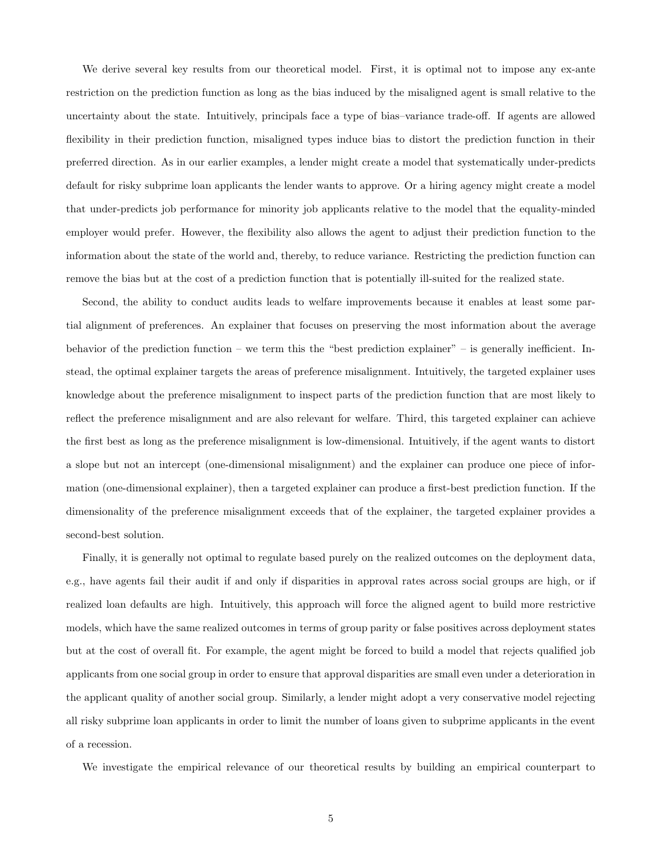We derive several key results from our theoretical model. First, it is optimal not to impose any ex-ante restriction on the prediction function as long as the bias induced by the misaligned agent is small relative to the uncertainty about the state. Intuitively, principals face a type of bias–variance trade-off. If agents are allowed flexibility in their prediction function, misaligned types induce bias to distort the prediction function in their preferred direction. As in our earlier examples, a lender might create a model that systematically under-predicts default for risky subprime loan applicants the lender wants to approve. Or a hiring agency might create a model that under-predicts job performance for minority job applicants relative to the model that the equality-minded employer would prefer. However, the flexibility also allows the agent to adjust their prediction function to the information about the state of the world and, thereby, to reduce variance. Restricting the prediction function can remove the bias but at the cost of a prediction function that is potentially ill-suited for the realized state.

Second, the ability to conduct audits leads to welfare improvements because it enables at least some partial alignment of preferences. An explainer that focuses on preserving the most information about the average behavior of the prediction function – we term this the "best prediction explainer" – is generally inefficient. Instead, the optimal explainer targets the areas of preference misalignment. Intuitively, the targeted explainer uses knowledge about the preference misalignment to inspect parts of the prediction function that are most likely to reflect the preference misalignment and are also relevant for welfare. Third, this targeted explainer can achieve the first best as long as the preference misalignment is low-dimensional. Intuitively, if the agent wants to distort a slope but not an intercept (one-dimensional misalignment) and the explainer can produce one piece of information (one-dimensional explainer), then a targeted explainer can produce a first-best prediction function. If the dimensionality of the preference misalignment exceeds that of the explainer, the targeted explainer provides a second-best solution.

Finally, it is generally not optimal to regulate based purely on the realized outcomes on the deployment data, e.g., have agents fail their audit if and only if disparities in approval rates across social groups are high, or if realized loan defaults are high. Intuitively, this approach will force the aligned agent to build more restrictive models, which have the same realized outcomes in terms of group parity or false positives across deployment states but at the cost of overall fit. For example, the agent might be forced to build a model that rejects qualified job applicants from one social group in order to ensure that approval disparities are small even under a deterioration in the applicant quality of another social group. Similarly, a lender might adopt a very conservative model rejecting all risky subprime loan applicants in order to limit the number of loans given to subprime applicants in the event of a recession.

We investigate the empirical relevance of our theoretical results by building an empirical counterpart to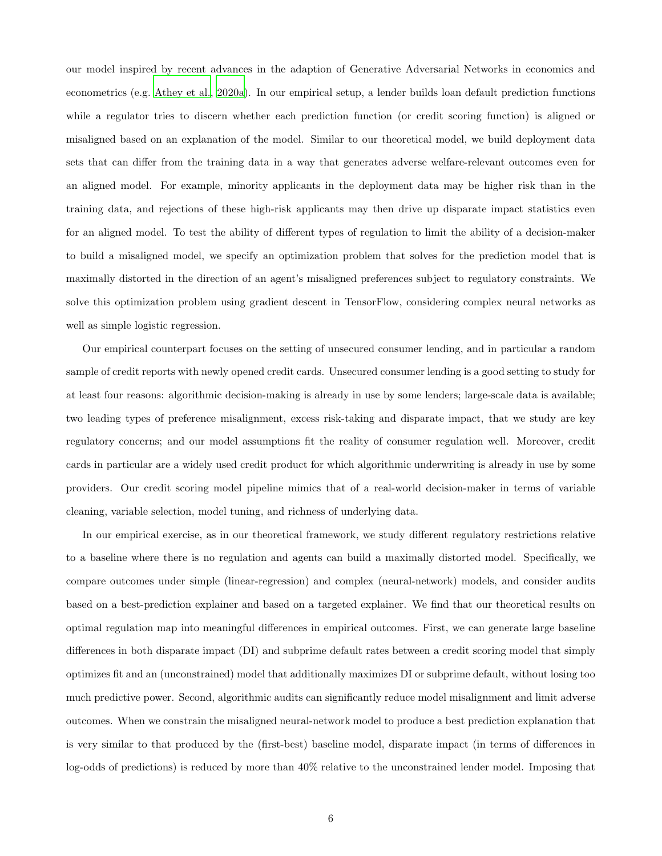our model inspired by recent advances in the adaption of Generative Adversarial Networks in economics and econometrics (e.g. [Athey et al., 2020a\)](#page-40-0). In our empirical setup, a lender builds loan default prediction functions while a regulator tries to discern whether each prediction function (or credit scoring function) is aligned or misaligned based on an explanation of the model. Similar to our theoretical model, we build deployment data sets that can differ from the training data in a way that generates adverse welfare-relevant outcomes even for an aligned model. For example, minority applicants in the deployment data may be higher risk than in the training data, and rejections of these high-risk applicants may then drive up disparate impact statistics even for an aligned model. To test the ability of different types of regulation to limit the ability of a decision-maker to build a misaligned model, we specify an optimization problem that solves for the prediction model that is maximally distorted in the direction of an agent's misaligned preferences subject to regulatory constraints. We solve this optimization problem using gradient descent in TensorFlow, considering complex neural networks as well as simple logistic regression.

Our empirical counterpart focuses on the setting of unsecured consumer lending, and in particular a random sample of credit reports with newly opened credit cards. Unsecured consumer lending is a good setting to study for at least four reasons: algorithmic decision-making is already in use by some lenders; large-scale data is available; two leading types of preference misalignment, excess risk-taking and disparate impact, that we study are key regulatory concerns; and our model assumptions fit the reality of consumer regulation well. Moreover, credit cards in particular are a widely used credit product for which algorithmic underwriting is already in use by some providers. Our credit scoring model pipeline mimics that of a real-world decision-maker in terms of variable cleaning, variable selection, model tuning, and richness of underlying data.

In our empirical exercise, as in our theoretical framework, we study different regulatory restrictions relative to a baseline where there is no regulation and agents can build a maximally distorted model. Specifically, we compare outcomes under simple (linear-regression) and complex (neural-network) models, and consider audits based on a best-prediction explainer and based on a targeted explainer. We find that our theoretical results on optimal regulation map into meaningful differences in empirical outcomes. First, we can generate large baseline differences in both disparate impact (DI) and subprime default rates between a credit scoring model that simply optimizes fit and an (unconstrained) model that additionally maximizes DI or subprime default, without losing too much predictive power. Second, algorithmic audits can significantly reduce model misalignment and limit adverse outcomes. When we constrain the misaligned neural-network model to produce a best prediction explanation that is very similar to that produced by the (first-best) baseline model, disparate impact (in terms of differences in log-odds of predictions) is reduced by more than 40% relative to the unconstrained lender model. Imposing that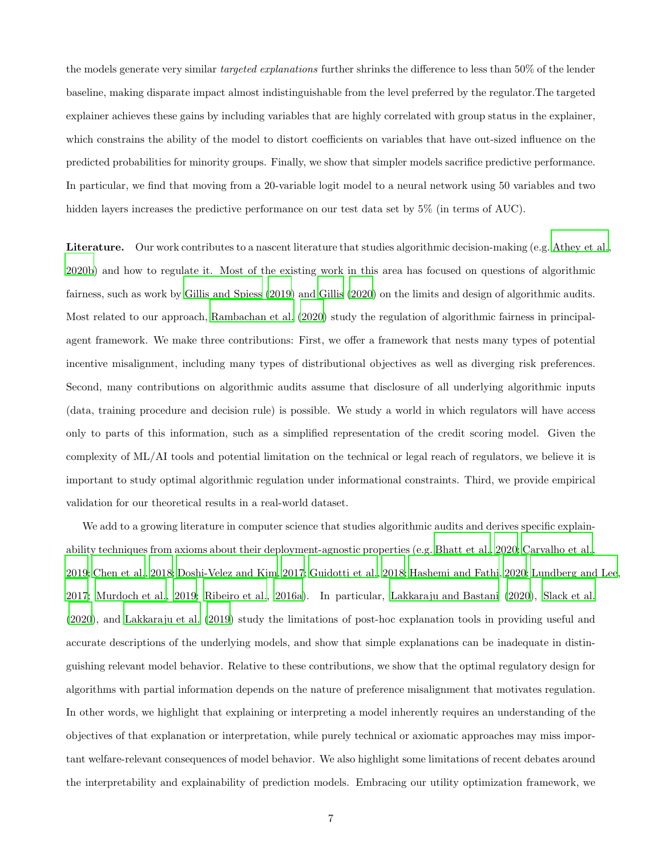the models generate very similar targeted explanations further shrinks the difference to less than 50% of the lender baseline, making disparate impact almost indistinguishable from the level preferred by the regulator.The targeted explainer achieves these gains by including variables that are highly correlated with group status in the explainer, which constrains the ability of the model to distort coefficients on variables that have out-sized influence on the predicted probabilities for minority groups. Finally, we show that simpler models sacrifice predictive performance. In particular, we find that moving from a 20-variable logit model to a neural network using 50 variables and two hidden layers increases the predictive performance on our test data set by 5% (in terms of AUC).

Literature. Our work contributes to a nascent literature that studies algorithmic decision-making (e.g. [Athey et al.,](#page-40-1) [2020b\)](#page-40-1) and how to regulate it. Most of the existing work in this area has focused on questions of algorithmic fairness, such as work by [Gillis and Spiess \(2019\)](#page-41-0) and [Gillis \(2020\)](#page-41-1) on the limits and design of algorithmic audits. Most related to our approach, [Rambachan et al. \(2020\)](#page-43-0) study the regulation of algorithmic fairness in principalagent framework. We make three contributions: First, we offer a framework that nests many types of potential incentive misalignment, including many types of distributional objectives as well as diverging risk preferences. Second, many contributions on algorithmic audits assume that disclosure of all underlying algorithmic inputs (data, training procedure and decision rule) is possible. We study a world in which regulators will have access only to parts of this information, such as a simplified representation of the credit scoring model. Given the complexity of ML/AI tools and potential limitation on the technical or legal reach of regulators, we believe it is important to study optimal algorithmic regulation under informational constraints. Third, we provide empirical validation for our theoretical results in a real-world dataset.

We add to a growing literature in computer science that studies algorithmic audits and derives specific explainability techniques from axioms about their deployment-agnostic properties (e.g. [Bhatt et al.](#page-40-2), [2020;](#page-40-2) [Carvalho et al.](#page-40-3), [2019](#page-40-3); [Chen et al.](#page-40-4), [2018](#page-40-4); [Doshi-Velez and Kim, 2017;](#page-41-2) [Guidotti et al., 2018;](#page-41-3) [Hashemi and Fathi, 2020;](#page-42-1) [Lundberg and Lee](#page-42-2), [2017](#page-42-2); [Murdoch et al., 2019;](#page-43-1) [Ribeiro et al., 2016a\)](#page-43-2). In particular, [Lakkaraju and Bastani \(2020\)](#page-42-3), [Slack et al.](#page-43-3) [\(2020\)](#page-43-3), and [Lakkaraju et al. \(2019\)](#page-42-4) study the limitations of post-hoc explanation tools in providing useful and accurate descriptions of the underlying models, and show that simple explanations can be inadequate in distinguishing relevant model behavior. Relative to these contributions, we show that the optimal regulatory design for algorithms with partial information depends on the nature of preference misalignment that motivates regulation. In other words, we highlight that explaining or interpreting a model inherently requires an understanding of the objectives of that explanation or interpretation, while purely technical or axiomatic approaches may miss important welfare-relevant consequences of model behavior. We also highlight some limitations of recent debates around the interpretability and explainability of prediction models. Embracing our utility optimization framework, we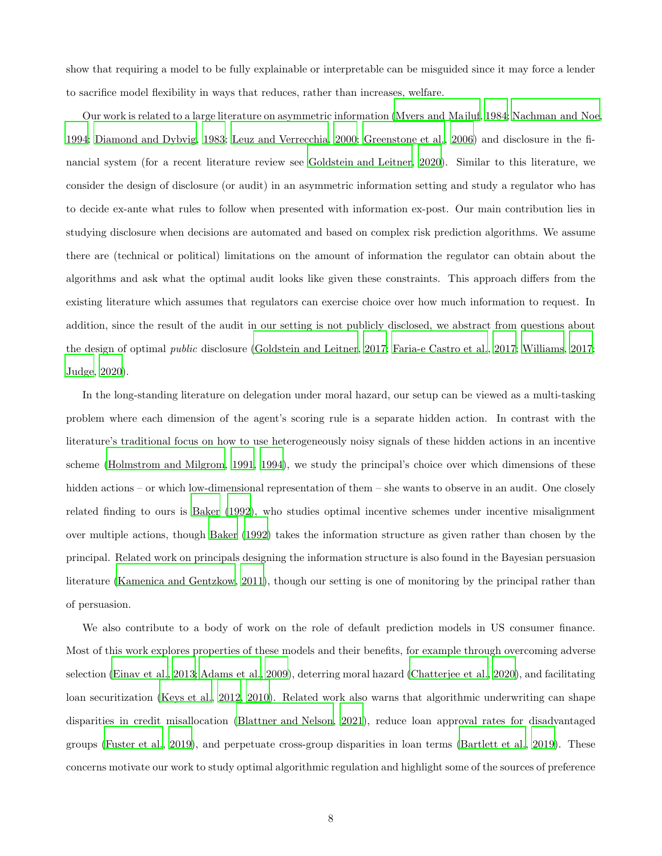show that requiring a model to be fully explainable or interpretable can be misguided since it may force a lender to sacrifice model flexibility in ways that reduces, rather than increases, welfare.

Our work is related to a large literature on asymmetric information [\(Myers and Majluf](#page-43-4), [1984;](#page-43-4) [Nachman and Noe,](#page-43-5) [1994](#page-43-5); [Diamond and Dybvig](#page-41-4), [1983](#page-41-4); [Leuz and Verrecchia](#page-42-5), [2000;](#page-42-5) [Greenstone et al.](#page-41-5), [2006\)](#page-41-5) and disclosure in the financial system (for a recent literature review see [Goldstein and Leitner, 2020\)](#page-41-6). Similar to this literature, we consider the design of disclosure (or audit) in an asymmetric information setting and study a regulator who has to decide ex-ante what rules to follow when presented with information ex-post. Our main contribution lies in studying disclosure when decisions are automated and based on complex risk prediction algorithms. We assume there are (technical or political) limitations on the amount of information the regulator can obtain about the algorithms and ask what the optimal audit looks like given these constraints. This approach differs from the existing literature which assumes that regulators can exercise choice over how much information to request. In addition, since the result of the audit in our setting is not publicly disclosed, we abstract from questions about the design of optimal public disclosure [\(Goldstein and Leitner](#page-41-7), [2017](#page-41-7); [Faria-e Castro et al.](#page-41-8), [2017](#page-41-8); [Williams, 2017](#page-43-6); [Judge, 2020\)](#page-42-6).

In the long-standing literature on delegation under moral hazard, our setup can be viewed as a multi-tasking problem where each dimension of the agent's scoring rule is a separate hidden action. In contrast with the literature's traditional focus on how to use heterogeneously noisy signals of these hidden actions in an incentive scheme [\(Holmstrom and Milgrom, 1991,](#page-42-7) [1994\)](#page-42-8), we study the principal's choice over which dimensions of these hidden actions – or which low-dimensional representation of them – she wants to observe in an audit. One closely related finding to ours is [Baker \(1992\)](#page-40-5), who studies optimal incentive schemes under incentive misalignment over multiple actions, though [Baker \(1992](#page-40-5)) takes the information structure as given rather than chosen by the principal. Related work on principals designing the information structure is also found in the Bayesian persuasion literature [\(Kamenica and Gentzkow, 2011\)](#page-42-9), though our setting is one of monitoring by the principal rather than of persuasion.

We also contribute to a body of work on the role of default prediction models in US consumer finance. Most of this work explores properties of these models and their benefits, for example through overcoming adverse selection [\(Einav et al.](#page-41-9), [2013](#page-41-9); [Adams et al.](#page-40-6), [2009](#page-40-6)), deterring moral hazard [\(Chatterjee et al.](#page-40-7), [2020\)](#page-40-7), and facilitating loan securitization [\(Keys et al., 2012,](#page-42-10) [2010\)](#page-42-11). Related work also warns that algorithmic underwriting can shape disparities in credit misallocation [\(Blattner and Nelson](#page-40-8), [2021\)](#page-40-8), reduce loan approval rates for disadvantaged groups [\(Fuster et al., 2019\)](#page-41-10), and perpetuate cross-group disparities in loan terms [\(Bartlett et al.](#page-40-9), [2019\)](#page-40-9). These concerns motivate our work to study optimal algorithmic regulation and highlight some of the sources of preference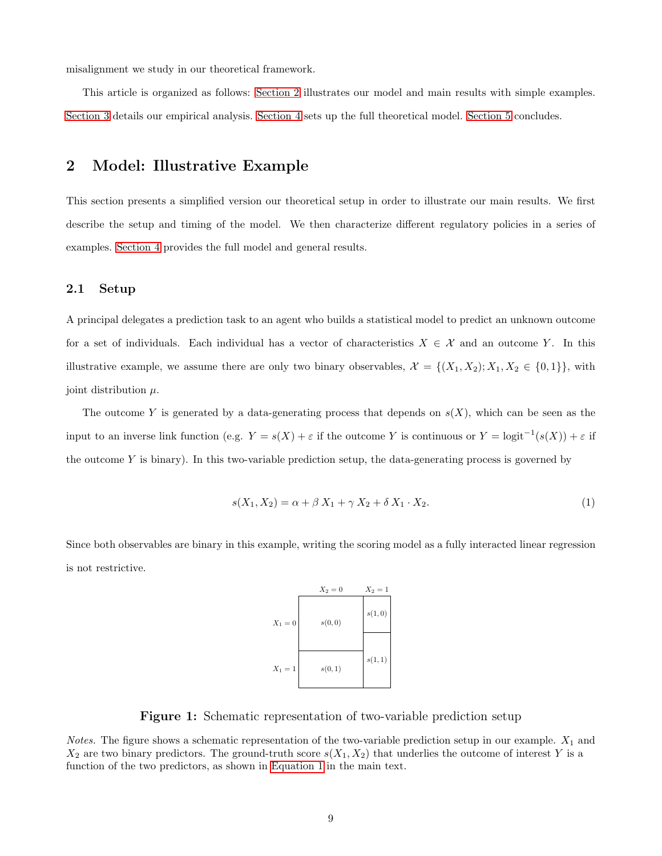misalignment we study in our theoretical framework.

<span id="page-8-0"></span>This article is organized as follows: [Section 2](#page-8-0) illustrates our model and main results with simple examples. [Section 3](#page-22-0) details our empirical analysis. [Section 4](#page-30-0) sets up the full theoretical model. [Section 5](#page-38-0) concludes.

## 2 Model: Illustrative Example

This section presents a simplified version our theoretical setup in order to illustrate our main results. We first describe the setup and timing of the model. We then characterize different regulatory policies in a series of examples. [Section 4](#page-30-0) provides the full model and general results.

### 2.1 Setup

A principal delegates a prediction task to an agent who builds a statistical model to predict an unknown outcome for a set of individuals. Each individual has a vector of characteristics  $X \in \mathcal{X}$  and an outcome Y. In this illustrative example, we assume there are only two binary observables,  $\mathcal{X} = \{(X_1, X_2): X_1, X_2 \in \{0, 1\}\}\,$  with joint distribution  $\mu$ .

The outcome Y is generated by a data-generating process that depends on  $s(X)$ , which can be seen as the input to an inverse link function (e.g.  $Y = s(X) + \varepsilon$  if the outcome Y is continuous or  $Y = \text{logit}^{-1}(s(X)) + \varepsilon$  if the outcome Y is binary). In this two-variable prediction setup, the data-generating process is governed by

$$
s(X_1, X_2) = \alpha + \beta X_1 + \gamma X_2 + \delta X_1 \cdot X_2.
$$
 (1)

<span id="page-8-2"></span>Since both observables are binary in this example, writing the scoring model as a fully interacted linear regression is not restrictive.

<span id="page-8-1"></span>

Figure 1: Schematic representation of two-variable prediction setup

*Notes.* The figure shows a schematic representation of the two-variable prediction setup in our example.  $X_1$  and  $X_2$  are two binary predictors. The ground-truth score  $s(X_1, X_2)$  that underlies the outcome of interest Y is a function of the two predictors, as shown in [Equation 1](#page-8-1) in the main text.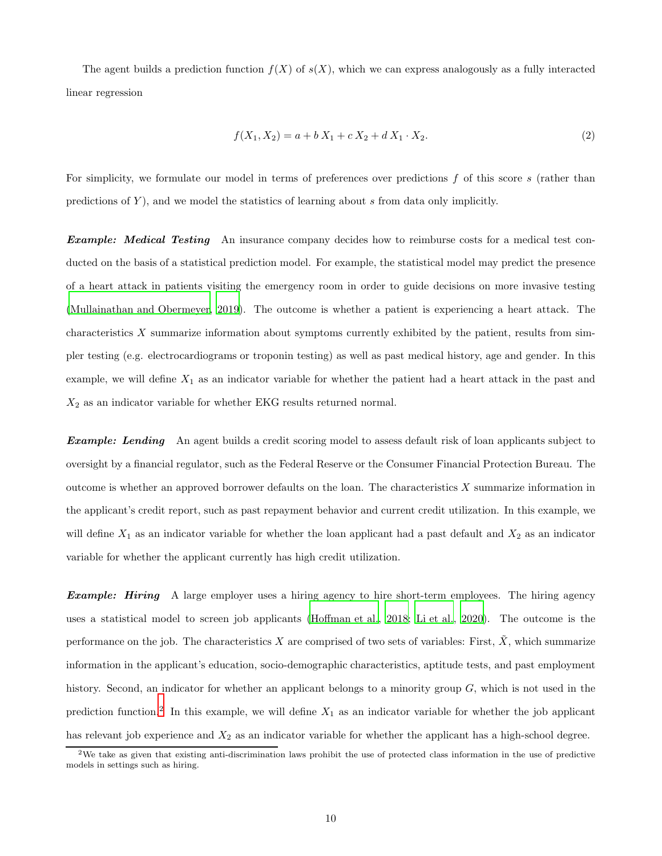The agent builds a prediction function  $f(X)$  of  $s(X)$ , which we can express analogously as a fully interacted linear regression

$$
f(X_1, X_2) = a + b X_1 + c X_2 + d X_1 \cdot X_2.
$$
\n<sup>(2)</sup>

For simplicity, we formulate our model in terms of preferences over predictions  $f$  of this score  $s$  (rather than predictions of  $Y$ ), and we model the statistics of learning about  $s$  from data only implicitly.

**Example:** Medical Testing An insurance company decides how to reimburse costs for a medical test conducted on the basis of a statistical prediction model. For example, the statistical model may predict the presence of a heart attack in patients visiting the emergency room in order to guide decisions on more invasive testing [\(Mullainathan and Obermeyer](#page-43-7), [2019](#page-43-7)). The outcome is whether a patient is experiencing a heart attack. The characteristics X summarize information about symptoms currently exhibited by the patient, results from simpler testing (e.g. electrocardiograms or troponin testing) as well as past medical history, age and gender. In this example, we will define  $X_1$  as an indicator variable for whether the patient had a heart attack in the past and  $X_2$  as an indicator variable for whether EKG results returned normal.

**Example:** Lending An agent builds a credit scoring model to assess default risk of loan applicants subject to oversight by a financial regulator, such as the Federal Reserve or the Consumer Financial Protection Bureau. The outcome is whether an approved borrower defaults on the loan. The characteristics  $X$  summarize information in the applicant's credit report, such as past repayment behavior and current credit utilization. In this example, we will define  $X_1$  as an indicator variable for whether the loan applicant had a past default and  $X_2$  as an indicator variable for whether the applicant currently has high credit utilization.

**Example:** Hiring A large employer uses a hiring agency to hire short-term employees. The hiring agency uses a statistical model to screen job applicants [\(Hoffman et al.](#page-42-12), [2018;](#page-42-12) [Li et al., 2020\)](#page-42-13). The outcome is the performance on the job. The characteristics X are comprised of two sets of variables: First,  $\tilde{X}$ , which summarize information in the applicant's education, socio-demographic characteristics, aptitude tests, and past employment history. Second, an indicator for whether an applicant belongs to a minority group G, which is not used in the prediction function.<sup>2</sup> In this example, we will define  $X_1$  as an indicator variable for whether the job applicant has relevant job experience and  $X_2$  as an indicator variable for whether the applicant has a high-school degree.

<sup>2</sup>We take as given that existing anti-discrimination laws prohibit the use of protected class information in the use of predictive models in settings such as hiring.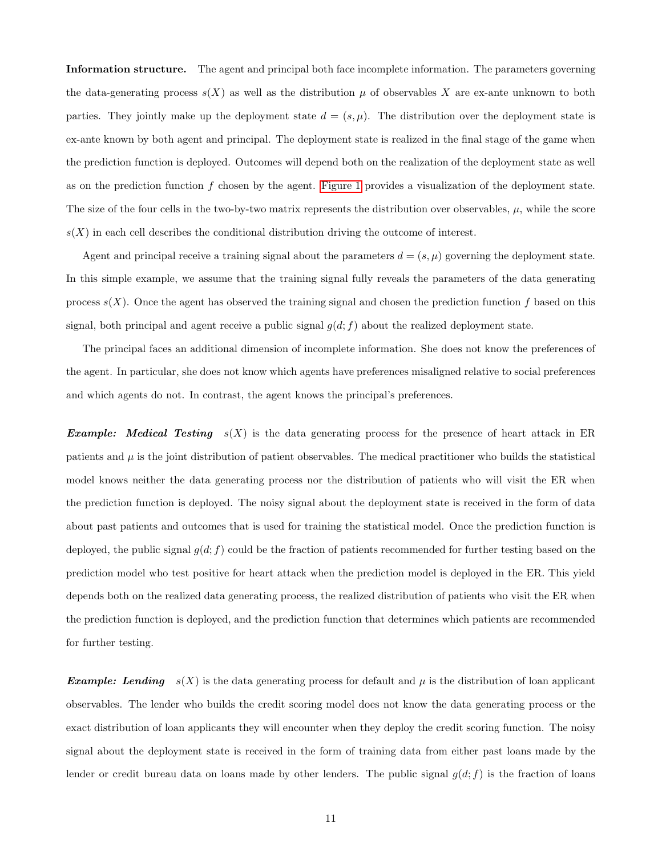Information structure. The agent and principal both face incomplete information. The parameters governing the data-generating process  $s(X)$  as well as the distribution  $\mu$  of observables X are ex-ante unknown to both parties. They jointly make up the deployment state  $d = (s, \mu)$ . The distribution over the deployment state is ex-ante known by both agent and principal. The deployment state is realized in the final stage of the game when the prediction function is deployed. Outcomes will depend both on the realization of the deployment state as well as on the prediction function f chosen by the agent. [Figure 1](#page-8-2) provides a visualization of the deployment state. The size of the four cells in the two-by-two matrix represents the distribution over observables,  $\mu$ , while the score  $s(X)$  in each cell describes the conditional distribution driving the outcome of interest.

Agent and principal receive a training signal about the parameters  $d = (s, \mu)$  governing the deployment state. In this simple example, we assume that the training signal fully reveals the parameters of the data generating process  $s(X)$ . Once the agent has observed the training signal and chosen the prediction function f based on this signal, both principal and agent receive a public signal  $g(d; f)$  about the realized deployment state.

The principal faces an additional dimension of incomplete information. She does not know the preferences of the agent. In particular, she does not know which agents have preferences misaligned relative to social preferences and which agents do not. In contrast, the agent knows the principal's preferences.

**Example:** Medical Testing  $s(X)$  is the data generating process for the presence of heart attack in ER patients and  $\mu$  is the joint distribution of patient observables. The medical practitioner who builds the statistical model knows neither the data generating process nor the distribution of patients who will visit the ER when the prediction function is deployed. The noisy signal about the deployment state is received in the form of data about past patients and outcomes that is used for training the statistical model. Once the prediction function is deployed, the public signal  $g(d; f)$  could be the fraction of patients recommended for further testing based on the prediction model who test positive for heart attack when the prediction model is deployed in the ER. This yield depends both on the realized data generating process, the realized distribution of patients who visit the ER when the prediction function is deployed, and the prediction function that determines which patients are recommended for further testing.

**Example:** Lending  $s(X)$  is the data generating process for default and  $\mu$  is the distribution of loan applicant observables. The lender who builds the credit scoring model does not know the data generating process or the exact distribution of loan applicants they will encounter when they deploy the credit scoring function. The noisy signal about the deployment state is received in the form of training data from either past loans made by the lender or credit bureau data on loans made by other lenders. The public signal  $g(d; f)$  is the fraction of loans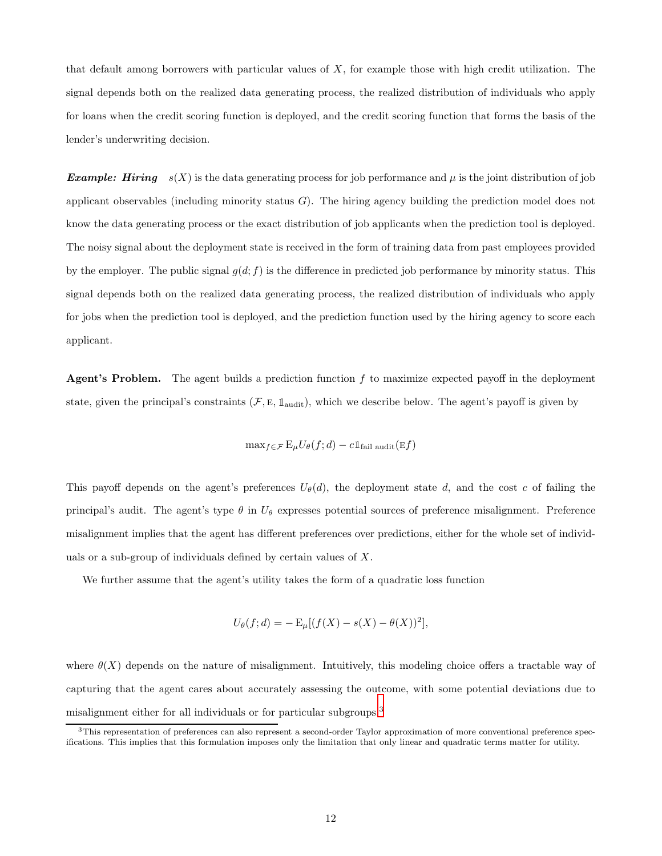that default among borrowers with particular values of  $X$ , for example those with high credit utilization. The signal depends both on the realized data generating process, the realized distribution of individuals who apply for loans when the credit scoring function is deployed, and the credit scoring function that forms the basis of the lender's underwriting decision.

**Example:** Hiring  $s(X)$  is the data generating process for job performance and  $\mu$  is the joint distribution of job applicant observables (including minority status G). The hiring agency building the prediction model does not know the data generating process or the exact distribution of job applicants when the prediction tool is deployed. The noisy signal about the deployment state is received in the form of training data from past employees provided by the employer. The public signal  $q(d; f)$  is the difference in predicted job performance by minority status. This signal depends both on the realized data generating process, the realized distribution of individuals who apply for jobs when the prediction tool is deployed, and the prediction function used by the hiring agency to score each applicant.

**Agent's Problem.** The agent builds a prediction function  $f$  to maximize expected payoff in the deployment state, given the principal's constraints  $(F, E, \mathbb{1}_{\text{audit}})$ , which we describe below. The agent's payoff is given by

$$
\max_{f \in \mathcal{F}} \mathcal{E}_{\mu} U_{\theta}(f; d) - c \mathbb{1}_{\text{fail audit}}(\mathcal{E} f)
$$

This payoff depends on the agent's preferences  $U_{\theta}(d)$ , the deployment state d, and the cost c of failing the principal's audit. The agent's type  $\theta$  in  $U_{\theta}$  expresses potential sources of preference misalignment. Preference misalignment implies that the agent has different preferences over predictions, either for the whole set of individuals or a sub-group of individuals defined by certain values of X.

We further assume that the agent's utility takes the form of a quadratic loss function

$$
U_{\theta}(f; d) = - \mathbf{E}_{\mu}[(f(X) - s(X) - \theta(X))^2],
$$

where  $\theta(X)$  depends on the nature of misalignment. Intuitively, this modeling choice offers a tractable way of capturing that the agent cares about accurately assessing the outcome, with some potential deviations due to misalignment either for all individuals or for particular subgroups.<sup>3</sup>

<sup>3</sup>This representation of preferences can also represent a second-order Taylor approximation of more conventional preference specifications. This implies that this formulation imposes only the limitation that only linear and quadratic terms matter for utility.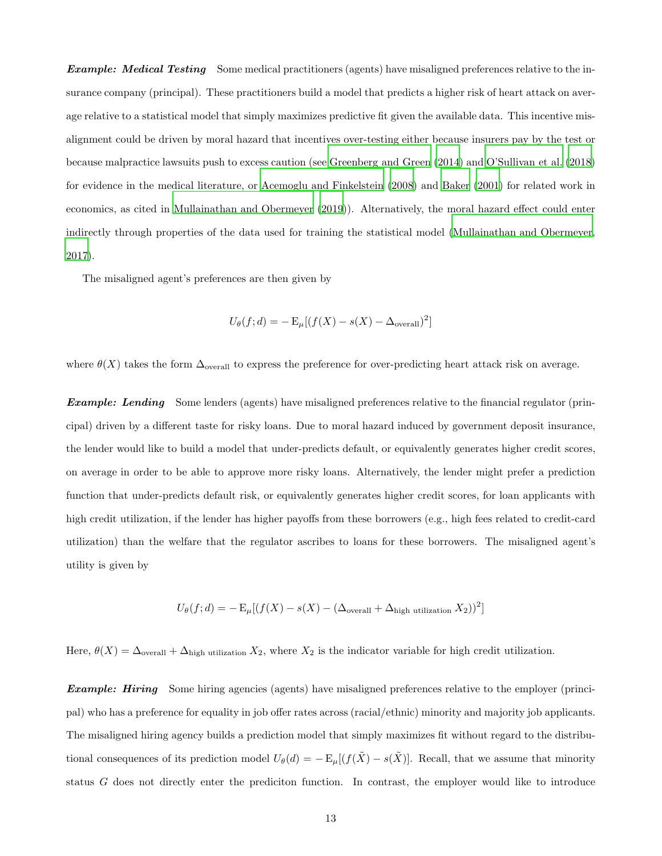**Example:** Medical Testing Some medical practitioners (agents) have misaligned preferences relative to the insurance company (principal). These practitioners build a model that predicts a higher risk of heart attack on average relative to a statistical model that simply maximizes predictive fit given the available data. This incentive misalignment could be driven by moral hazard that incentives over-testing either because insurers pay by the test or because malpractice lawsuits push to excess caution (see [Greenberg and Green \(2014\)](#page-41-11) and [O'Sullivan et al. \(2018\)](#page-43-8) for evidence in the medical literature, or [Acemoglu and Finkelstein \(2008](#page-40-10)) and [Baker \(2001\)](#page-40-11) for related work in economics, as cited in [Mullainathan and Obermeyer \(2019\)](#page-43-7)). Alternatively, the moral hazard effect could enter indirectly through properties of the data used for training the statistical model [\(Mullainathan and Obermeyer](#page-43-9), [2017](#page-43-9)).

The misaligned agent's preferences are then given by

$$
U_{\theta}(f; d) = - \mathbf{E}_{\mu}[(f(X) - s(X) - \Delta_{\text{overall}})^{2}]
$$

where  $\theta(X)$  takes the form  $\Delta_{\text{overall}}$  to express the preference for over-predicting heart attack risk on average.

**Example:** Lending Some lenders (agents) have misaligned preferences relative to the financial regulator (principal) driven by a different taste for risky loans. Due to moral hazard induced by government deposit insurance, the lender would like to build a model that under-predicts default, or equivalently generates higher credit scores, on average in order to be able to approve more risky loans. Alternatively, the lender might prefer a prediction function that under-predicts default risk, or equivalently generates higher credit scores, for loan applicants with high credit utilization, if the lender has higher payoffs from these borrowers (e.g., high fees related to credit-card utilization) than the welfare that the regulator ascribes to loans for these borrowers. The misaligned agent's utility is given by

$$
U_{\theta}(f; d) = -\mathbb{E}_{\mu}[(f(X) - s(X) - (\Delta_{\text{overall}} + \Delta_{\text{high utilization}} X_2))^2]
$$

Here,  $\theta(X) = \Delta_{\text{overall}} + \Delta_{\text{high utilization}} X_2$ , where  $X_2$  is the indicator variable for high credit utilization.

**Example: Hiring** Some hiring agencies (agents) have misaligned preferences relative to the employer (principal) who has a preference for equality in job offer rates across (racial/ethnic) minority and majority job applicants. The misaligned hiring agency builds a prediction model that simply maximizes fit without regard to the distributional consequences of its prediction model  $U_{\theta}(d) = -E_{\mu}[(f(\tilde{X}) - s(\tilde{X})]$ . Recall, that we assume that minority status G does not directly enter the prediciton function. In contrast, the employer would like to introduce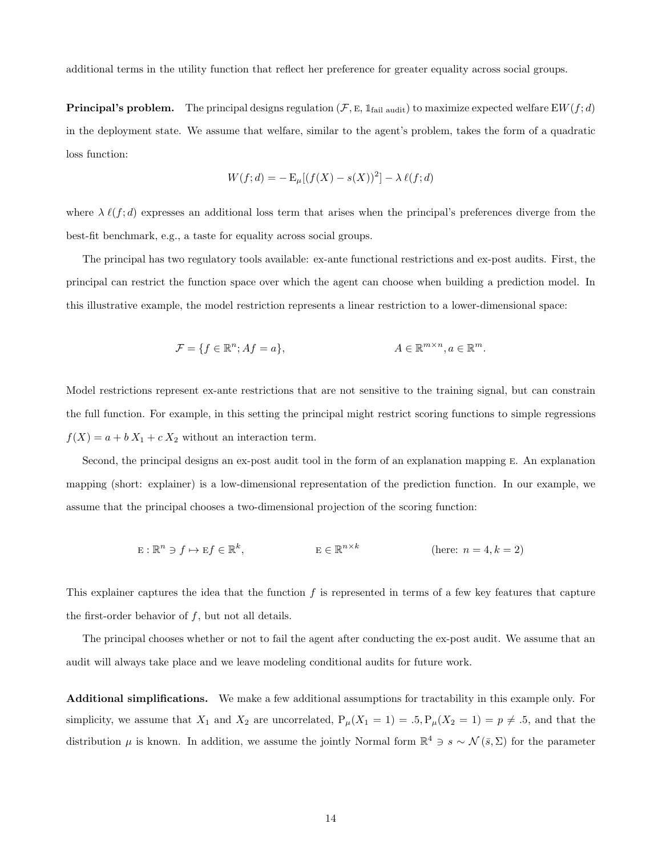additional terms in the utility function that reflect her preference for greater equality across social groups.

**Principal's problem.** The principal designs regulation  $(F, E, 1_{fail \text{ audit}})$  to maximize expected welfare  $EW(f, d)$ in the deployment state. We assume that welfare, similar to the agent's problem, takes the form of a quadratic loss function:

$$
W(f; d) = - \mathbf{E}_{\mu}[(f(X) - s(X))^2] - \lambda \ell(f; d)
$$

where  $\lambda \ell(f; d)$  expresses an additional loss term that arises when the principal's preferences diverge from the best-fit benchmark, e.g., a taste for equality across social groups.

The principal has two regulatory tools available: ex-ante functional restrictions and ex-post audits. First, the principal can restrict the function space over which the agent can choose when building a prediction model. In this illustrative example, the model restriction represents a linear restriction to a lower-dimensional space:

$$
\mathcal{F} = \{ f \in \mathbb{R}^n; Af = a \}, \qquad A \in \mathbb{R}^{m \times n}, a \in \mathbb{R}^m.
$$

Model restrictions represent ex-ante restrictions that are not sensitive to the training signal, but can constrain the full function. For example, in this setting the principal might restrict scoring functions to simple regressions  $f(X) = a + b X_1 + c X_2$  without an interaction term.

Second, the principal designs an ex-post audit tool in the form of an explanation mapping e. An explanation mapping (short: explainer) is a low-dimensional representation of the prediction function. In our example, we assume that the principal chooses a two-dimensional projection of the scoring function:

$$
E: \mathbb{R}^n \ni f \mapsto Ef \in \mathbb{R}^k, \qquad E \in \mathbb{R}^{n \times k} \qquad \text{(here: } n = 4, k = 2)
$$

This explainer captures the idea that the function f is represented in terms of a few key features that capture the first-order behavior of  $f$ , but not all details.

The principal chooses whether or not to fail the agent after conducting the ex-post audit. We assume that an audit will always take place and we leave modeling conditional audits for future work.

Additional simplifications. We make a few additional assumptions for tractability in this example only. For simplicity, we assume that  $X_1$  and  $X_2$  are uncorrelated,  $P_\mu(X_1 = 1) = .5, P_\mu(X_2 = 1) = p \neq .5$ , and that the distribution  $\mu$  is known. In addition, we assume the jointly Normal form  $\mathbb{R}^4 \ni s \sim \mathcal{N}(\bar{s}, \Sigma)$  for the parameter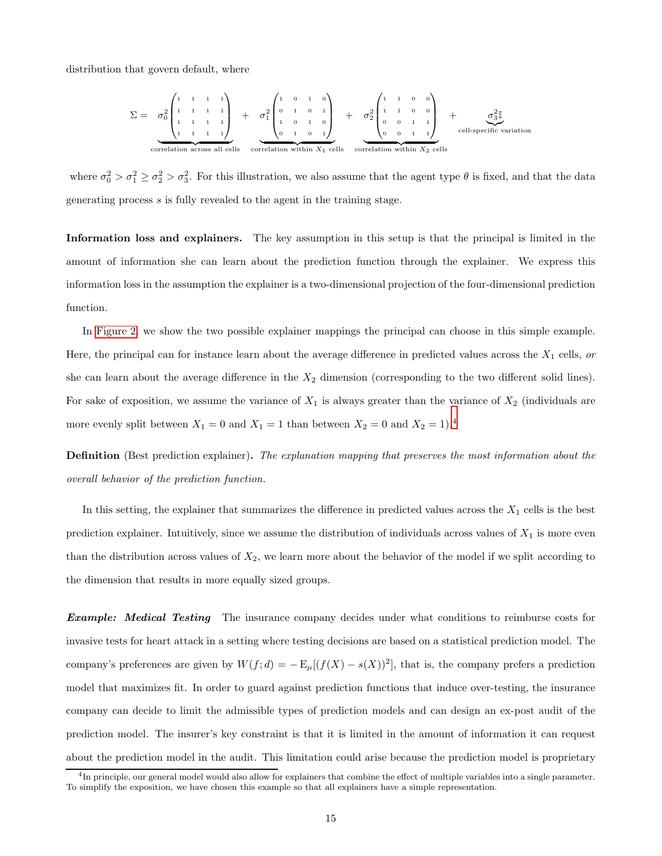distribution that govern default, where

$$
\Sigma = \sigma_0^2 \begin{pmatrix} 1 & 1 & 1 & 1 \\ 1 & 1 & 1 & 1 \\ 1 & 1 & 1 & 1 \\ 1 & 1 & 1 & 1 \end{pmatrix} + \sigma_1^2 \begin{pmatrix} 1 & 0 & 1 & 0 \\ 0 & 1 & 0 & 1 \\ 1 & 0 & 1 & 0 \\ 0 & 1 & 0 & 1 \end{pmatrix} + \sigma_2^2 \begin{pmatrix} 1 & 1 & 0 & 0 \\ 1 & 1 & 0 & 0 \\ 0 & 0 & 1 & 1 \\ 0 & 0 & 1 & 1 \end{pmatrix} + \frac{\sigma_2^2 \mathbb{I}}{\begin{pmatrix} 1 & 1 & 0 & 0 \\ 0 & 0 & 1 & 1 \\ 0 & 0 & 1 & 1 \end{pmatrix}} \text{ cell-specific variation}\n\text{correlation across all cells}\n\text{ correlation within } X_1 \text{ cells}\n\text{ correlation within } X_2 \text{ cells}
$$

where  $\sigma_0^2 > \sigma_1^2 \ge \sigma_2^2 > \sigma_3^2$ . For this illustration, we also assume that the agent type  $\theta$  is fixed, and that the data generating process s is fully revealed to the agent in the training stage.

Information loss and explainers. The key assumption in this setup is that the principal is limited in the amount of information she can learn about the prediction function through the explainer. We express this information loss in the assumption the explainer is a two-dimensional projection of the four-dimensional prediction function.

In [Figure 2,](#page-15-0) we show the two possible explainer mappings the principal can choose in this simple example. Here, the principal can for instance learn about the average difference in predicted values across the  $X_1$  cells, or she can learn about the average difference in the  $X_2$  dimension (corresponding to the two different solid lines). For sake of exposition, we assume the variance of  $X_1$  is always greater than the variance of  $X_2$  (individuals are more evenly split between  $X_1 = 0$  and  $X_1 = 1$  than between  $X_2 = 0$  and  $X_2 = 1$ .<sup>4</sup>

Definition (Best prediction explainer). The explanation mapping that preserves the most information about the overall behavior of the prediction function.

In this setting, the explainer that summarizes the difference in predicted values across the  $X_1$  cells is the best prediction explainer. Intuitively, since we assume the distribution of individuals across values of  $X_1$  is more even than the distribution across values of  $X_2$ , we learn more about the behavior of the model if we split according to the dimension that results in more equally sized groups.

**Example:** Medical Testing The insurance company decides under what conditions to reimburse costs for invasive tests for heart attack in a setting where testing decisions are based on a statistical prediction model. The company's preferences are given by  $W(f; d) = -\mathbb{E}_{\mu}[(f(X) - s(X))^2]$ , that is, the company prefers a prediction model that maximizes fit. In order to guard against prediction functions that induce over-testing, the insurance company can decide to limit the admissible types of prediction models and can design an ex-post audit of the prediction model. The insurer's key constraint is that it is limited in the amount of information it can request about the prediction model in the audit. This limitation could arise because the prediction model is proprietary

<sup>&</sup>lt;sup>4</sup>In principle, our general model would also allow for explainers that combine the effect of multiple variables into a single parameter. To simplify the exposition, we have chosen this example so that all explainers have a simple representation.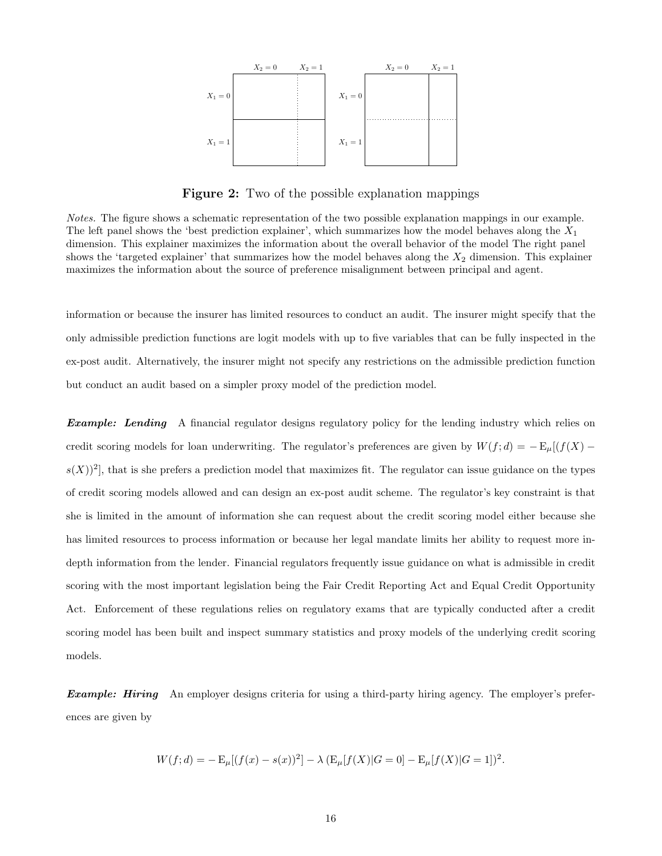<span id="page-15-0"></span>

Figure 2: Two of the possible explanation mappings

Notes. The figure shows a schematic representation of the two possible explanation mappings in our example. The left panel shows the 'best prediction explainer', which summarizes how the model behaves along the  $X_1$ dimension. This explainer maximizes the information about the overall behavior of the model The right panel shows the 'targeted explainer' that summarizes how the model behaves along the  $X_2$  dimension. This explainer maximizes the information about the source of preference misalignment between principal and agent.

information or because the insurer has limited resources to conduct an audit. The insurer might specify that the only admissible prediction functions are logit models with up to five variables that can be fully inspected in the ex-post audit. Alternatively, the insurer might not specify any restrictions on the admissible prediction function but conduct an audit based on a simpler proxy model of the prediction model.

**Example:** Lending A financial regulator designs regulatory policy for the lending industry which relies on credit scoring models for loan underwriting. The regulator's preferences are given by  $W(f; d) = - \mathbb{E}_{\mu}[(f(X) (s(X))^2$ , that is she prefers a prediction model that maximizes fit. The regulator can issue guidance on the types of credit scoring models allowed and can design an ex-post audit scheme. The regulator's key constraint is that she is limited in the amount of information she can request about the credit scoring model either because she has limited resources to process information or because her legal mandate limits her ability to request more indepth information from the lender. Financial regulators frequently issue guidance on what is admissible in credit scoring with the most important legislation being the Fair Credit Reporting Act and Equal Credit Opportunity Act. Enforcement of these regulations relies on regulatory exams that are typically conducted after a credit scoring model has been built and inspect summary statistics and proxy models of the underlying credit scoring models.

**Example: Hiring** An employer designs criteria for using a third-party hiring agency. The employer's preferences are given by

$$
W(f; d) = - \mathbb{E}_{\mu}[(f(x) - s(x))^{2}] - \lambda (\mathbb{E}_{\mu}[f(X)|G = 0] - \mathbb{E}_{\mu}[f(X)|G = 1])^{2}.
$$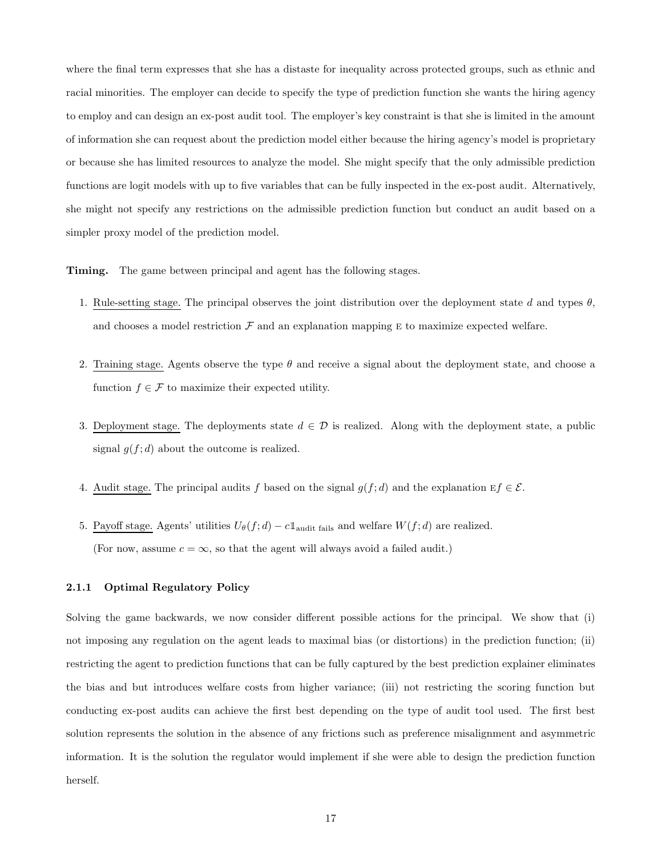where the final term expresses that she has a distaste for inequality across protected groups, such as ethnic and racial minorities. The employer can decide to specify the type of prediction function she wants the hiring agency to employ and can design an ex-post audit tool. The employer's key constraint is that she is limited in the amount of information she can request about the prediction model either because the hiring agency's model is proprietary or because she has limited resources to analyze the model. She might specify that the only admissible prediction functions are logit models with up to five variables that can be fully inspected in the ex-post audit. Alternatively, she might not specify any restrictions on the admissible prediction function but conduct an audit based on a simpler proxy model of the prediction model.

Timing. The game between principal and agent has the following stages.

- 1. Rule-setting stage. The principal observes the joint distribution over the deployment state d and types  $\theta$ , and chooses a model restriction  $\mathcal F$  and an explanation mapping  $E$  to maximize expected welfare.
- 2. Training stage. Agents observe the type  $\theta$  and receive a signal about the deployment state, and choose a function  $f \in \mathcal{F}$  to maximize their expected utility.
- 3. Deployment stage. The deployments state  $d \in \mathcal{D}$  is realized. Along with the deployment state, a public signal  $g(f; d)$  about the outcome is realized.
- 4. Audit stage. The principal audits f based on the signal  $g(f; d)$  and the explanation  $Ef \in \mathcal{E}$ .
- 5. Payoff stage. Agents' utilities  $U_{\theta}(f; d) c \mathbb{1}_{\text{audit fails}}$  and welfare  $W(f; d)$  are realized. (For now, assume  $c = \infty$ , so that the agent will always avoid a failed audit.)

#### 2.1.1 Optimal Regulatory Policy

Solving the game backwards, we now consider different possible actions for the principal. We show that (i) not imposing any regulation on the agent leads to maximal bias (or distortions) in the prediction function; (ii) restricting the agent to prediction functions that can be fully captured by the best prediction explainer eliminates the bias and but introduces welfare costs from higher variance; (iii) not restricting the scoring function but conducting ex-post audits can achieve the first best depending on the type of audit tool used. The first best solution represents the solution in the absence of any frictions such as preference misalignment and asymmetric information. It is the solution the regulator would implement if she were able to design the prediction function herself.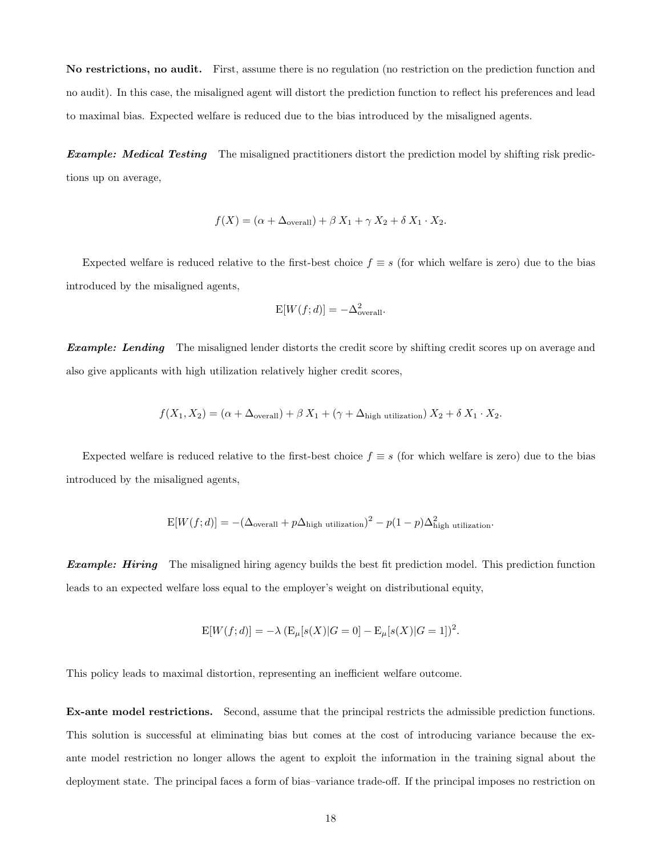No restrictions, no audit. First, assume there is no regulation (no restriction on the prediction function and no audit). In this case, the misaligned agent will distort the prediction function to reflect his preferences and lead to maximal bias. Expected welfare is reduced due to the bias introduced by the misaligned agents.

**Example: Medical Testing** The misaligned practitioners distort the prediction model by shifting risk predictions up on average,

$$
f(X) = (\alpha + \Delta_{\text{overall}}) + \beta X_1 + \gamma X_2 + \delta X_1 \cdot X_2.
$$

Expected welfare is reduced relative to the first-best choice  $f \equiv s$  (for which welfare is zero) due to the bias introduced by the misaligned agents,

$$
E[W(f; d)] = -\Delta_{\text{overall}}^2.
$$

**Example:** Lending The misaligned lender distorts the credit score by shifting credit scores up on average and also give applicants with high utilization relatively higher credit scores,

$$
f(X_1, X_2) = (\alpha + \Delta_{\text{overall}}) + \beta X_1 + (\gamma + \Delta_{\text{high utilization}}) X_2 + \delta X_1 \cdot X_2.
$$

Expected welfare is reduced relative to the first-best choice  $f \equiv s$  (for which welfare is zero) due to the bias introduced by the misaligned agents,

$$
E[W(f;d)] = -(\Delta_{\text{overall}} + p\Delta_{\text{high utilization}})^2 - p(1-p)\Delta_{\text{high utilization}}^2.
$$

**Example: Hiring** The misaligned hiring agency builds the best fit prediction model. This prediction function leads to an expected welfare loss equal to the employer's weight on distributional equity,

$$
E[W(f;d)] = -\lambda \left( E_{\mu}[s(X)|G=0] - E_{\mu}[s(X)|G=1] \right)^{2}.
$$

This policy leads to maximal distortion, representing an inefficient welfare outcome.

Ex-ante model restrictions. Second, assume that the principal restricts the admissible prediction functions. This solution is successful at eliminating bias but comes at the cost of introducing variance because the exante model restriction no longer allows the agent to exploit the information in the training signal about the deployment state. The principal faces a form of bias–variance trade-off. If the principal imposes no restriction on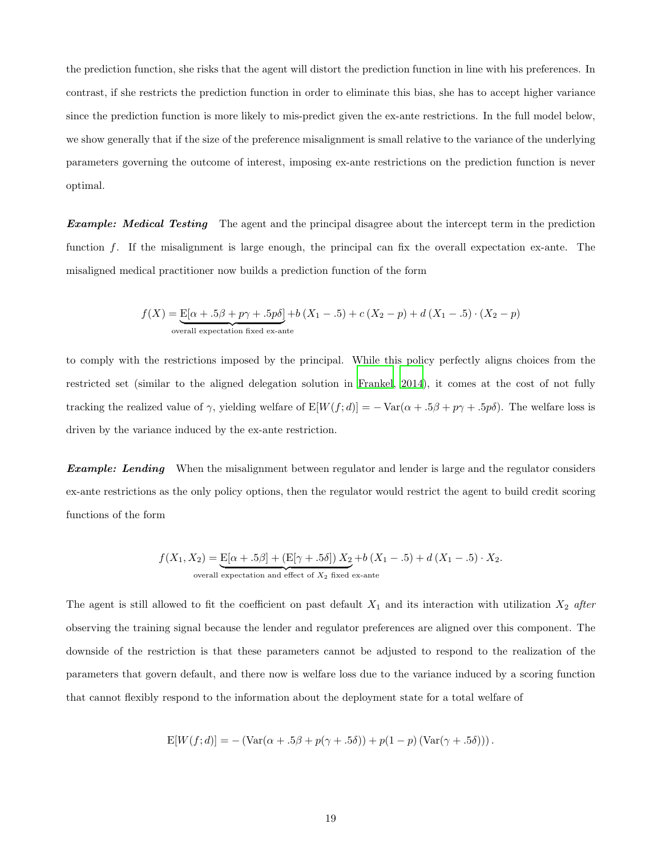the prediction function, she risks that the agent will distort the prediction function in line with his preferences. In contrast, if she restricts the prediction function in order to eliminate this bias, she has to accept higher variance since the prediction function is more likely to mis-predict given the ex-ante restrictions. In the full model below, we show generally that if the size of the preference misalignment is small relative to the variance of the underlying parameters governing the outcome of interest, imposing ex-ante restrictions on the prediction function is never optimal.

**Example:** Medical Testing The agent and the principal disagree about the intercept term in the prediction function f. If the misalignment is large enough, the principal can fix the overall expectation ex-ante. The misaligned medical practitioner now builds a prediction function of the form

$$
f(X) = \underbrace{\mathrm{E}[\alpha + .5\beta + p\gamma + .5p\delta]}_{\text{overall expectation fixed ex-ante}} + b(X_1 - .5) + c(X_2 - p) + d(X_1 - .5) \cdot (X_2 - p)
$$

to comply with the restrictions imposed by the principal. While this policy perfectly aligns choices from the restricted set (similar to the aligned delegation solution in [Frankel, 2014](#page-41-12)), it comes at the cost of not fully tracking the realized value of  $\gamma$ , yielding welfare of  $E[W(f; d)] = -\text{Var}(\alpha + .5\beta + p\gamma + .5p\delta)$ . The welfare loss is driven by the variance induced by the ex-ante restriction.

**Example:** Lending When the misalignment between regulator and lender is large and the regulator considers ex-ante restrictions as the only policy options, then the regulator would restrict the agent to build credit scoring functions of the form

$$
f(X_1, X_2) = \underbrace{\mathrm{E}[\alpha + .5\beta] + (\mathrm{E}[\gamma + .5\delta]) X_2}_{\text{overall expectation and effect of } X_2 \text{ fixed ex-ante}} + b(X_1 - .5) + d(X_1 - .5) \cdot X_2.
$$

The agent is still allowed to fit the coefficient on past default  $X_1$  and its interaction with utilization  $X_2$  after observing the training signal because the lender and regulator preferences are aligned over this component. The downside of the restriction is that these parameters cannot be adjusted to respond to the realization of the parameters that govern default, and there now is welfare loss due to the variance induced by a scoring function that cannot flexibly respond to the information about the deployment state for a total welfare of

$$
E[W(f;d)] = -\left( \text{Var}(\alpha + .5\beta + p(\gamma + .5\delta)) + p(1-p)\left( \text{Var}(\gamma + .5\delta) \right) \right).
$$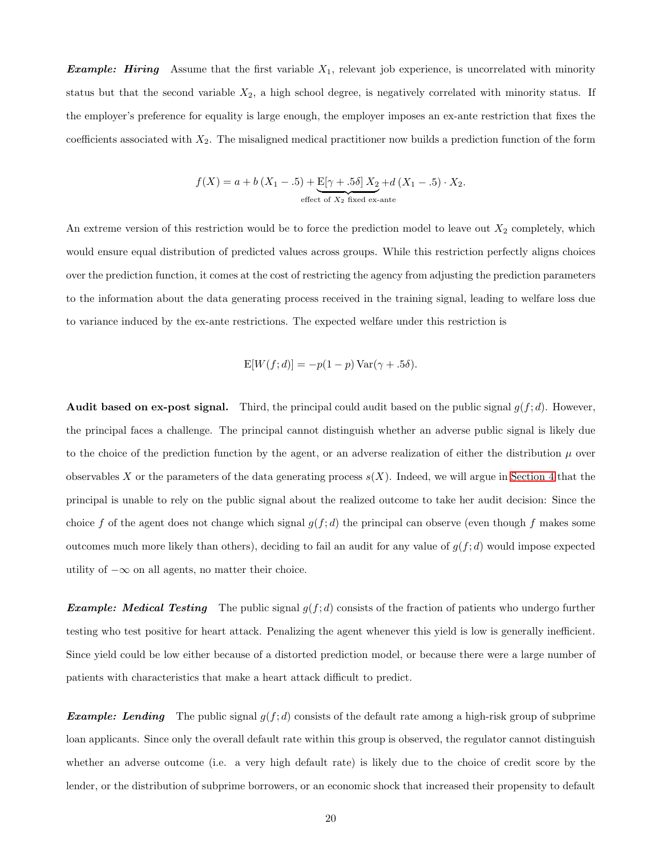**Example:** Hiring Assume that the first variable  $X_1$ , relevant job experience, is uncorrelated with minority status but that the second variable  $X_2$ , a high school degree, is negatively correlated with minority status. If the employer's preference for equality is large enough, the employer imposes an ex-ante restriction that fixes the coefficients associated with  $X_2$ . The misaligned medical practitioner now builds a prediction function of the form

$$
f(X) = a + b(X_1 - .5) + \underbrace{E[\gamma + .5\delta]}_{\text{effect of } X_2 \text{ fixed ex-ante}} X_1 - .5) \cdot X_2.
$$

An extreme version of this restriction would be to force the prediction model to leave out  $X_2$  completely, which would ensure equal distribution of predicted values across groups. While this restriction perfectly aligns choices over the prediction function, it comes at the cost of restricting the agency from adjusting the prediction parameters to the information about the data generating process received in the training signal, leading to welfare loss due to variance induced by the ex-ante restrictions. The expected welfare under this restriction is

$$
E[W(f;d)] = -p(1-p) \operatorname{Var}(\gamma + .5\delta).
$$

**Audit based on ex-post signal.** Third, the principal could audit based on the public signal  $g(f; d)$ . However, the principal faces a challenge. The principal cannot distinguish whether an adverse public signal is likely due to the choice of the prediction function by the agent, or an adverse realization of either the distribution  $\mu$  over observables X or the parameters of the data generating process  $s(X)$ . Indeed, we will argue in [Section 4](#page-30-0) that the principal is unable to rely on the public signal about the realized outcome to take her audit decision: Since the choice f of the agent does not change which signal  $g(f; d)$  the principal can observe (even though f makes some outcomes much more likely than others), deciding to fail an audit for any value of  $g(f; d)$  would impose expected utility of  $-\infty$  on all agents, no matter their choice.

**Example:** Medical Testing The public signal  $g(f; d)$  consists of the fraction of patients who undergo further testing who test positive for heart attack. Penalizing the agent whenever this yield is low is generally inefficient. Since yield could be low either because of a distorted prediction model, or because there were a large number of patients with characteristics that make a heart attack difficult to predict.

**Example:** Lending The public signal  $g(f; d)$  consists of the default rate among a high-risk group of subprime loan applicants. Since only the overall default rate within this group is observed, the regulator cannot distinguish whether an adverse outcome (i.e. a very high default rate) is likely due to the choice of credit score by the lender, or the distribution of subprime borrowers, or an economic shock that increased their propensity to default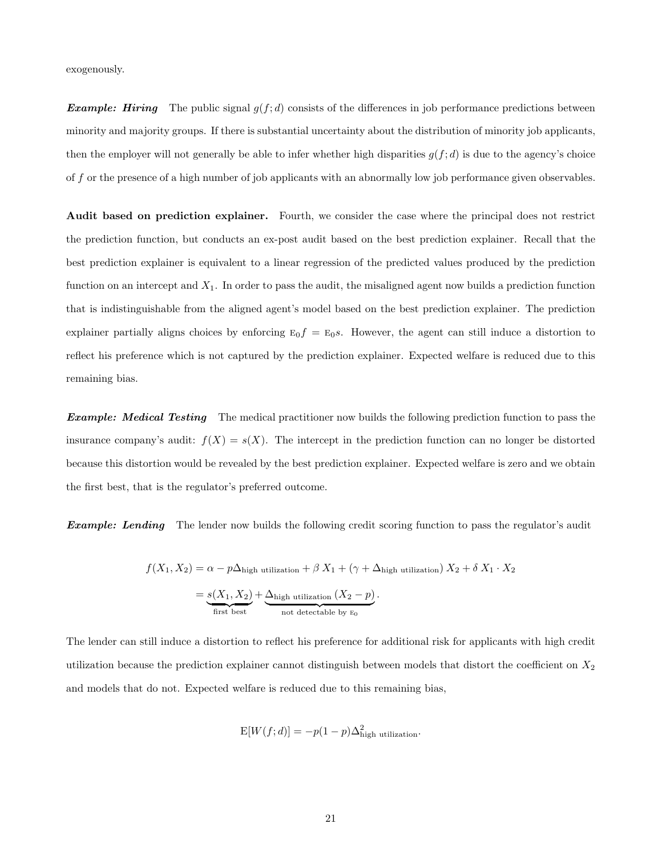exogenously.

**Example:** Hiring The public signal  $g(f; d)$  consists of the differences in job performance predictions between minority and majority groups. If there is substantial uncertainty about the distribution of minority job applicants, then the employer will not generally be able to infer whether high disparities  $g(f; d)$  is due to the agency's choice of f or the presence of a high number of job applicants with an abnormally low job performance given observables.

Audit based on prediction explainer. Fourth, we consider the case where the principal does not restrict the prediction function, but conducts an ex-post audit based on the best prediction explainer. Recall that the best prediction explainer is equivalent to a linear regression of the predicted values produced by the prediction function on an intercept and  $X_1$ . In order to pass the audit, the misaligned agent now builds a prediction function that is indistinguishable from the aligned agent's model based on the best prediction explainer. The prediction explainer partially aligns choices by enforcing  $E_0f = E_0s$ . However, the agent can still induce a distortion to reflect his preference which is not captured by the prediction explainer. Expected welfare is reduced due to this remaining bias.

**Example:** Medical Testing The medical practitioner now builds the following prediction function to pass the insurance company's audit:  $f(X) = s(X)$ . The intercept in the prediction function can no longer be distorted because this distortion would be revealed by the best prediction explainer. Expected welfare is zero and we obtain the first best, that is the regulator's preferred outcome.

**Example:** Lending The lender now builds the following credit scoring function to pass the regulator's audit

$$
f(X_1, X_2) = \alpha - p\Delta_{\text{high utilization}} + \beta X_1 + (\gamma + \Delta_{\text{high utilization}}) X_2 + \delta X_1 \cdot X_2
$$

$$
= \underbrace{s(X_1, X_2)}_{\text{first best}} + \underbrace{\Delta_{\text{high utilization}} (X_2 - p)}_{\text{not detectable by E_0}}.
$$

The lender can still induce a distortion to reflect his preference for additional risk for applicants with high credit utilization because the prediction explainer cannot distinguish between models that distort the coefficient on  $X_2$ and models that do not. Expected welfare is reduced due to this remaining bias,

$$
E[W(f; d)] = -p(1-p)\Delta_{\text{high utilization}}^2.
$$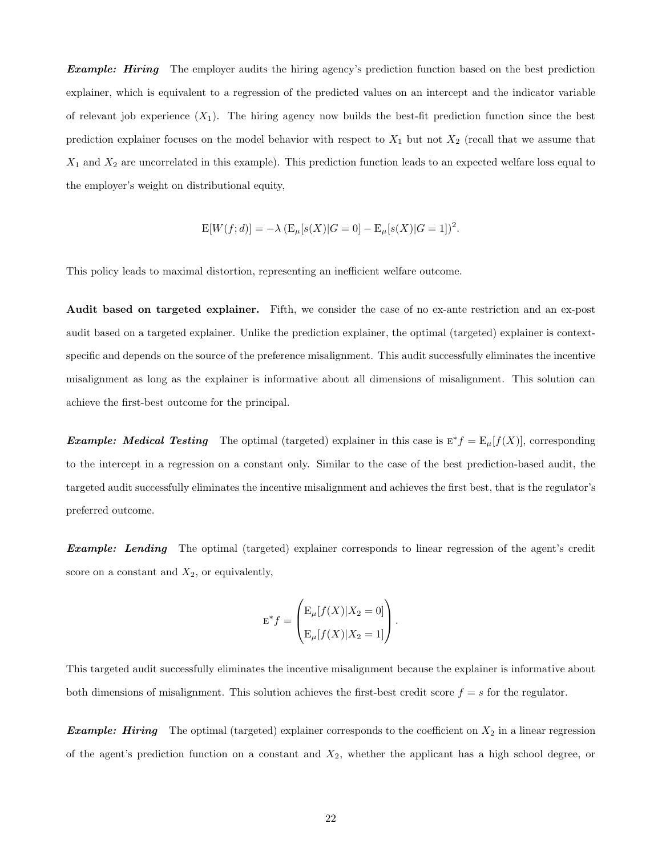**Example:** Hiring The employer audits the hiring agency's prediction function based on the best prediction explainer, which is equivalent to a regression of the predicted values on an intercept and the indicator variable of relevant job experience  $(X_1)$ . The hiring agency now builds the best-fit prediction function since the best prediction explainer focuses on the model behavior with respect to  $X_1$  but not  $X_2$  (recall that we assume that  $X_1$  and  $X_2$  are uncorrelated in this example). This prediction function leads to an expected welfare loss equal to the employer's weight on distributional equity,

$$
E[W(f;d)] = -\lambda \left( E_{\mu}[s(X)|G=0] - E_{\mu}[s(X)|G=1] \right)^{2}.
$$

This policy leads to maximal distortion, representing an inefficient welfare outcome.

Audit based on targeted explainer. Fifth, we consider the case of no ex-ante restriction and an ex-post audit based on a targeted explainer. Unlike the prediction explainer, the optimal (targeted) explainer is contextspecific and depends on the source of the preference misalignment. This audit successfully eliminates the incentive misalignment as long as the explainer is informative about all dimensions of misalignment. This solution can achieve the first-best outcome for the principal.

**Example:** Medical Testing The optimal (targeted) explainer in this case is  $E^* f = E_\mu[f(X)]$ , corresponding to the intercept in a regression on a constant only. Similar to the case of the best prediction-based audit, the targeted audit successfully eliminates the incentive misalignment and achieves the first best, that is the regulator's preferred outcome.

**Example:** Lending The optimal (targeted) explainer corresponds to linear regression of the agent's credit score on a constant and  $X_2$ , or equivalently,

$$
\mathbf{E}^* f = \begin{pmatrix} \mathbf{E}_{\mu}[f(X)|X_2 = 0] \\ \mathbf{E}_{\mu}[f(X)|X_2 = 1] \end{pmatrix}.
$$

This targeted audit successfully eliminates the incentive misalignment because the explainer is informative about both dimensions of misalignment. This solution achieves the first-best credit score  $f = s$  for the regulator.

**Example:** Hiring The optimal (targeted) explainer corresponds to the coefficient on  $X_2$  in a linear regression of the agent's prediction function on a constant and  $X_2$ , whether the applicant has a high school degree, or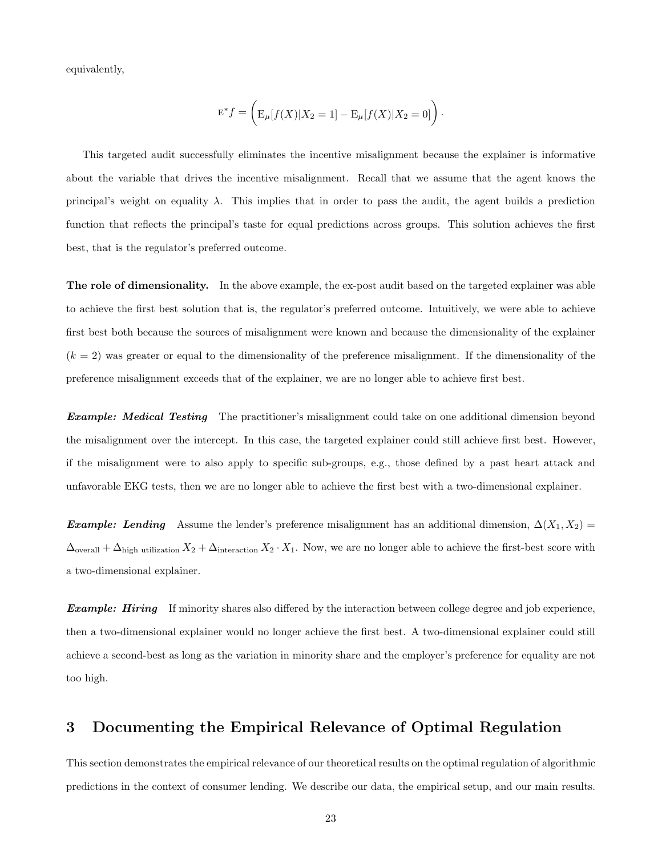equivalently,

$$
E^* f = \left( E_\mu[f(X)|X_2 = 1] - E_\mu[f(X)|X_2 = 0] \right).
$$

This targeted audit successfully eliminates the incentive misalignment because the explainer is informative about the variable that drives the incentive misalignment. Recall that we assume that the agent knows the principal's weight on equality  $\lambda$ . This implies that in order to pass the audit, the agent builds a prediction function that reflects the principal's taste for equal predictions across groups. This solution achieves the first best, that is the regulator's preferred outcome.

The role of dimensionality. In the above example, the ex-post audit based on the targeted explainer was able to achieve the first best solution that is, the regulator's preferred outcome. Intuitively, we were able to achieve first best both because the sources of misalignment were known and because the dimensionality of the explainer  $(k = 2)$  was greater or equal to the dimensionality of the preference misalignment. If the dimensionality of the preference misalignment exceeds that of the explainer, we are no longer able to achieve first best.

**Example:** Medical Testing The practitioner's misalignment could take on one additional dimension beyond the misalignment over the intercept. In this case, the targeted explainer could still achieve first best. However, if the misalignment were to also apply to specific sub-groups, e.g., those defined by a past heart attack and unfavorable EKG tests, then we are no longer able to achieve the first best with a two-dimensional explainer.

Example: Lending Assume the lender's preference misalignment has an additional dimension,  $\Delta(X_1, X_2)$  =  $\Delta_{\text{overall}} + \Delta_{\text{high utilization}} X_2 + \Delta_{\text{interaction}} X_2 \cdot X_1$ . Now, we are no longer able to achieve the first-best score with a two-dimensional explainer.

**Example: Hiring** If minority shares also differed by the interaction between college degree and job experience, then a two-dimensional explainer would no longer achieve the first best. A two-dimensional explainer could still achieve a second-best as long as the variation in minority share and the employer's preference for equality are not too high.

## <span id="page-22-0"></span>3 Documenting the Empirical Relevance of Optimal Regulation

This section demonstrates the empirical relevance of our theoretical results on the optimal regulation of algorithmic predictions in the context of consumer lending. We describe our data, the empirical setup, and our main results.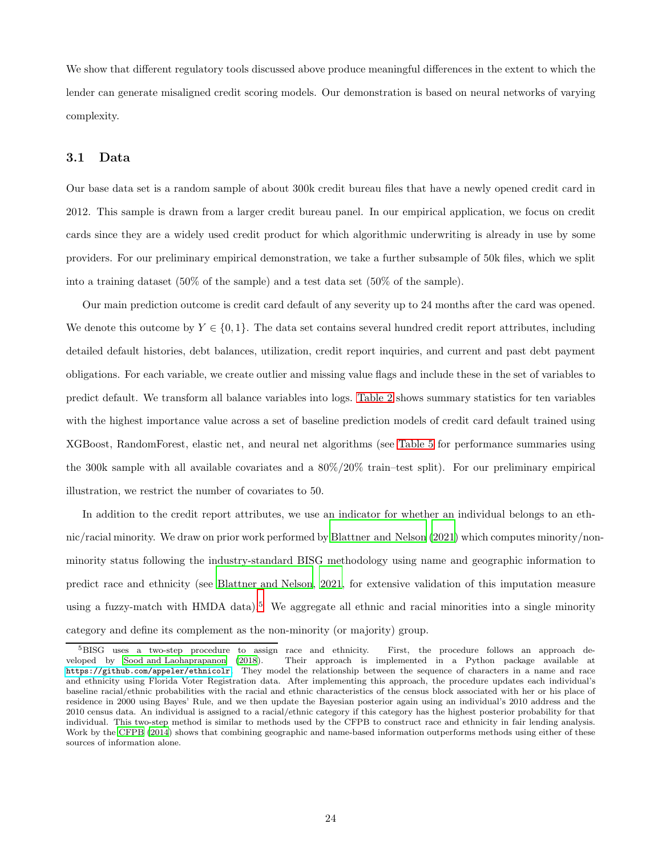We show that different regulatory tools discussed above produce meaningful differences in the extent to which the lender can generate misaligned credit scoring models. Our demonstration is based on neural networks of varying complexity.

### 3.1 Data

Our base data set is a random sample of about 300k credit bureau files that have a newly opened credit card in 2012. This sample is drawn from a larger credit bureau panel. In our empirical application, we focus on credit cards since they are a widely used credit product for which algorithmic underwriting is already in use by some providers. For our preliminary empirical demonstration, we take a further subsample of 50k files, which we split into a training dataset (50% of the sample) and a test data set (50% of the sample).

Our main prediction outcome is credit card default of any severity up to 24 months after the card was opened. We denote this outcome by  $Y \in \{0,1\}$ . The data set contains several hundred credit report attributes, including detailed default histories, debt balances, utilization, credit report inquiries, and current and past debt payment obligations. For each variable, we create outlier and missing value flags and include these in the set of variables to predict default. We transform all balance variables into logs. [Table 2](#page-44-0) shows summary statistics for ten variables with the highest importance value across a set of baseline prediction models of credit card default trained using XGBoost, RandomForest, elastic net, and neural net algorithms (see [Table 5](#page-46-0) for performance summaries using the 300k sample with all available covariates and a 80%/20% train–test split). For our preliminary empirical illustration, we restrict the number of covariates to 50.

In addition to the credit report attributes, we use an indicator for whether an individual belongs to an ethnic/racial minority. We draw on prior work performed by [Blattner and Nelson \(2021\)](#page-40-8) which computes minority/nonminority status following the industry-standard BISG methodology using name and geographic information to predict race and ethnicity (see [Blattner and Nelson](#page-40-8), [2021,](#page-40-8) for extensive validation of this imputation measure using a fuzzy-match with HMDA data).<sup>5</sup> We aggregate all ethnic and racial minorities into a single minority category and define its complement as the non-minority (or majority) group.

<sup>&</sup>lt;sup>5</sup>BISG uses a two-step procedure to assign race and ethnicity. First, the procedure follows an approach developed by Sood and Laohaprapanon (2018). Their approach is implemented in a Python package available at Their approach is implemented in a Python package available at <https://github.com/appeler/ethnicolr>. They model the relationship between the sequence of characters in a name and race and ethnicity using Florida Voter Registration data. After implementing this approach, the procedure updates each individual's baseline racial/ethnic probabilities with the racial and ethnic characteristics of the census block associated with her or his place of residence in 2000 using Bayes' Rule, and we then update the Bayesian posterior again using an individual's 2010 address and the 2010 census data. An individual is assigned to a racial/ethnic category if this category has the highest posterior probability for that individual. This two-step method is similar to methods used by the CFPB to construct race and ethnicity in fair lending analysis. Work by the [CFPB \(2014](#page-40-12)) shows that combining geographic and name-based information outperforms methods using either of these sources of information alone.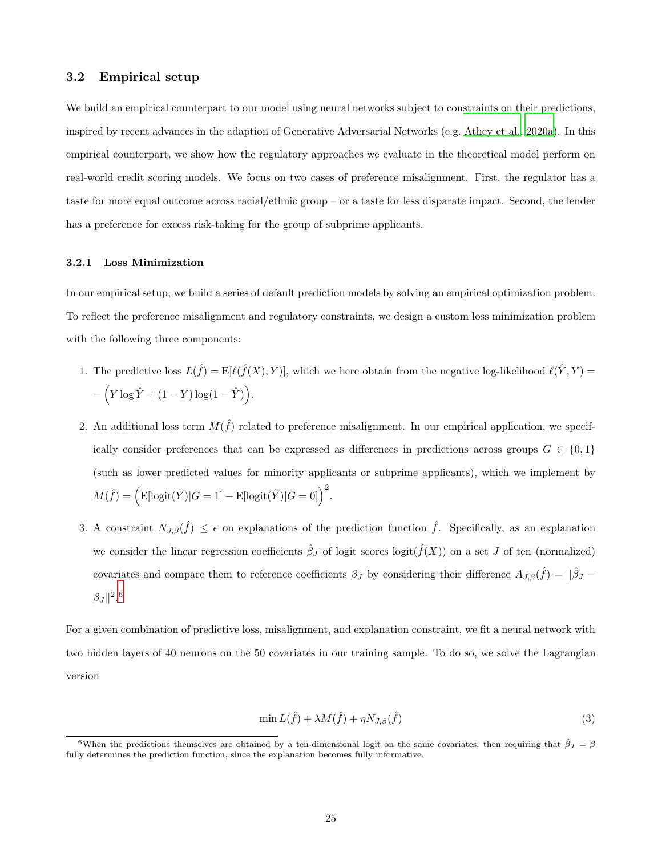### 3.2 Empirical setup

We build an empirical counterpart to our model using neural networks subject to constraints on their predictions, inspired by recent advances in the adaption of Generative Adversarial Networks (e.g. [Athey et al.](#page-40-0), [2020a\)](#page-40-0). In this empirical counterpart, we show how the regulatory approaches we evaluate in the theoretical model perform on real-world credit scoring models. We focus on two cases of preference misalignment. First, the regulator has a taste for more equal outcome across racial/ethnic group – or a taste for less disparate impact. Second, the lender has a preference for excess risk-taking for the group of subprime applicants.

#### 3.2.1 Loss Minimization

In our empirical setup, we build a series of default prediction models by solving an empirical optimization problem. To reflect the preference misalignment and regulatory constraints, we design a custom loss minimization problem with the following three components:

- 1. The predictive loss  $L(\hat{f}) = \mathbb{E}[\ell(\hat{f}(X), Y)]$ , which we here obtain from the negative log-likelihood  $\ell(\hat{Y}, Y)$  $-\left(Y\log \hat{Y} + (1-Y)\log(1-\hat{Y})\right).$
- 2. An additional loss term  $M(\hat{f})$  related to preference misalignment. In our empirical application, we specifically consider preferences that can be expressed as differences in predictions across groups  $G \in \{0,1\}$ (such as lower predicted values for minority applicants or subprime applicants), which we implement by  $M(\hat{f}) = \left(\text{E}[\text{logit}(\hat{Y})|G=1] - \text{E}[\text{logit}(\hat{Y})|G=0]\right)^2.$
- 3. A constraint  $N_{J,\beta}(\hat{f}) \leq \epsilon$  on explanations of the prediction function  $\hat{f}$ . Specifically, as an explanation we consider the linear regression coefficients  $\hat{\beta}_J$  of logit scores logit $(\hat{f}(X))$  on a set J of ten (normalized) covariates and compare them to reference coefficients  $\beta_J$  by considering their difference  $A_{J,\beta}(\hat{f}) = ||\hat{\beta}_J \beta_J \|^{2.6}$

For a given combination of predictive loss, misalignment, and explanation constraint, we fit a neural network with two hidden layers of 40 neurons on the 50 covariates in our training sample. To do so, we solve the Lagrangian version

<span id="page-24-0"></span>
$$
\min L(\hat{f}) + \lambda M(\hat{f}) + \eta N_{J,\beta}(\hat{f})
$$
\n(3)

<sup>&</sup>lt;sup>6</sup>When the predictions themselves are obtained by a ten-dimensional logit on the same covariates, then requiring that  $\hat{\beta}_J = \beta$ fully determines the prediction function, since the explanation becomes fully informative.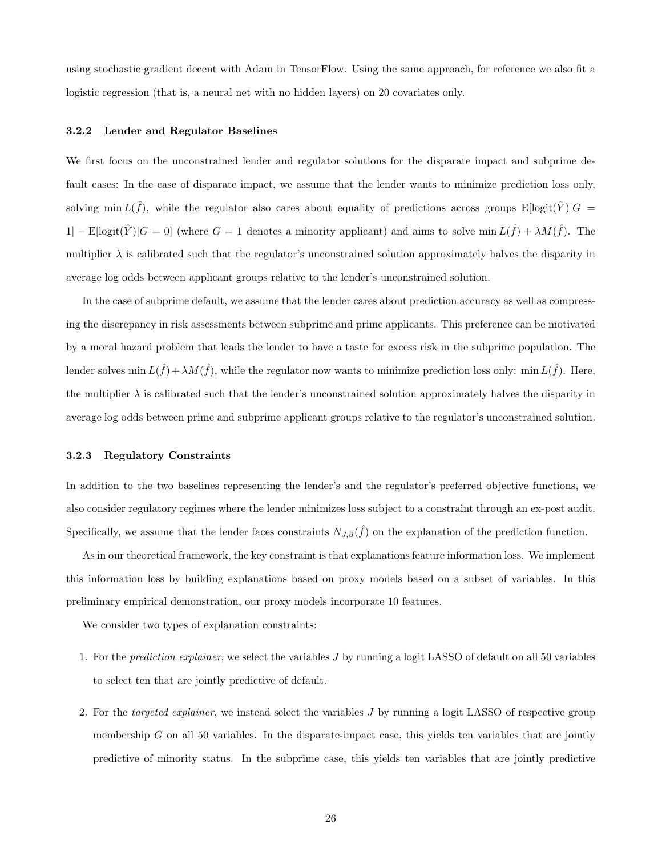using stochastic gradient decent with Adam in TensorFlow. Using the same approach, for reference we also fit a logistic regression (that is, a neural net with no hidden layers) on 20 covariates only.

#### 3.2.2 Lender and Regulator Baselines

We first focus on the unconstrained lender and regulator solutions for the disparate impact and subprime default cases: In the case of disparate impact, we assume that the lender wants to minimize prediction loss only, solving min  $L(\hat{f})$ , while the regulator also cares about equality of predictions across groups  $E[logit(\hat{Y})|G =$ 1] – E[logit $(\hat{Y})|G=0$ ] (where  $G=1$  denotes a minority applicant) and aims to solve min  $L(\hat{f}) + \lambda M(\hat{f})$ . The multiplier  $\lambda$  is calibrated such that the regulator's unconstrained solution approximately halves the disparity in average log odds between applicant groups relative to the lender's unconstrained solution.

In the case of subprime default, we assume that the lender cares about prediction accuracy as well as compressing the discrepancy in risk assessments between subprime and prime applicants. This preference can be motivated by a moral hazard problem that leads the lender to have a taste for excess risk in the subprime population. The lender solves min  $L(\hat{f}) + \lambda M(\hat{f})$ , while the regulator now wants to minimize prediction loss only: min  $L(\hat{f})$ . Here, the multiplier  $\lambda$  is calibrated such that the lender's unconstrained solution approximately halves the disparity in average log odds between prime and subprime applicant groups relative to the regulator's unconstrained solution.

#### 3.2.3 Regulatory Constraints

In addition to the two baselines representing the lender's and the regulator's preferred objective functions, we also consider regulatory regimes where the lender minimizes loss subject to a constraint through an ex-post audit. Specifically, we assume that the lender faces constraints  $N_{J,\beta}(\hat{f})$  on the explanation of the prediction function.

As in our theoretical framework, the key constraint is that explanations feature information loss. We implement this information loss by building explanations based on proxy models based on a subset of variables. In this preliminary empirical demonstration, our proxy models incorporate 10 features.

We consider two types of explanation constraints:

- 1. For the prediction explainer, we select the variables J by running a logit LASSO of default on all 50 variables to select ten that are jointly predictive of default.
- 2. For the targeted explainer, we instead select the variables J by running a logit LASSO of respective group membership  $G$  on all 50 variables. In the disparate-impact case, this yields ten variables that are jointly predictive of minority status. In the subprime case, this yields ten variables that are jointly predictive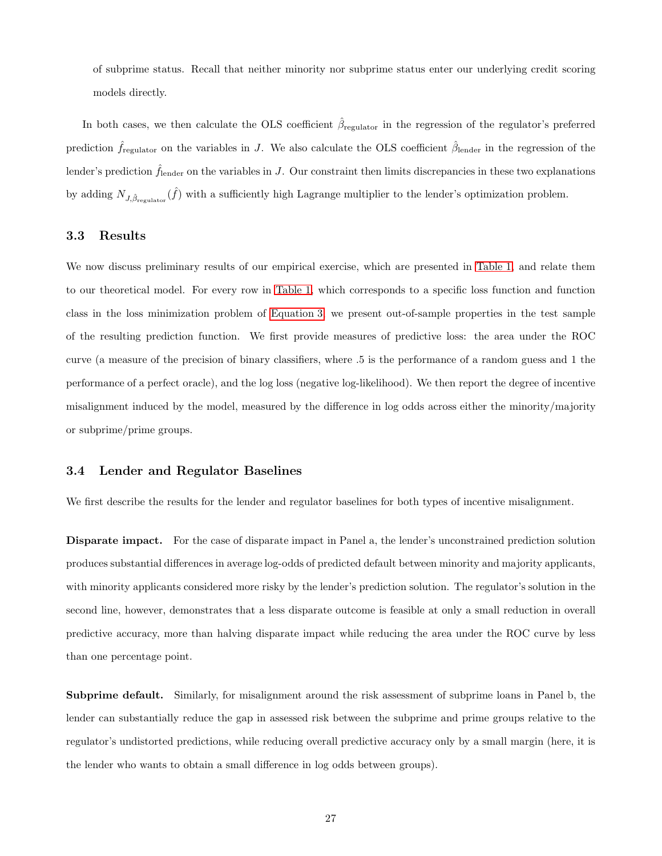of subprime status. Recall that neither minority nor subprime status enter our underlying credit scoring models directly.

In both cases, we then calculate the OLS coefficient  $\hat{\beta}_{\text{regular}}$  in the regression of the regulator's preferred prediction  $\hat{f}_{\text{regular}}$  on the variables in J. We also calculate the OLS coefficient  $\hat{\beta}_{\text{lender}}$  in the regression of the lender's prediction  $\hat{f}_{\text{lender}}$  on the variables in J. Our constraint then limits discrepancies in these two explanations by adding  $N_{J,\hat{\beta}_{\text{regular}}}( \hat{f})$  with a sufficiently high Lagrange multiplier to the lender's optimization problem.

#### 3.3 Results

We now discuss preliminary results of our empirical exercise, which are presented in [Table 1,](#page-27-0) and relate them to our theoretical model. For every row in [Table 1,](#page-27-0) which corresponds to a specific loss function and function class in the loss minimization problem of [Equation 3,](#page-24-0) we present out-of-sample properties in the test sample of the resulting prediction function. We first provide measures of predictive loss: the area under the ROC curve (a measure of the precision of binary classifiers, where .5 is the performance of a random guess and 1 the performance of a perfect oracle), and the log loss (negative log-likelihood). We then report the degree of incentive misalignment induced by the model, measured by the difference in log odds across either the minority/majority or subprime/prime groups.

#### 3.4 Lender and Regulator Baselines

We first describe the results for the lender and regulator baselines for both types of incentive misalignment.

Disparate impact. For the case of disparate impact in Panel a, the lender's unconstrained prediction solution produces substantial differences in average log-odds of predicted default between minority and majority applicants, with minority applicants considered more risky by the lender's prediction solution. The regulator's solution in the second line, however, demonstrates that a less disparate outcome is feasible at only a small reduction in overall predictive accuracy, more than halving disparate impact while reducing the area under the ROC curve by less than one percentage point.

Subprime default. Similarly, for misalignment around the risk assessment of subprime loans in Panel b, the lender can substantially reduce the gap in assessed risk between the subprime and prime groups relative to the regulator's undistorted predictions, while reducing overall predictive accuracy only by a small margin (here, it is the lender who wants to obtain a small difference in log odds between groups).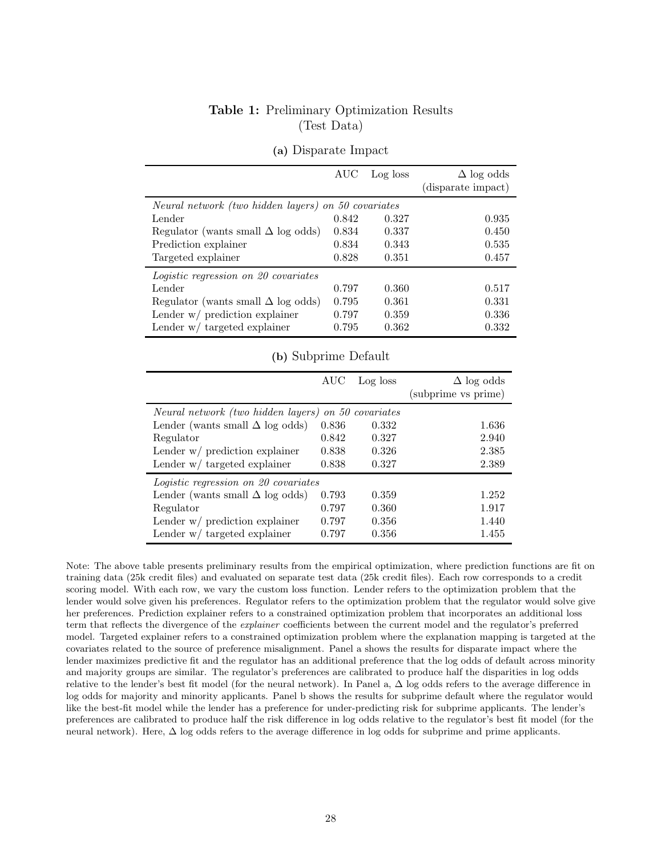### Table 1: Preliminary Optimization Results (Test Data)

<span id="page-27-0"></span>

|                                                     | AUC   | Log loss | $\Delta$ log odds<br>(disparate impact) |
|-----------------------------------------------------|-------|----------|-----------------------------------------|
| Neural network (two hidden layers) on 50 covariates |       |          |                                         |
| Lender                                              | 0.842 | 0.327    | 0.935                                   |
| Regulator (wants small $\Delta$ log odds)           | 0.834 | 0.337    | 0.450                                   |
| Prediction explainer                                | 0.834 | 0.343    | 0.535                                   |
| Targeted explainer                                  | 0.828 | 0.351    | 0.457                                   |
| <i>Logistic regression on 20 covariates</i>         |       |          |                                         |
| Lender                                              | 0.797 | 0.360    | 0.517                                   |
| Regulator (wants small $\Delta$ log odds)           | 0.795 | 0.361    | 0.331                                   |
| Lender $w/$ prediction explainer                    | 0.797 | 0.359    | 0.336                                   |
| Lender $w/$ targeted explainer                      | 0.795 | 0.362    | 0.332                                   |

### (a) Disparate Impact

### (b) Subprime Default

|                                        | AUC   | Log loss         | $\Delta$ log odds<br>(subprime vs prime) |
|----------------------------------------|-------|------------------|------------------------------------------|
| Neural network (two hidden layers)     |       | on 50 covariates |                                          |
|                                        |       |                  |                                          |
| Lender (wants small $\Delta$ log odds) | 0.836 | 0.332            | 1.636                                    |
| Regulator                              | 0.842 | 0.327            | 2.940                                    |
| Lender $w/$ prediction explainer       | 0.838 | 0.326            | 2.385                                    |
| Lender $w/$ targeted explainer         | 0.838 | 0.327            | 2.389                                    |
| Logistic regression on 20 covariates   |       |                  |                                          |
| Lender (wants small $\Delta$ log odds) | 0.793 | 0.359            | 1.252                                    |
| Regulator                              | 0.797 | 0.360            | 1.917                                    |
| Lender $w/$ prediction explainer       | 0.797 | 0.356            | 1.440                                    |
| Lender $w/$ targeted explainer         | 0.797 | 0.356            | 1.455                                    |

Note: The above table presents preliminary results from the empirical optimization, where prediction functions are fit on training data (25k credit files) and evaluated on separate test data (25k credit files). Each row corresponds to a credit scoring model. With each row, we vary the custom loss function. Lender refers to the optimization problem that the lender would solve given his preferences. Regulator refers to the optimization problem that the regulator would solve give her preferences. Prediction explainer refers to a constrained optimization problem that incorporates an additional loss term that reflects the divergence of the explainer coefficients between the current model and the regulator's preferred model. Targeted explainer refers to a constrained optimization problem where the explanation mapping is targeted at the covariates related to the source of preference misalignment. Panel a shows the results for disparate impact where the lender maximizes predictive fit and the regulator has an additional preference that the log odds of default across minority and majority groups are similar. The regulator's preferences are calibrated to produce half the disparities in log odds relative to the lender's best fit model (for the neural network). In Panel a, ∆ log odds refers to the average difference in log odds for majority and minority applicants. Panel b shows the results for subprime default where the regulator would like the best-fit model while the lender has a preference for under-predicting risk for subprime applicants. The lender's preferences are calibrated to produce half the risk difference in log odds relative to the regulator's best fit model (for the neural network). Here, ∆ log odds refers to the average difference in log odds for subprime and prime applicants.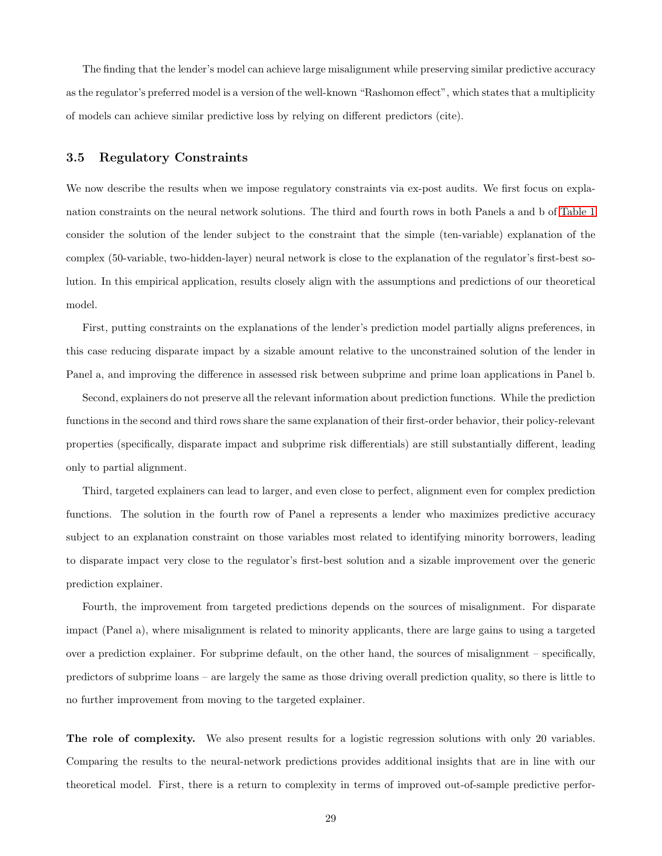The finding that the lender's model can achieve large misalignment while preserving similar predictive accuracy as the regulator's preferred model is a version of the well-known "Rashomon effect", which states that a multiplicity of models can achieve similar predictive loss by relying on different predictors (cite).

#### 3.5 Regulatory Constraints

We now describe the results when we impose regulatory constraints via ex-post audits. We first focus on explanation constraints on the neural network solutions. The third and fourth rows in both Panels a and b of [Table 1](#page-27-0) consider the solution of the lender subject to the constraint that the simple (ten-variable) explanation of the complex (50-variable, two-hidden-layer) neural network is close to the explanation of the regulator's first-best solution. In this empirical application, results closely align with the assumptions and predictions of our theoretical model.

First, putting constraints on the explanations of the lender's prediction model partially aligns preferences, in this case reducing disparate impact by a sizable amount relative to the unconstrained solution of the lender in Panel a, and improving the difference in assessed risk between subprime and prime loan applications in Panel b.

Second, explainers do not preserve all the relevant information about prediction functions. While the prediction functions in the second and third rows share the same explanation of their first-order behavior, their policy-relevant properties (specifically, disparate impact and subprime risk differentials) are still substantially different, leading only to partial alignment.

Third, targeted explainers can lead to larger, and even close to perfect, alignment even for complex prediction functions. The solution in the fourth row of Panel a represents a lender who maximizes predictive accuracy subject to an explanation constraint on those variables most related to identifying minority borrowers, leading to disparate impact very close to the regulator's first-best solution and a sizable improvement over the generic prediction explainer.

Fourth, the improvement from targeted predictions depends on the sources of misalignment. For disparate impact (Panel a), where misalignment is related to minority applicants, there are large gains to using a targeted over a prediction explainer. For subprime default, on the other hand, the sources of misalignment – specifically, predictors of subprime loans – are largely the same as those driving overall prediction quality, so there is little to no further improvement from moving to the targeted explainer.

The role of complexity. We also present results for a logistic regression solutions with only 20 variables. Comparing the results to the neural-network predictions provides additional insights that are in line with our theoretical model. First, there is a return to complexity in terms of improved out-of-sample predictive perfor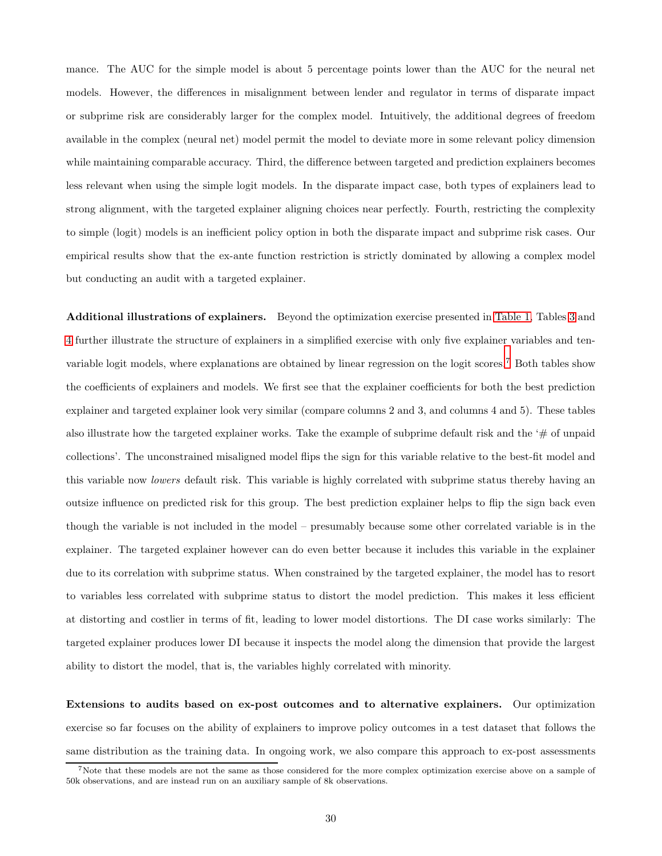mance. The AUC for the simple model is about 5 percentage points lower than the AUC for the neural net models. However, the differences in misalignment between lender and regulator in terms of disparate impact or subprime risk are considerably larger for the complex model. Intuitively, the additional degrees of freedom available in the complex (neural net) model permit the model to deviate more in some relevant policy dimension while maintaining comparable accuracy. Third, the difference between targeted and prediction explainers becomes less relevant when using the simple logit models. In the disparate impact case, both types of explainers lead to strong alignment, with the targeted explainer aligning choices near perfectly. Fourth, restricting the complexity to simple (logit) models is an inefficient policy option in both the disparate impact and subprime risk cases. Our empirical results show that the ex-ante function restriction is strictly dominated by allowing a complex model but conducting an audit with a targeted explainer.

Additional illustrations of explainers. Beyond the optimization exercise presented in [Table 1,](#page-27-0) Tables [3](#page-45-0) and [4](#page-46-1) further illustrate the structure of explainers in a simplified exercise with only five explainer variables and tenvariable logit models, where explanations are obtained by linear regression on the logit scores.<sup>7</sup> Both tables show the coefficients of explainers and models. We first see that the explainer coefficients for both the best prediction explainer and targeted explainer look very similar (compare columns 2 and 3, and columns 4 and 5). These tables also illustrate how the targeted explainer works. Take the example of subprime default risk and the ' $\#$  of unpaid collections'. The unconstrained misaligned model flips the sign for this variable relative to the best-fit model and this variable now lowers default risk. This variable is highly correlated with subprime status thereby having an outsize influence on predicted risk for this group. The best prediction explainer helps to flip the sign back even though the variable is not included in the model – presumably because some other correlated variable is in the explainer. The targeted explainer however can do even better because it includes this variable in the explainer due to its correlation with subprime status. When constrained by the targeted explainer, the model has to resort to variables less correlated with subprime status to distort the model prediction. This makes it less efficient at distorting and costlier in terms of fit, leading to lower model distortions. The DI case works similarly: The targeted explainer produces lower DI because it inspects the model along the dimension that provide the largest ability to distort the model, that is, the variables highly correlated with minority.

Extensions to audits based on ex-post outcomes and to alternative explainers. Our optimization exercise so far focuses on the ability of explainers to improve policy outcomes in a test dataset that follows the same distribution as the training data. In ongoing work, we also compare this approach to ex-post assessments

<sup>&</sup>lt;sup>7</sup>Note that these models are not the same as those considered for the more complex optimization exercise above on a sample of 50k observations, and are instead run on an auxiliary sample of 8k observations.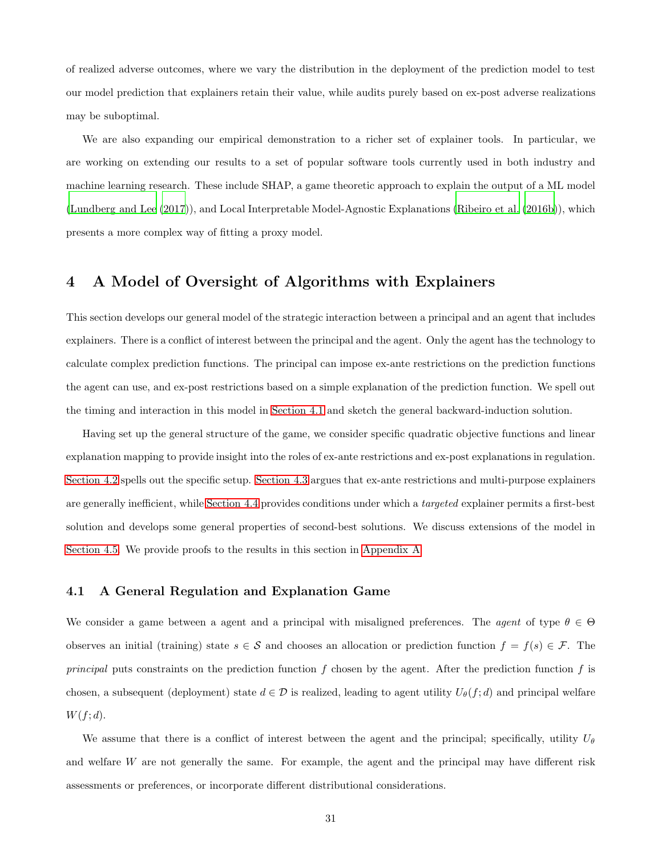of realized adverse outcomes, where we vary the distribution in the deployment of the prediction model to test our model prediction that explainers retain their value, while audits purely based on ex-post adverse realizations may be suboptimal.

We are also expanding our empirical demonstration to a richer set of explainer tools. In particular, we are working on extending our results to a set of popular software tools currently used in both industry and machine learning research. These include SHAP, a game theoretic approach to explain the output of a ML model [\(Lundberg and Lee \(2017](#page-42-2))), and Local Interpretable Model-Agnostic Explanations [\(Ribeiro et al. \(2016b\)](#page-43-11)), which presents a more complex way of fitting a proxy model.

## <span id="page-30-0"></span>4 A Model of Oversight of Algorithms with Explainers

This section develops our general model of the strategic interaction between a principal and an agent that includes explainers. There is a conflict of interest between the principal and the agent. Only the agent has the technology to calculate complex prediction functions. The principal can impose ex-ante restrictions on the prediction functions the agent can use, and ex-post restrictions based on a simple explanation of the prediction function. We spell out the timing and interaction in this model in [Section 4.1](#page-30-1) and sketch the general backward-induction solution.

Having set up the general structure of the game, we consider specific quadratic objective functions and linear explanation mapping to provide insight into the roles of ex-ante restrictions and ex-post explanations in regulation. [Section 4.2](#page-32-0) spells out the specific setup. [Section 4.3](#page-34-0) argues that ex-ante restrictions and multi-purpose explainers are generally inefficient, while [Section 4.4](#page-36-0) provides conditions under which a targeted explainer permits a first-best solution and develops some general properties of second-best solutions. We discuss extensions of the model in [Section 4.5.](#page-37-0) We provide proofs to the results in this section in [Appendix A](#page-47-0)

### <span id="page-30-1"></span>4.1 A General Regulation and Explanation Game

We consider a game between a agent and a principal with misaligned preferences. The agent of type  $\theta \in \Theta$ observes an initial (training) state  $s \in \mathcal{S}$  and chooses an allocation or prediction function  $f = f(s) \in \mathcal{F}$ . The principal puts constraints on the prediction function  $f$  chosen by the agent. After the prediction function  $f$  is chosen, a subsequent (deployment) state  $d \in \mathcal{D}$  is realized, leading to agent utility  $U_{\theta}(f; d)$  and principal welfare  $W(f; d)$ .

We assume that there is a conflict of interest between the agent and the principal; specifically, utility  $U_{\theta}$ and welfare W are not generally the same. For example, the agent and the principal may have different risk assessments or preferences, or incorporate different distributional considerations.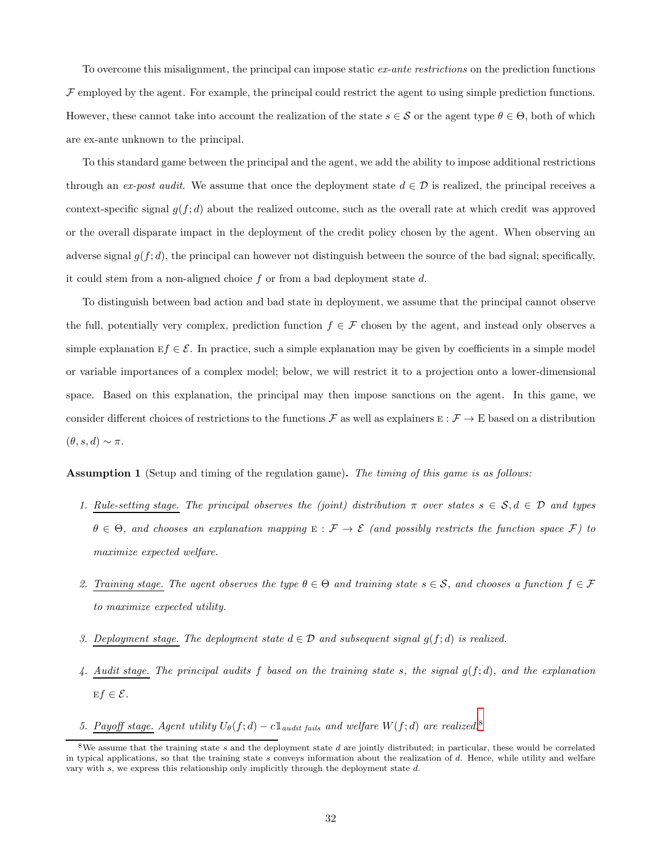To overcome this misalignment, the principal can impose static ex-ante restrictions on the prediction functions  $\mathcal F$  employed by the agent. For example, the principal could restrict the agent to using simple prediction functions. However, these cannot take into account the realization of the state  $s \in S$  or the agent type  $\theta \in \Theta$ , both of which are ex-ante unknown to the principal.

To this standard game between the principal and the agent, we add the ability to impose additional restrictions through an ex-post audit. We assume that once the deployment state  $d \in \mathcal{D}$  is realized, the principal receives a context-specific signal  $g(f; d)$  about the realized outcome, such as the overall rate at which credit was approved or the overall disparate impact in the deployment of the credit policy chosen by the agent. When observing an adverse signal  $g(f; d)$ , the principal can however not distinguish between the source of the bad signal; specifically, it could stem from a non-aligned choice  $f$  or from a bad deployment state  $d$ .

To distinguish between bad action and bad state in deployment, we assume that the principal cannot observe the full, potentially very complex, prediction function  $f \in \mathcal{F}$  chosen by the agent, and instead only observes a simple explanation  $Ef \in \mathcal{E}$ . In practice, such a simple explanation may be given by coefficients in a simple model or variable importances of a complex model; below, we will restrict it to a projection onto a lower-dimensional space. Based on this explanation, the principal may then impose sanctions on the agent. In this game, we consider different choices of restrictions to the functions  $\mathcal F$  as well as explainers  $E: \mathcal F \to E$  based on a distribution  $(\theta, s, d) \sim \pi$ .

<span id="page-31-0"></span>Assumption 1 (Setup and timing of the regulation game). The timing of this game is as follows:

- 1. Rule-setting stage. The principal observes the (joint) distribution  $\pi$  over states  $s \in S, d \in \mathcal{D}$  and types  $\theta \in \Theta$ , and chooses an explanation mapping  $E : \mathcal{F} \to \mathcal{E}$  (and possibly restricts the function space  $\mathcal{F}$ ) to maximize expected welfare.
- 2. Training stage. The agent observes the type  $\theta \in \Theta$  and training state  $s \in \mathcal{S}$ , and chooses a function  $f \in \mathcal{F}$ to maximize expected utility.
- 3. Deployment stage. The deployment state  $d \in \mathcal{D}$  and subsequent signal  $q(f; d)$  is realized.
- 4. Audit stage. The principal audits  $f$  based on the training state  $s$ , the signal  $g(f; d)$ , and the explanation  $Ef \in \mathcal{E}$ .
- 5. Payoff stage. Agent utility  $U_{\theta}(f; d) c \mathbb{1}_{audit \ fails}$  and welfare  $W(f; d)$  are realized.<sup>8</sup>

<sup>&</sup>lt;sup>8</sup>We assume that the training state s and the deployment state d are jointly distributed; in particular, these would be correlated in typical applications, so that the training state s conveys information about the realization of d. Hence, while utility and welfare vary with  $s$ , we express this relationship only implicitly through the deployment state  $d$ .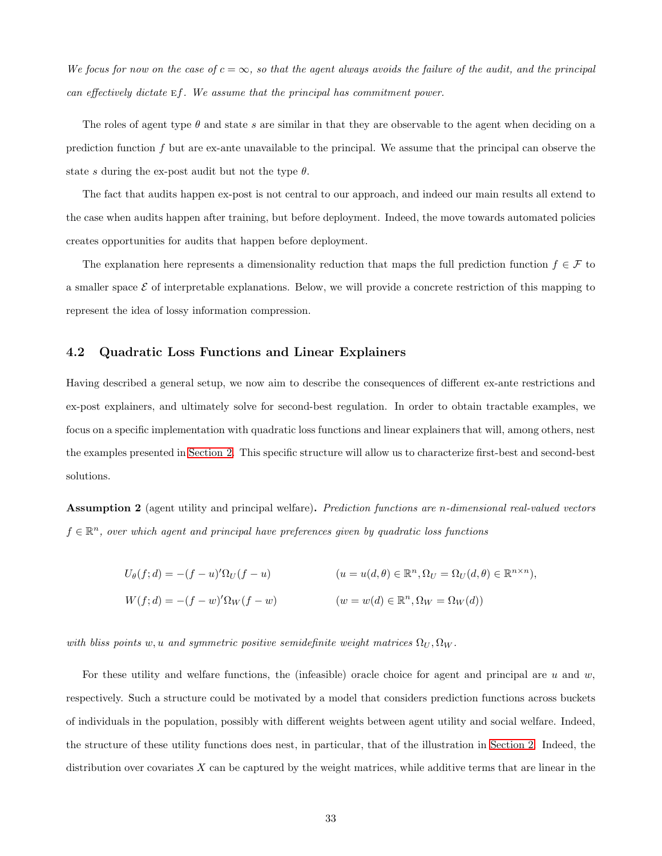We focus for now on the case of  $c = \infty$ , so that the agent always avoids the failure of the audit, and the principal can effectively dictate ef. We assume that the principal has commitment power.

The roles of agent type  $\theta$  and state s are similar in that they are observable to the agent when deciding on a prediction function f but are ex-ante unavailable to the principal. We assume that the principal can observe the state s during the ex-post audit but not the type  $\theta$ .

The fact that audits happen ex-post is not central to our approach, and indeed our main results all extend to the case when audits happen after training, but before deployment. Indeed, the move towards automated policies creates opportunities for audits that happen before deployment.

<span id="page-32-0"></span>The explanation here represents a dimensionality reduction that maps the full prediction function  $f \in \mathcal{F}$  to a smaller space  $\mathcal E$  of interpretable explanations. Below, we will provide a concrete restriction of this mapping to represent the idea of lossy information compression.

### 4.2 Quadratic Loss Functions and Linear Explainers

Having described a general setup, we now aim to describe the consequences of different ex-ante restrictions and ex-post explainers, and ultimately solve for second-best regulation. In order to obtain tractable examples, we focus on a specific implementation with quadratic loss functions and linear explainers that will, among others, nest the examples presented in [Section 2.](#page-8-0) This specific structure will allow us to characterize first-best and second-best solutions.

<span id="page-32-1"></span>Assumption 2 (agent utility and principal welfare). Prediction functions are n-dimensional real-valued vectors  $f \in \mathbb{R}^n$ , over which agent and principal have preferences given by quadratic loss functions

$$
U_{\theta}(f; d) = -(f - u)^{\prime} \Omega_{U}(f - u)
$$
\n
$$
(u = u(d, \theta) \in \mathbb{R}^{n}, \Omega_{U} = \Omega_{U}(d, \theta) \in \mathbb{R}^{n \times n}),
$$
\n
$$
W(f; d) = -(f - w)^{\prime} \Omega_{W}(f - w)
$$
\n
$$
(w = w(d) \in \mathbb{R}^{n}, \Omega_{W} = \Omega_{W}(d))
$$

with bliss points w, u and symmetric positive semidefinite weight matrices  $\Omega_U, \Omega_W$ .

For these utility and welfare functions, the (infeasible) oracle choice for agent and principal are  $u$  and  $w$ , respectively. Such a structure could be motivated by a model that considers prediction functions across buckets of individuals in the population, possibly with different weights between agent utility and social welfare. Indeed, the structure of these utility functions does nest, in particular, that of the illustration in [Section 2.](#page-8-0) Indeed, the distribution over covariates  $X$  can be captured by the weight matrices, while additive terms that are linear in the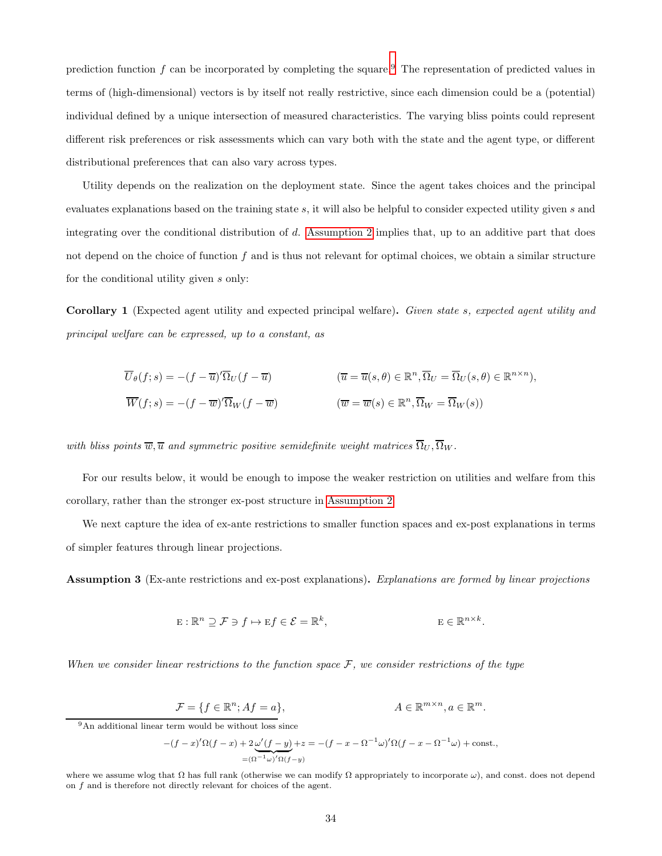prediction function  $f$  can be incorporated by completing the square.<sup>9</sup> The representation of predicted values in terms of (high-dimensional) vectors is by itself not really restrictive, since each dimension could be a (potential) individual defined by a unique intersection of measured characteristics. The varying bliss points could represent different risk preferences or risk assessments which can vary both with the state and the agent type, or different distributional preferences that can also vary across types.

Utility depends on the realization on the deployment state. Since the agent takes choices and the principal evaluates explanations based on the training state s, it will also be helpful to consider expected utility given s and integrating over the conditional distribution of d. [Assumption 2](#page-32-1) implies that, up to an additive part that does not depend on the choice of function  $f$  and is thus not relevant for optimal choices, we obtain a similar structure for the conditional utility given s only:

<span id="page-33-0"></span>Corollary 1 (Expected agent utility and expected principal welfare). Given state s, expected agent utility and principal welfare can be expressed, up to a constant, as

$$
\overline{U}_{\theta}(f;s) = -(f - \overline{u})'\overline{\Omega}_U(f - \overline{u}) \qquad (\overline{u} = \overline{u}(s,\theta) \in \mathbb{R}^n, \overline{\Omega}_U = \overline{\Omega}_U(s,\theta) \in \mathbb{R}^{n \times n}),
$$
  

$$
\overline{W}(f;s) = -(f - \overline{w})'\overline{\Omega}_W(f - \overline{w}) \qquad (\overline{w} = \overline{w}(s) \in \mathbb{R}^n, \overline{\Omega}_W = \overline{\Omega}_W(s))
$$

with bliss points  $\overline{w}, \overline{u}$  and symmetric positive semidefinite weight matrices  $\overline{\Omega}_U, \overline{\Omega}_W$ .

For our results below, it would be enough to impose the weaker restriction on utilities and welfare from this corollary, rather than the stronger ex-post structure in [Assumption 2.](#page-32-1)

We next capture the idea of ex-ante restrictions to smaller function spaces and ex-post explanations in terms of simpler features through linear projections.

Assumption 3 (Ex-ante restrictions and ex-post explanations). Explanations are formed by linear projections

$$
\mathbf{E}: \mathbb{R}^n \supseteq \mathcal{F} \ni f \mapsto \mathbf{E}f \in \mathcal{E} = \mathbb{R}^k, \qquad \qquad \mathbf{E} \in \mathbb{R}^{n \times k}.
$$

When we consider linear restrictions to the function space  $F$ , we consider restrictions of the type

$$
\mathcal{F} = \{ f \in \mathbb{R}^n; Af = a \}, \qquad A \in \mathbb{R}^{m \times n}, a \in \mathbb{R}^m.
$$

 $9\,\mathrm{An}$  additional linear term would be without loss since

$$
-(f-x)'\Omega(f-x) + 2\omega'(f-y) + z = -(f-x - \Omega^{-1}\omega)'\Omega(f-x - \Omega^{-1}\omega) + \text{const.},
$$
  

$$
=(\Omega^{-1}\omega)'\Omega(f-y)
$$

where we assume wlog that  $\Omega$  has full rank (otherwise we can modify  $\Omega$  appropriately to incorporate  $\omega$ ), and const. does not depend on f and is therefore not directly relevant for choices of the agent.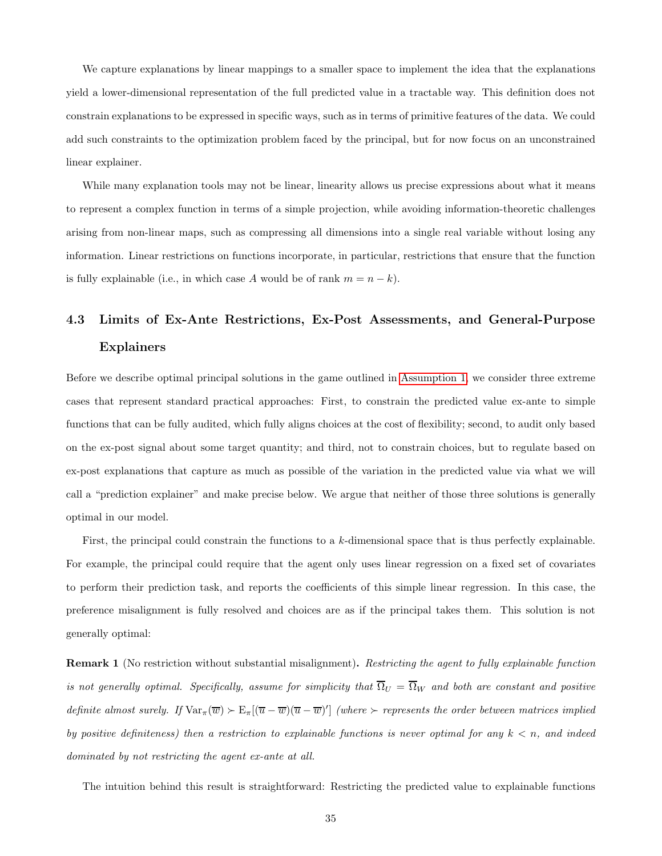We capture explanations by linear mappings to a smaller space to implement the idea that the explanations yield a lower-dimensional representation of the full predicted value in a tractable way. This definition does not constrain explanations to be expressed in specific ways, such as in terms of primitive features of the data. We could add such constraints to the optimization problem faced by the principal, but for now focus on an unconstrained linear explainer.

While many explanation tools may not be linear, linearity allows us precise expressions about what it means to represent a complex function in terms of a simple projection, while avoiding information-theoretic challenges arising from non-linear maps, such as compressing all dimensions into a single real variable without losing any information. Linear restrictions on functions incorporate, in particular, restrictions that ensure that the function is fully explainable (i.e., in which case A would be of rank  $m = n - k$ ).

# <span id="page-34-0"></span>4.3 Limits of Ex-Ante Restrictions, Ex-Post Assessments, and General-Purpose Explainers

Before we describe optimal principal solutions in the game outlined in [Assumption 1,](#page-31-0) we consider three extreme cases that represent standard practical approaches: First, to constrain the predicted value ex-ante to simple functions that can be fully audited, which fully aligns choices at the cost of flexibility; second, to audit only based on the ex-post signal about some target quantity; and third, not to constrain choices, but to regulate based on ex-post explanations that capture as much as possible of the variation in the predicted value via what we will call a "prediction explainer" and make precise below. We argue that neither of those three solutions is generally optimal in our model.

First, the principal could constrain the functions to a k-dimensional space that is thus perfectly explainable. For example, the principal could require that the agent only uses linear regression on a fixed set of covariates to perform their prediction task, and reports the coefficients of this simple linear regression. In this case, the preference misalignment is fully resolved and choices are as if the principal takes them. This solution is not generally optimal:

<span id="page-34-1"></span>**Remark 1** (No restriction without substantial misalignment). Restricting the agent to fully explainable function is not generally optimal. Specifically, assume for simplicity that  $\overline{\Omega}_U = \overline{\Omega}_W$  and both are constant and positive definite almost surely. If  $\text{Var}_{\pi}(\overline{w}) \succ E_{\pi}[(\overline{u}-\overline{w})(\overline{u}-\overline{w})']$  (where  $\succ$  represents the order between matrices implied by positive definiteness) then a restriction to explainable functions is never optimal for any  $k < n$ , and indeed dominated by not restricting the agent ex-ante at all.

The intuition behind this result is straightforward: Restricting the predicted value to explainable functions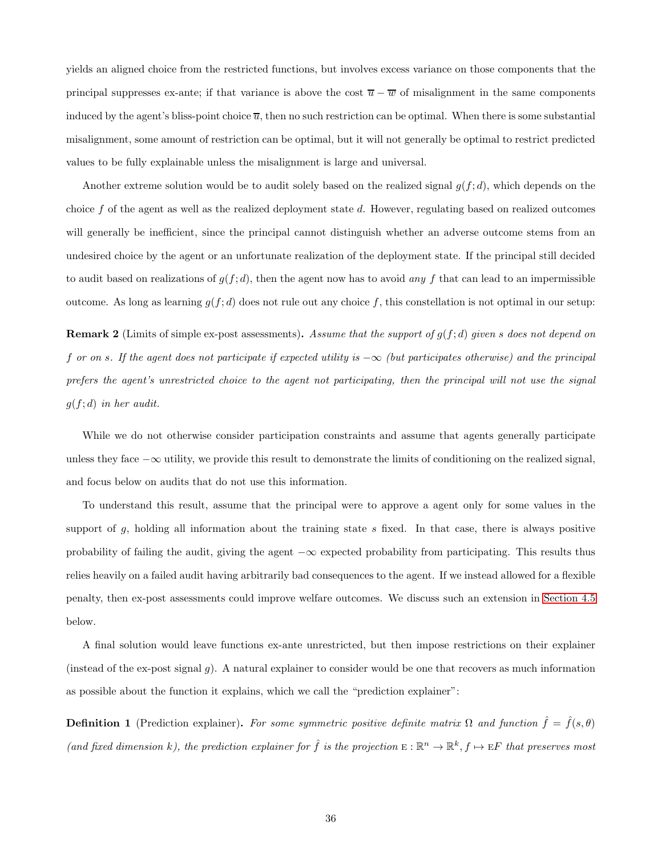yields an aligned choice from the restricted functions, but involves excess variance on those components that the principal suppresses ex-ante; if that variance is above the cost  $\overline{u} - \overline{w}$  of misalignment in the same components induced by the agent's bliss-point choice  $\overline{u}$ , then no such restriction can be optimal. When there is some substantial misalignment, some amount of restriction can be optimal, but it will not generally be optimal to restrict predicted values to be fully explainable unless the misalignment is large and universal.

Another extreme solution would be to audit solely based on the realized signal  $g(f; d)$ , which depends on the choice  $f$  of the agent as well as the realized deployment state  $d$ . However, regulating based on realized outcomes will generally be inefficient, since the principal cannot distinguish whether an adverse outcome stems from an undesired choice by the agent or an unfortunate realization of the deployment state. If the principal still decided to audit based on realizations of  $g(f; d)$ , then the agent now has to avoid any f that can lead to an impermissible outcome. As long as learning  $g(f; d)$  does not rule out any choice f, this constellation is not optimal in our setup:

<span id="page-35-0"></span>**Remark 2** (Limits of simple ex-post assessments). Assume that the support of  $g(f; d)$  given s does not depend on f or on s. If the agent does not participate if expected utility is  $-\infty$  (but participates otherwise) and the principal prefers the agent's unrestricted choice to the agent not participating, then the principal will not use the signal  $g(f; d)$  in her audit.

While we do not otherwise consider participation constraints and assume that agents generally participate unless they face  $-\infty$  utility, we provide this result to demonstrate the limits of conditioning on the realized signal, and focus below on audits that do not use this information.

To understand this result, assume that the principal were to approve a agent only for some values in the support of  $g$ , holding all information about the training state  $s$  fixed. In that case, there is always positive probability of failing the audit, giving the agent −∞ expected probability from participating. This results thus relies heavily on a failed audit having arbitrarily bad consequences to the agent. If we instead allowed for a flexible penalty, then ex-post assessments could improve welfare outcomes. We discuss such an extension in [Section 4.5](#page-37-0) below.

A final solution would leave functions ex-ante unrestricted, but then impose restrictions on their explainer (instead of the ex-post signal  $g$ ). A natural explainer to consider would be one that recovers as much information as possible about the function it explains, which we call the "prediction explainer":

**Definition 1** (Prediction explainer). For some symmetric positive definite matrix  $\Omega$  and function  $\hat{f} = \hat{f}(s,\theta)$ (and fixed dimension k), the prediction explainer for  $\hat{f}$  is the projection  $E: \mathbb{R}^n \to \mathbb{R}^k$ ,  $f \mapsto EF$  that preserves most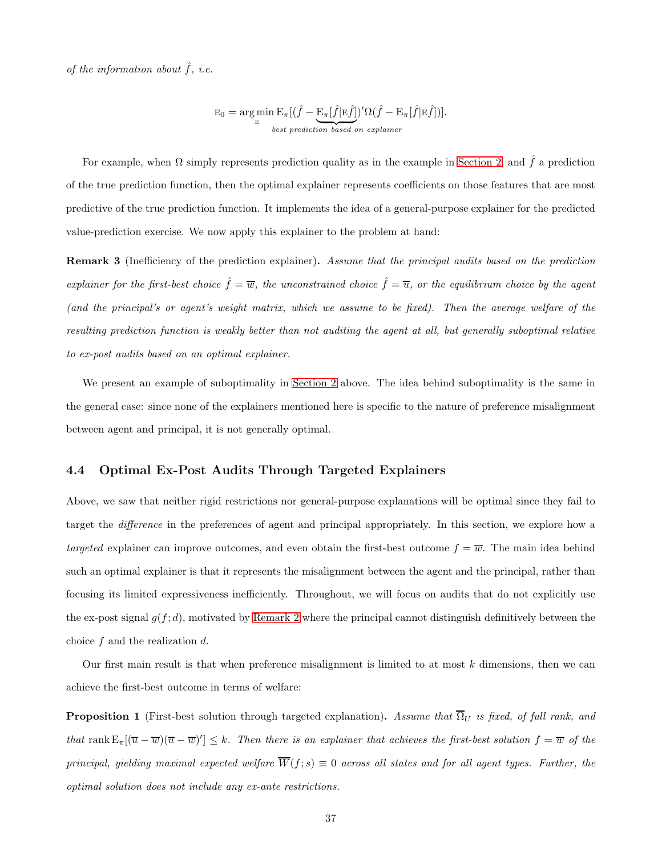of the information about  $\hat{f}$ , i.e.

$$
E_0 = \argmin_{E} E_{\pi}[(\hat{f} - \underbrace{E_{\pi}[\hat{f}|E\hat{f}]}_{best\,\,prediction\,\,based\,\,on\,\,explained} )' \Omega(\hat{f} - E_{\pi}[\hat{f}|E\hat{f}])].
$$

For example, when  $\Omega$  simply represents prediction quality as in the example in [Section 2,](#page-8-0) and  $\hat{f}$  a prediction of the true prediction function, then the optimal explainer represents coefficients on those features that are most predictive of the true prediction function. It implements the idea of a general-purpose explainer for the predicted value-prediction exercise. We now apply this explainer to the problem at hand:

<span id="page-36-2"></span>Remark 3 (Inefficiency of the prediction explainer). Assume that the principal audits based on the prediction explainer for the first-best choice  $\hat{f} = \overline{w}$ , the unconstrained choice  $\hat{f} = \overline{u}$ , or the equilibrium choice by the agent (and the principal's or agent's weight matrix, which we assume to be fixed). Then the average welfare of the resulting prediction function is weakly better than not auditing the agent at all, but generally suboptimal relative to ex-post audits based on an optimal explainer.

<span id="page-36-0"></span>We present an example of suboptimality in [Section 2](#page-8-0) above. The idea behind suboptimality is the same in the general case: since none of the explainers mentioned here is specific to the nature of preference misalignment between agent and principal, it is not generally optimal.

#### 4.4 Optimal Ex-Post Audits Through Targeted Explainers

Above, we saw that neither rigid restrictions nor general-purpose explanations will be optimal since they fail to target the difference in the preferences of agent and principal appropriately. In this section, we explore how a targeted explainer can improve outcomes, and even obtain the first-best outcome  $f = \overline{w}$ . The main idea behind such an optimal explainer is that it represents the misalignment between the agent and the principal, rather than focusing its limited expressiveness inefficiently. Throughout, we will focus on audits that do not explicitly use the ex-post signal  $g(f; d)$ , motivated by [Remark 2](#page-35-0) where the principal cannot distinguish definitively between the choice  $f$  and the realization  $d$ .

Our first main result is that when preference misalignment is limited to at most  $k$  dimensions, then we can achieve the first-best outcome in terms of welfare:

<span id="page-36-1"></span>**Proposition 1** (First-best solution through targeted explanation). Assume that  $\overline{\Omega}_U$  is fixed, of full rank, and that rank  $E_{\pi}[(\overline{u}-\overline{w})(\overline{u}-\overline{w})'] \leq k$ . Then there is an explainer that achieves the first-best solution  $f = \overline{w}$  of the principal, yielding maximal expected welfare  $\overline{W}(f;s) \equiv 0$  across all states and for all agent types. Further, the optimal solution does not include any ex-ante restrictions.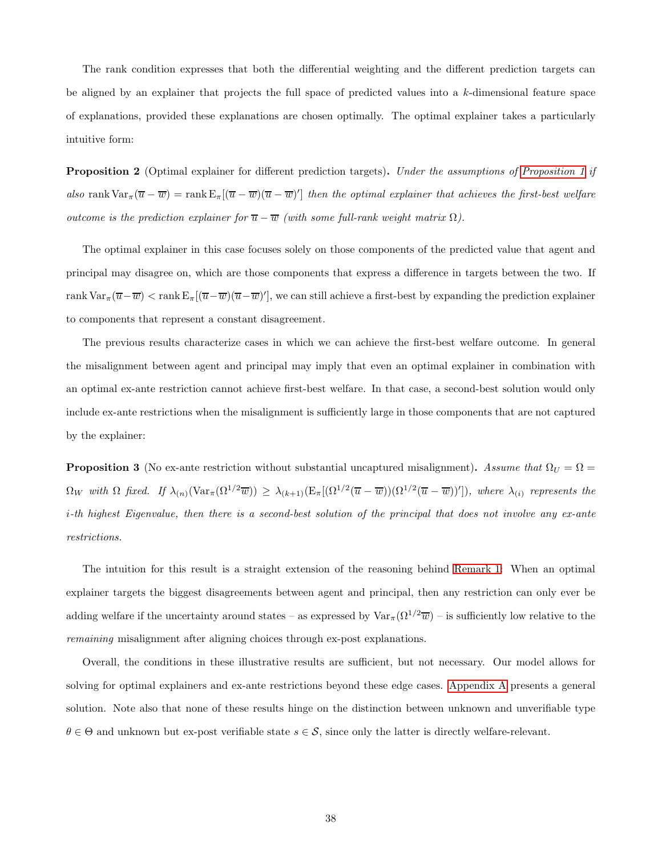The rank condition expresses that both the differential weighting and the different prediction targets can be aligned by an explainer that projects the full space of predicted values into a k-dimensional feature space of explanations, provided these explanations are chosen optimally. The optimal explainer takes a particularly intuitive form:

<span id="page-37-1"></span>**Proposition 2** (Optimal explainer for different prediction targets). Under the assumptions of [Proposition 1](#page-36-1) if also rank  $\text{Var}_{\pi}(\overline{u} - \overline{w}) = \text{rank } \text{E}_{\pi}[(\overline{u} - \overline{w})(\overline{u} - \overline{w})']$  then the optimal explainer that achieves the first-best welfare outcome is the prediction explainer for  $\overline{u} - \overline{w}$  (with some full-rank weight matrix  $\Omega$ ).

The optimal explainer in this case focuses solely on those components of the predicted value that agent and principal may disagree on, which are those components that express a difference in targets between the two. If  $\text{rank} \, \text{Var}_{\pi}(\overline{u}-\overline{w}) < \text{rank} \, \text{E}_{\pi}[(\overline{u}-\overline{w})(\overline{u}-\overline{w})'],$  we can still achieve a first-best by expanding the prediction explainer to components that represent a constant disagreement.

The previous results characterize cases in which we can achieve the first-best welfare outcome. In general the misalignment between agent and principal may imply that even an optimal explainer in combination with an optimal ex-ante restriction cannot achieve first-best welfare. In that case, a second-best solution would only include ex-ante restrictions when the misalignment is sufficiently large in those components that are not captured by the explainer:

<span id="page-37-2"></span>**Proposition 3** (No ex-ante restriction without substantial uncaptured misalignment). Assume that  $\Omega_U = \Omega =$  $\Omega_W$  with  $\Omega$  fixed. If  $\lambda_{(n)}(\text{Var}_{\pi}(\Omega^{1/2}\overline{w})) \geq \lambda_{(k+1)}(\text{E}_{\pi}[(\Omega^{1/2}(\overline{u}-\overline{w}))(\Omega^{1/2}(\overline{u}-\overline{w}))'])$ , where  $\lambda_{(i)}$  represents the i-th highest Eigenvalue, then there is a second-best solution of the principal that does not involve any ex-ante restrictions.

The intuition for this result is a straight extension of the reasoning behind [Remark 1:](#page-34-1) When an optimal explainer targets the biggest disagreements between agent and principal, then any restriction can only ever be adding welfare if the uncertainty around states – as expressed by  $\text{Var}_{\pi}(\Omega^{1/2}\overline{w})$  – is sufficiently low relative to the remaining misalignment after aligning choices through ex-post explanations.

<span id="page-37-0"></span>Overall, the conditions in these illustrative results are sufficient, but not necessary. Our model allows for solving for optimal explainers and ex-ante restrictions beyond these edge cases. [Appendix A](#page-47-0) presents a general solution. Note also that none of these results hinge on the distinction between unknown and unverifiable type  $\theta \in \Theta$  and unknown but ex-post verifiable state  $s \in \mathcal{S}$ , since only the latter is directly welfare-relevant.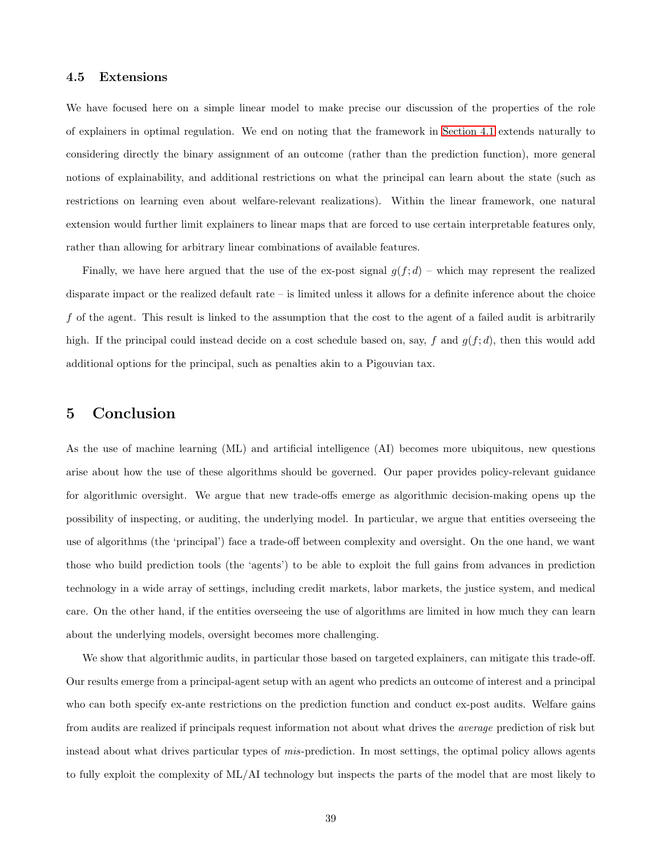### 4.5 Extensions

We have focused here on a simple linear model to make precise our discussion of the properties of the role of explainers in optimal regulation. We end on noting that the framework in [Section 4.1](#page-30-1) extends naturally to considering directly the binary assignment of an outcome (rather than the prediction function), more general notions of explainability, and additional restrictions on what the principal can learn about the state (such as restrictions on learning even about welfare-relevant realizations). Within the linear framework, one natural extension would further limit explainers to linear maps that are forced to use certain interpretable features only, rather than allowing for arbitrary linear combinations of available features.

Finally, we have here argued that the use of the ex-post signal  $g(f; d)$  – which may represent the realized disparate impact or the realized default rate – is limited unless it allows for a definite inference about the choice f of the agent. This result is linked to the assumption that the cost to the agent of a failed audit is arbitrarily high. If the principal could instead decide on a cost schedule based on, say, f and  $g(f; d)$ , then this would add additional options for the principal, such as penalties akin to a Pigouvian tax.

### <span id="page-38-0"></span>5 Conclusion

As the use of machine learning (ML) and artificial intelligence (AI) becomes more ubiquitous, new questions arise about how the use of these algorithms should be governed. Our paper provides policy-relevant guidance for algorithmic oversight. We argue that new trade-offs emerge as algorithmic decision-making opens up the possibility of inspecting, or auditing, the underlying model. In particular, we argue that entities overseeing the use of algorithms (the 'principal') face a trade-off between complexity and oversight. On the one hand, we want those who build prediction tools (the 'agents') to be able to exploit the full gains from advances in prediction technology in a wide array of settings, including credit markets, labor markets, the justice system, and medical care. On the other hand, if the entities overseeing the use of algorithms are limited in how much they can learn about the underlying models, oversight becomes more challenging.

We show that algorithmic audits, in particular those based on targeted explainers, can mitigate this trade-off. Our results emerge from a principal-agent setup with an agent who predicts an outcome of interest and a principal who can both specify ex-ante restrictions on the prediction function and conduct ex-post audits. Welfare gains from audits are realized if principals request information not about what drives the average prediction of risk but instead about what drives particular types of mis-prediction. In most settings, the optimal policy allows agents to fully exploit the complexity of ML/AI technology but inspects the parts of the model that are most likely to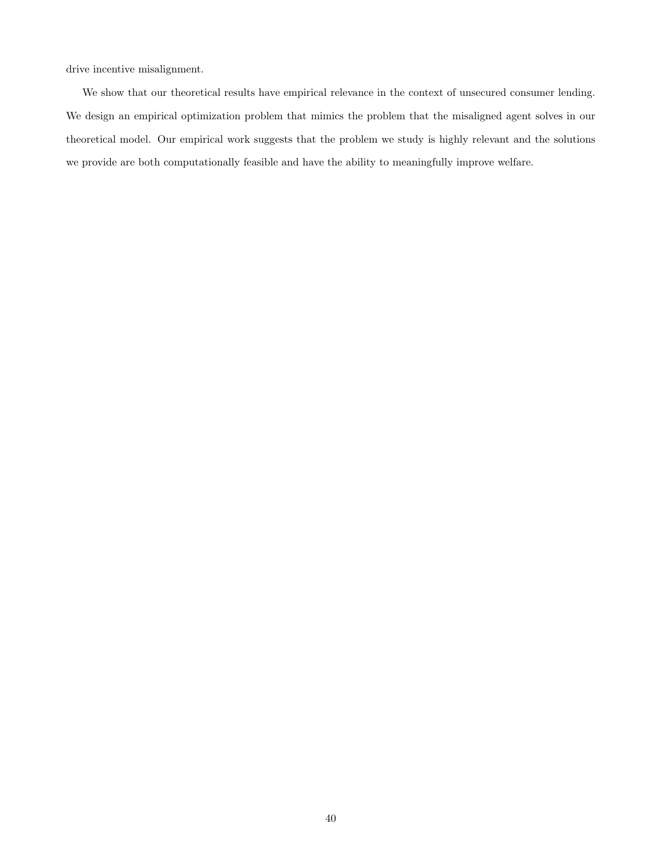drive incentive misalignment.

We show that our theoretical results have empirical relevance in the context of unsecured consumer lending. We design an empirical optimization problem that mimics the problem that the misaligned agent solves in our theoretical model. Our empirical work suggests that the problem we study is highly relevant and the solutions we provide are both computationally feasible and have the ability to meaningfully improve welfare.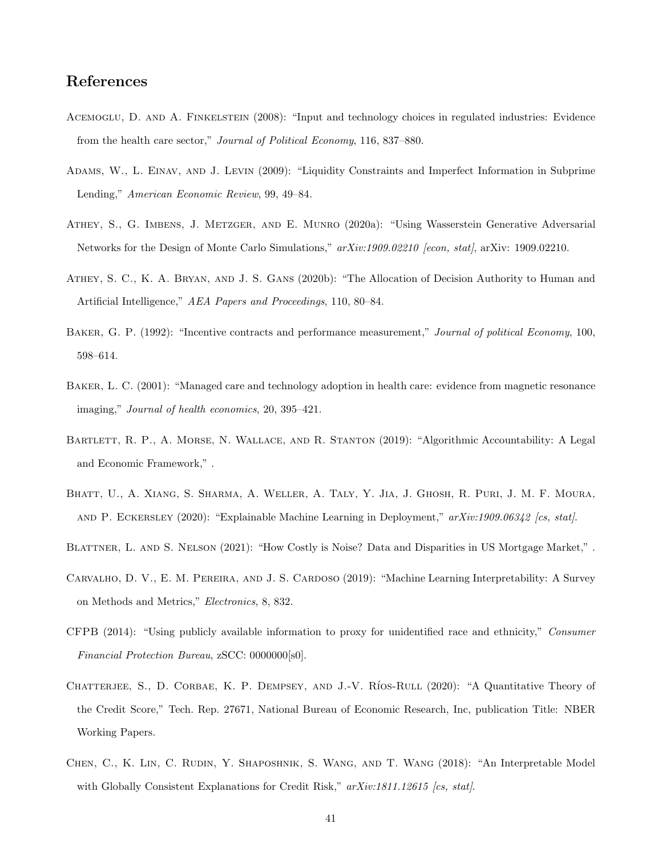## References

- <span id="page-40-10"></span>ACEMOGLU, D. AND A. FINKELSTEIN (2008): "Input and technology choices in regulated industries: Evidence from the health care sector," Journal of Political Economy, 116, 837–880.
- <span id="page-40-6"></span>Adams, W., L. Einav, and J. Levin (2009): "Liquidity Constraints and Imperfect Information in Subprime Lending," American Economic Review, 99, 49–84.
- <span id="page-40-0"></span>Athey, S., G. Imbens, J. Metzger, and E. Munro (2020a): "Using Wasserstein Generative Adversarial Networks for the Design of Monte Carlo Simulations,"  $arXiv:1909.02210$  [econ, stat], arXiv: 1909.02210.
- <span id="page-40-1"></span>Athey, S. C., K. A. Bryan, and J. S. Gans (2020b): "The Allocation of Decision Authority to Human and Artificial Intelligence," AEA Papers and Proceedings, 110, 80–84.
- <span id="page-40-5"></span>BAKER, G. P. (1992): "Incentive contracts and performance measurement," Journal of political Economy, 100, 598–614.
- <span id="page-40-11"></span>Baker, L. C. (2001): "Managed care and technology adoption in health care: evidence from magnetic resonance imaging," Journal of health economics, 20, 395–421.
- <span id="page-40-9"></span>BARTLETT, R. P., A. MORSE, N. WALLACE, AND R. STANTON (2019): "Algorithmic Accountability: A Legal and Economic Framework," .
- <span id="page-40-2"></span>Bhatt, U., A. Xiang, S. Sharma, A. Weller, A. Taly, Y. Jia, J. Ghosh, R. Puri, J. M. F. Moura, and P. Eckersley (2020): "Explainable Machine Learning in Deployment," arXiv:1909.06342 [cs, stat].
- <span id="page-40-8"></span>BLATTNER, L. AND S. NELSON (2021): "How Costly is Noise? Data and Disparities in US Mortgage Market,".
- <span id="page-40-3"></span>Carvalho, D. V., E. M. Pereira, and J. S. Cardoso (2019): "Machine Learning Interpretability: A Survey on Methods and Metrics," Electronics, 8, 832.
- <span id="page-40-12"></span>CFPB (2014): "Using publicly available information to proxy for unidentified race and ethnicity," Consumer Financial Protection Bureau, zSCC: 0000000[s0].
- <span id="page-40-7"></span>CHATTERJEE, S., D. CORBAE, K. P. DEMPSEY, AND J.-V. RÍOS-RULL (2020): "A Quantitative Theory of the Credit Score," Tech. Rep. 27671, National Bureau of Economic Research, Inc, publication Title: NBER Working Papers.
- <span id="page-40-4"></span>Chen, C., K. Lin, C. Rudin, Y. Shaposhnik, S. Wang, and T. Wang (2018): "An Interpretable Model with Globally Consistent Explanations for Credit Risk,"  $arXiv:1811.12615$  [cs, stat].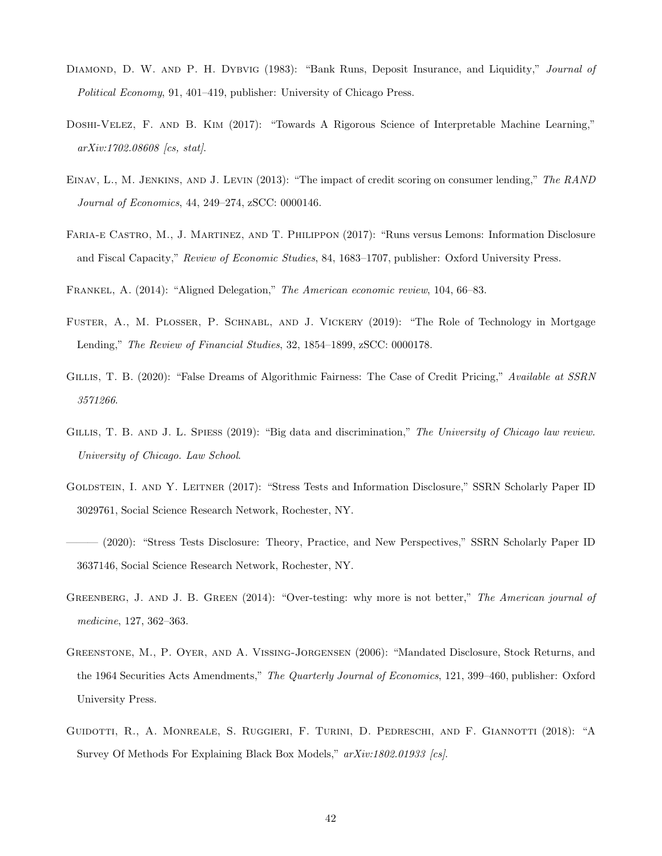- <span id="page-41-4"></span>DIAMOND, D. W. AND P. H. DYBVIG (1983): "Bank Runs, Deposit Insurance, and Liquidity," Journal of Political Economy, 91, 401–419, publisher: University of Chicago Press.
- <span id="page-41-2"></span>Doshi-Velez, F. and B. Kim (2017): "Towards A Rigorous Science of Interpretable Machine Learning," arXiv:1702.08608 [cs, stat].
- <span id="page-41-9"></span>EINAV, L., M. JENKINS, AND J. LEVIN (2013): "The impact of credit scoring on consumer lending," The RAND Journal of Economics, 44, 249–274, zSCC: 0000146.
- <span id="page-41-8"></span>Faria-e Castro, M., J. Martinez, and T. Philippon (2017): "Runs versus Lemons: Information Disclosure and Fiscal Capacity," Review of Economic Studies, 84, 1683–1707, publisher: Oxford University Press.

<span id="page-41-12"></span>Frankel, A. (2014): "Aligned Delegation," The American economic review, 104, 66–83.

- <span id="page-41-10"></span>Fuster, A., M. Plosser, P. Schnabl, and J. Vickery (2019): "The Role of Technology in Mortgage Lending," The Review of Financial Studies, 32, 1854–1899, zSCC: 0000178.
- <span id="page-41-1"></span>GILLIS, T. B. (2020): "False Dreams of Algorithmic Fairness: The Case of Credit Pricing," Available at SSRN 3571266.
- <span id="page-41-0"></span>GILLIS, T. B. AND J. L. SPIESS (2019): "Big data and discrimination," The University of Chicago law review. University of Chicago. Law School.
- <span id="page-41-7"></span>Goldstein, I. and Y. Leitner (2017): "Stress Tests and Information Disclosure," SSRN Scholarly Paper ID 3029761, Social Science Research Network, Rochester, NY.
- <span id="page-41-6"></span>——— (2020): "Stress Tests Disclosure: Theory, Practice, and New Perspectives," SSRN Scholarly Paper ID 3637146, Social Science Research Network, Rochester, NY.
- <span id="page-41-11"></span>GREENBERG, J. AND J. B. GREEN (2014): "Over-testing: why more is not better," The American journal of medicine, 127, 362–363.
- <span id="page-41-5"></span>Greenstone, M., P. Oyer, and A. Vissing-Jorgensen (2006): "Mandated Disclosure, Stock Returns, and the 1964 Securities Acts Amendments," The Quarterly Journal of Economics, 121, 399–460, publisher: Oxford University Press.
- <span id="page-41-3"></span>GUIDOTTI, R., A. MONREALE, S. RUGGIERI, F. TURINI, D. PEDRESCHI, AND F. GIANNOTTI (2018): "A Survey Of Methods For Explaining Black Box Models,"  $arXiv:1802.01933$  [cs].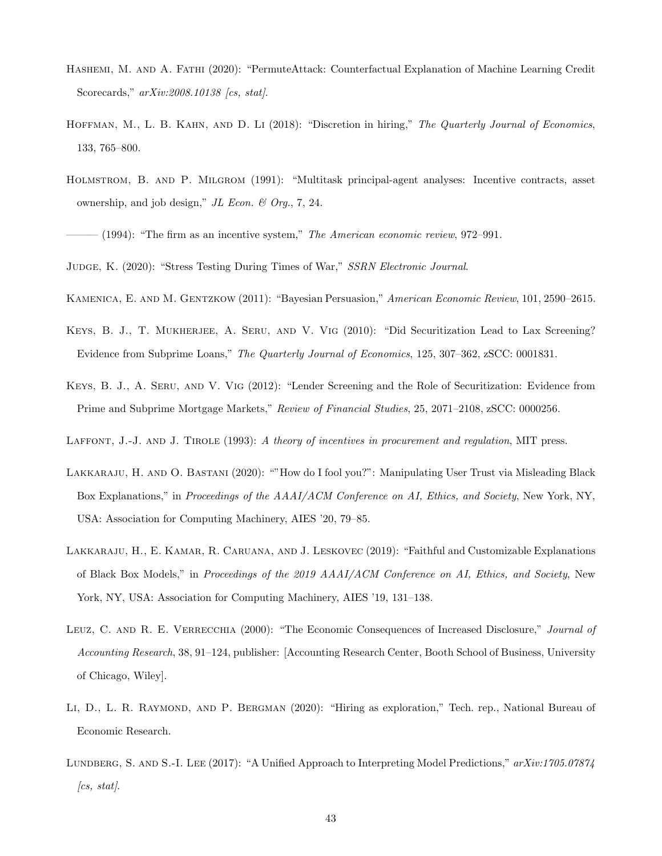- <span id="page-42-1"></span>Hashemi, M. and A. Fathi (2020): "PermuteAttack: Counterfactual Explanation of Machine Learning Credit Scorecards,"  $arXiv:2008.10138$  [cs, stat].
- <span id="page-42-12"></span>HOFFMAN, M., L. B. KAHN, AND D. Li (2018): "Discretion in hiring," The Quarterly Journal of Economics, 133, 765–800.
- <span id="page-42-7"></span>Holmstrom, B. and P. Milgrom (1991): "Multitask principal-agent analyses: Incentive contracts, asset ownership, and job design," JL Econ.  $\mathcal{B}$  Org., 7, 24.

- <span id="page-42-9"></span>Kamenica, E. and M. Gentzkow (2011): "Bayesian Persuasion," American Economic Review, 101, 2590–2615.
- <span id="page-42-11"></span>Keys, B. J., T. Mukherjee, A. Seru, and V. Vig (2010): "Did Securitization Lead to Lax Screening? Evidence from Subprime Loans," The Quarterly Journal of Economics, 125, 307–362, zSCC: 0001831.
- <span id="page-42-10"></span>Keys, B. J., A. Seru, and V. Vig (2012): "Lender Screening and the Role of Securitization: Evidence from Prime and Subprime Mortgage Markets," Review of Financial Studies, 25, 2071–2108, zSCC: 0000256.
- <span id="page-42-0"></span>LAFFONT, J.-J. AND J. TIROLE (1993): A theory of incentives in procurement and regulation, MIT press.
- <span id="page-42-3"></span>Lakkaraju, H. and O. Bastani (2020): ""How do I fool you?": Manipulating User Trust via Misleading Black Box Explanations," in *Proceedings of the AAAI/ACM Conference on AI*, *Ethics, and Society*, New York, NY, USA: Association for Computing Machinery, AIES '20, 79–85.
- <span id="page-42-4"></span>LAKKARAJU, H., E. KAMAR, R. CARUANA, AND J. LESKOVEC (2019): "Faithful and Customizable Explanations of Black Box Models," in Proceedings of the 2019 AAAI/ACM Conference on AI, Ethics, and Society, New York, NY, USA: Association for Computing Machinery, AIES '19, 131–138.
- <span id="page-42-5"></span>LEUZ, C. AND R. E. VERRECCHIA (2000): "The Economic Consequences of Increased Disclosure," Journal of Accounting Research, 38, 91–124, publisher: [Accounting Research Center, Booth School of Business, University of Chicago, Wiley].
- <span id="page-42-13"></span>LI, D., L. R. RAYMOND, AND P. BERGMAN (2020): "Hiring as exploration," Tech. rep., National Bureau of Economic Research.
- <span id="page-42-2"></span>LUNDBERG, S. AND S.-I. LEE (2017): "A Unified Approach to Interpreting Model Predictions,"  $arXiv:1705.07874$  $\int cs, stat$ .

<span id="page-42-8"></span> $-$  (1994): "The firm as an incentive system," The American economic review, 972–991.

<span id="page-42-6"></span>Judge, K. (2020): "Stress Testing During Times of War," SSRN Electronic Journal.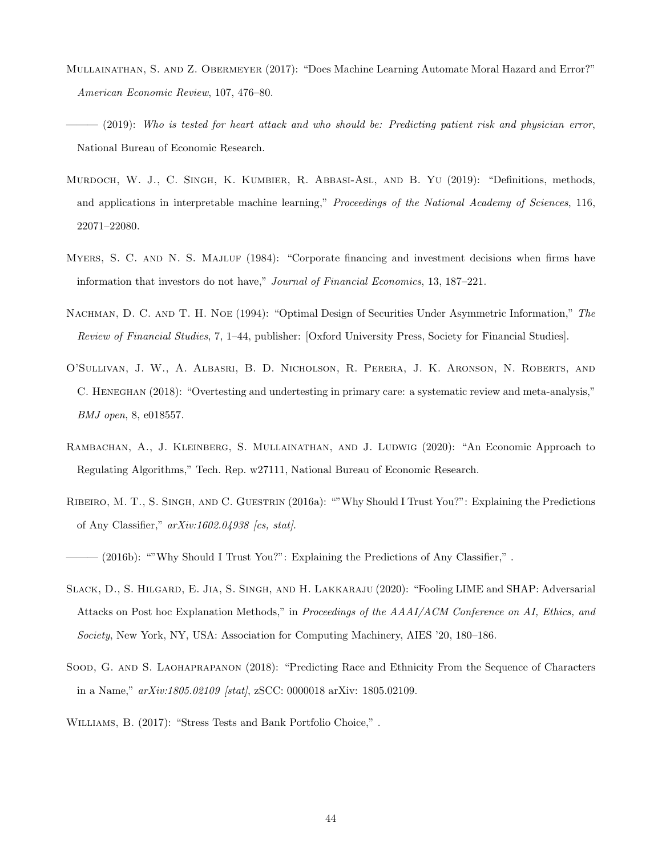- <span id="page-43-9"></span>Mullainathan, S. and Z. Obermeyer (2017): "Does Machine Learning Automate Moral Hazard and Error?" American Economic Review, 107, 476–80.
- <span id="page-43-7"></span> $-$  (2019): Who is tested for heart attack and who should be: Predicting patient risk and physician error, National Bureau of Economic Research.
- <span id="page-43-1"></span>Murdoch, W. J., C. Singh, K. Kumbier, R. Abbasi-Asl, and B. Yu (2019): "Definitions, methods, and applications in interpretable machine learning," Proceedings of the National Academy of Sciences, 116, 22071–22080.
- <span id="page-43-4"></span>MYERS, S. C. AND N. S. MAJLUF (1984): "Corporate financing and investment decisions when firms have information that investors do not have," Journal of Financial Economics, 13, 187–221.
- <span id="page-43-5"></span>NACHMAN, D. C. AND T. H. NOE (1994): "Optimal Design of Securities Under Asymmetric Information," The Review of Financial Studies, 7, 1–44, publisher: [Oxford University Press, Society for Financial Studies].
- <span id="page-43-8"></span>O'Sullivan, J. W., A. Albasri, B. D. Nicholson, R. Perera, J. K. Aronson, N. Roberts, and C. Heneghan (2018): "Overtesting and undertesting in primary care: a systematic review and meta-analysis," BMJ open, 8, e018557.
- <span id="page-43-0"></span>RAMBACHAN, A., J. KLEINBERG, S. MULLAINATHAN, AND J. LUDWIG (2020): "An Economic Approach to Regulating Algorithms," Tech. Rep. w27111, National Bureau of Economic Research.
- <span id="page-43-2"></span>Ribeiro, M. T., S. Singh, and C. Guestrin (2016a): ""Why Should I Trust You?": Explaining the Predictions of Any Classifier," arXiv:1602.04938 [cs, stat].

<span id="page-43-11"></span> $-$  (2016b): ""Why Should I Trust You?": Explaining the Predictions of Any Classifier,".

- <span id="page-43-3"></span>Slack, D., S. Hilgard, E. Jia, S. Singh, and H. Lakkaraju (2020): "Fooling LIME and SHAP: Adversarial Attacks on Post hoc Explanation Methods," in Proceedings of the AAAI/ACM Conference on AI, Ethics, and Society, New York, NY, USA: Association for Computing Machinery, AIES '20, 180–186.
- <span id="page-43-10"></span>SOOD, G. AND S. LAOHAPRAPANON (2018): "Predicting Race and Ethnicity From the Sequence of Characters in a Name,"  $arXiv:1805.02109$  [stat], zSCC: 0000018 arXiv: 1805.02109.
- <span id="page-43-6"></span>Williams, B. (2017): "Stress Tests and Bank Portfolio Choice," .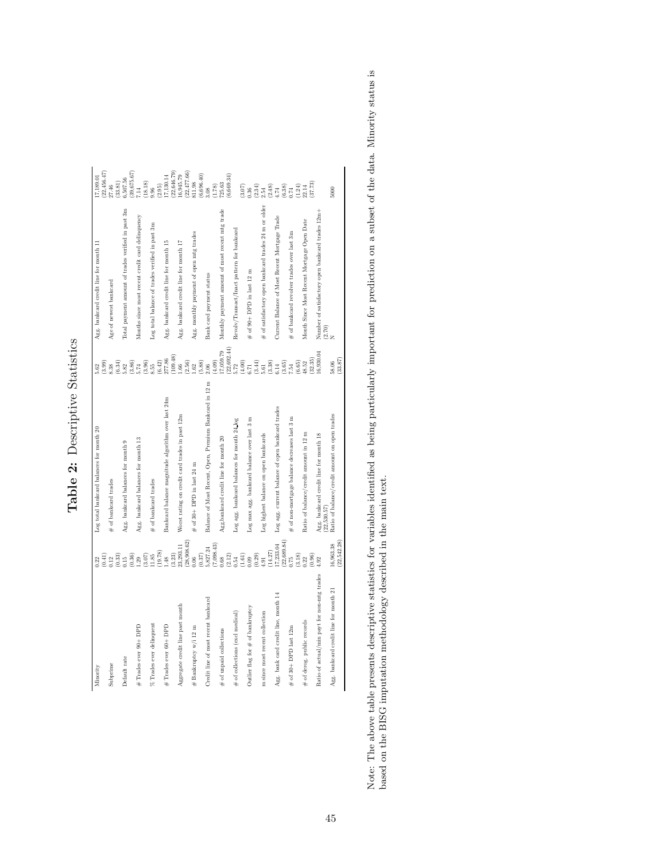| λ¢<br>Σ<br>r<br>Ş<br>Ċ<br>ŕ<br>$\overline{)}$ |
|-----------------------------------------------|
| ρ4×<br>ľ<br><b>NONDAY</b><br>ł<br>ſ           |
| i<br>C                                        |
| ï<br>م<br>م<br>í                              |

| 17,189.01                                | (22, 456.47) | 27.46                        | 33.81                                                                                    | 6,507.56                                           | (39, 675. 67)                                                   | 7.14                                             | (18.18)               | 9.96                                            | (2.95)               | 17,130.14                                          | (22, 646.79)         | 16,945.79                                      | (22,477.66) | 811.98                                  | (6,696.40) | 3.08                                                   | (1.78)                         | 725.63                                          | (6,669.34)                                    |                                             | (3.07)                        | 0.36                                        | $\begin{array}{c} (2.34) \\ 2.54 \end{array}$ |                                                      | $\begin{array}{c} (2.48) \\ 4.74 \\ (6.38) \\ 0.74 \end{array}$      |                                                  |                                                                                                                      |        | $\begin{array}{c} (1.24) \\ 22.14 \\ (37.73) \end{array}$ |         |                                                     | 5000               |                                               |
|------------------------------------------|--------------|------------------------------|------------------------------------------------------------------------------------------|----------------------------------------------------|-----------------------------------------------------------------|--------------------------------------------------|-----------------------|-------------------------------------------------|----------------------|----------------------------------------------------|----------------------|------------------------------------------------|-------------|-----------------------------------------|------------|--------------------------------------------------------|--------------------------------|-------------------------------------------------|-----------------------------------------------|---------------------------------------------|-------------------------------|---------------------------------------------|-----------------------------------------------|------------------------------------------------------|----------------------------------------------------------------------|--------------------------------------------------|----------------------------------------------------------------------------------------------------------------------|--------|-----------------------------------------------------------|---------|-----------------------------------------------------|--------------------|-----------------------------------------------|
| Agg. bankcard credit line for month 11   |              | Age of newest bankcard       |                                                                                          | Total payment amount of trades verified in past 3m |                                                                 | Months since most recent credit card delinquency |                       | Log total balance of trades verified in past 3m |                      | Agg. bankcard credit line for month 15             |                      | Agg. bankcard credit line for month 17         |             | Agg. monthly payment of open mtg trades |            | Bank card payment status                               |                                | Monthly payment amount of most recent mtg trade |                                               | Revolv/Transact/Inact pattern for bankcard  |                               | $\#$ of 90+ DPD in last 12 m                |                                               | # of satisfactory open bankcard trades 24 m or older |                                                                      | Current Balance of Most Recent Mortgage Trade    | $\#$ of bankcard revolver trades over last 3m                                                                        |        | Month Since Most Recent Mortgage Open Date                |         | Number of satisfactory open bankcard trades 12m+    | $\frac{(2.70)}{N}$ |                                               |
| 5.62                                     | (3.99)       | $\overline{\phantom{0}8.38}$ | (6.34)<br>5.82                                                                           |                                                    | $\begin{array}{c} (3.86) \\ 5.74 \\ (3.96) \\ 8.55 \end{array}$ |                                                  |                       |                                                 | $(6.42)$<br>$277.86$ |                                                    | (109.48)             | 1.66                                           | (2.56)      | 1.62                                    | (5.88)     | $2.06$                                                 | (4.09)                         | 17,059.79                                       | (22,692.44)                                   | $\frac{5.72}{(4.00)}$                       |                               |                                             |                                               |                                                      |                                                                      |                                                  | $\begin{smallmatrix} (3.4)\\ 5.61\\ 5.82\\ 6.14\\ 6.54\\ 6.65\\ 7.54\\ 6.65\\ 2.4\\ 6.52\\ 48.5\\ \end{smallmatrix}$ |        |                                                           | (32.35) | 16,930.04                                           | 58.06              | (33.87)                                       |
| Log total bankcard balances for month 20 |              | $\#$ of bankcard trades      |                                                                                          | Agg. bankcard balances for month 9                 |                                                                 | Agg. bankcard balances for month 13              |                       | $#$ of bankcard trades                          |                      | 3ankcard balance magnitude algorithm over last 24m |                      | Worst rating on credit card trades in past 12m |             | $#$ of 30 + DPD in last 24 m            |            | Balance of Most Recent, Open, Premium Bankcard in 12 m |                                | Agg.bankcard credit line for month 20           |                                               | Log agg. bankcard balances for month 24_log |                               | Log max agg. bankcard balance over last 3 m |                                               | Log highest balance on open bankcards                |                                                                      | Log agg. current balance of open bankcard trades | $\#$ of non-mortgage balance decreases last 3 m                                                                      |        | Ratio of balance/credit amount in 12 m                    |         | Agg. bankcard credit line for month 18<br>22,530.57 |                    | Ratio of balance/credit amount on open trades |
| 0.22                                     | (0.41)       |                              | $\begin{smallmatrix} 1 & 2 & 3 \\ 2 & 3 & 2 \\ 0 & 3 & 5 \\ 0 & 0 & 0 \end{smallmatrix}$ |                                                    |                                                                 |                                                  | $\binom{3.07}{11.85}$ |                                                 | (19.78)              | $\frac{48}{2}$                                     | $\left( 3.23\right)$ | 23,293.11                                      | (28,908.62) | 0.06                                    | (0.37)     | 5,827.24                                               | $\left(7,098.43\right)$ $0.68$ |                                                 | $\begin{array}{c} (2.12) \\ 0.54 \end{array}$ |                                             | $_{0.09}^{\left(1.61\right)}$ |                                             | $\begin{array}{c} (0.29) \\ 4.91 \end{array}$ |                                                      | $\begin{array}{l} (14.27) \\ 17, 233.04 \\ (22, 689.84) \end{array}$ |                                                  | 0.75                                                                                                                 | (3.18) | 0.22                                                      | (0.96)  | 4.92                                                |                    | (22,542.28)<br>16,963.38                      |
| Minority                                 |              | Subprime                     |                                                                                          | Default rate                                       |                                                                 | $#$ Trades ever 90+ DPD                          |                       | % Trades ever delinquent                        |                      | # Trades ever 60+ DPD                              |                      | Aggregate credit line past month               |             | # Bankruptcy w/i 12 m                   |            | Credit line of most recent bankcard                    |                                | of unpaid collections<br>$\ddot{}$              |                                               | $#$ of collections (excl medical)           |                               | Outlier flag for $\#$ of bankruptcy         |                                               | m since most recent collection                       |                                                                      | Agg. bank card credit line, month $14$           | of 30+ DPD last 12m<br>$\ddot{}$                                                                                     |        | of derog. public records<br>$\ddot{}$                     |         | Ratio of actual/min payt for non-mtg trades         |                    | Agg. bankcard credit line for month 21        |

<span id="page-44-0"></span>Note: The above table presents descriptive statistics for variables identified as being particularly important for prediction on a subset of the data. Minority status is based on the BISG imputation methodology described i Note: The above table presents descriptive statistics for variables identified as being particularly important for prediction on a subset of the data. Minority status is based on the BISG imputation methodology described in the main text.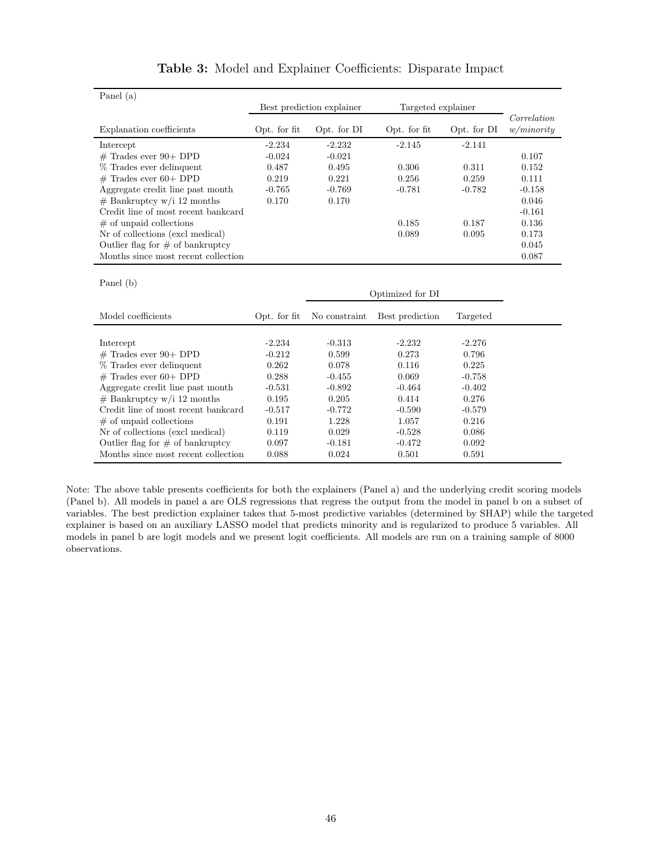<span id="page-45-0"></span>

| Panel (a)                           |              |                           |                    |             |             |
|-------------------------------------|--------------|---------------------------|--------------------|-------------|-------------|
|                                     |              | Best prediction explainer | Targeted explainer |             |             |
|                                     |              |                           |                    |             | Correlation |
| Explanation coefficients            | Opt. for fit | Opt. for DI               | Opt. for fit       | Opt. for DI | w/minority  |
| Intercept                           | $-2.234$     | $-2.232$                  | $-2.145$           | $-2.141$    |             |
| $#$ Trades ever 90+ DPD             | $-0.024$     | $-0.021$                  |                    |             | 0.107       |
| % Trades ever delinquent            | 0.487        | 0.495                     | 0.306              | 0.311       | 0.152       |
| $#$ Trades ever 60+ DPD             | 0.219        | 0.221                     | 0.256              | 0.259       | 0.111       |
| Aggregate credit line past month    | $-0.765$     | $-0.769$                  | $-0.781$           | $-0.782$    | $-0.158$    |
| $#$ Bankruptcy w/i 12 months        | 0.170        | 0.170                     |                    |             | 0.046       |
| Credit line of most recent bankcard |              |                           |                    |             | $-0.161$    |
| $\#$ of unpaid collections          |              |                           | 0.185              | 0.187       | 0.136       |
| Nr of collections (excl medical)    |              |                           | 0.089              | 0.095       | 0.173       |
| Outlier flag for $\#$ of bankruptcy |              |                           |                    |             | 0.045       |
| Months since most recent collection |              |                           |                    |             | 0.087       |
|                                     |              |                           |                    |             |             |
| Panel (b)                           |              |                           |                    |             |             |
|                                     |              |                           | Optimized for DI   |             |             |
| Model coefficients                  | Opt. for fit | No constraint             | Best prediction    | Targeted    |             |
|                                     |              |                           |                    |             |             |
| Intercept                           | $-2.234$     | $-0.313$                  | $-2.232$           | $-2.276$    |             |
| $#$ Trades ever $90+$ DPD           | $-0.212$     | 0.599                     | 0.273              | 0.796       |             |
| % Trades ever delinquent            | 0.262        | 0.078                     | 0.116              | 0.225       |             |
| $#$ Trades ever 60+ DPD             | 0.288        | $-0.455$                  | 0.069              | $-0.758$    |             |
| Aggregate credit line past month    | $-0.531$     | $-0.892$                  | $-0.464$           | $-0.402$    |             |
| $#$ Bankruptcy w/i 12 months        | 0.195        | 0.205                     | 0.414              | 0.276       |             |
| Credit line of most recent bankcard | $-0.517$     | $-0.772$                  | $-0.590$           | $-0.579$    |             |
| $#$ of unpaid collections           | 0.191        | 1.228                     | 1.057              | 0.216       |             |
| Nr of collections (excl medical)    | 0.119        | 0.029                     | $-0.528$           | 0.086       |             |
| Outlier flag for $#$ of bankruptcy  | 0.097        | $-0.181$                  | $-0.472$           | 0.092       |             |
| Months since most recent collection | 0.088        | 0.024                     | 0.501              | 0.591       |             |

| Table 3: Model and Explainer Coefficients: Disparate Impact |  |
|-------------------------------------------------------------|--|
|-------------------------------------------------------------|--|

Note: The above table presents coefficients for both the explainers (Panel a) and the underlying credit scoring models (Panel b). All models in panel a are OLS regressions that regress the output from the model in panel b on a subset of variables. The best prediction explainer takes that 5-most predictive variables (determined by SHAP) while the targeted explainer is based on an auxiliary LASSO model that predicts minority and is regularized to produce 5 variables. All models in panel b are logit models and we present logit coefficients. All models are run on a training sample of 8000 observations.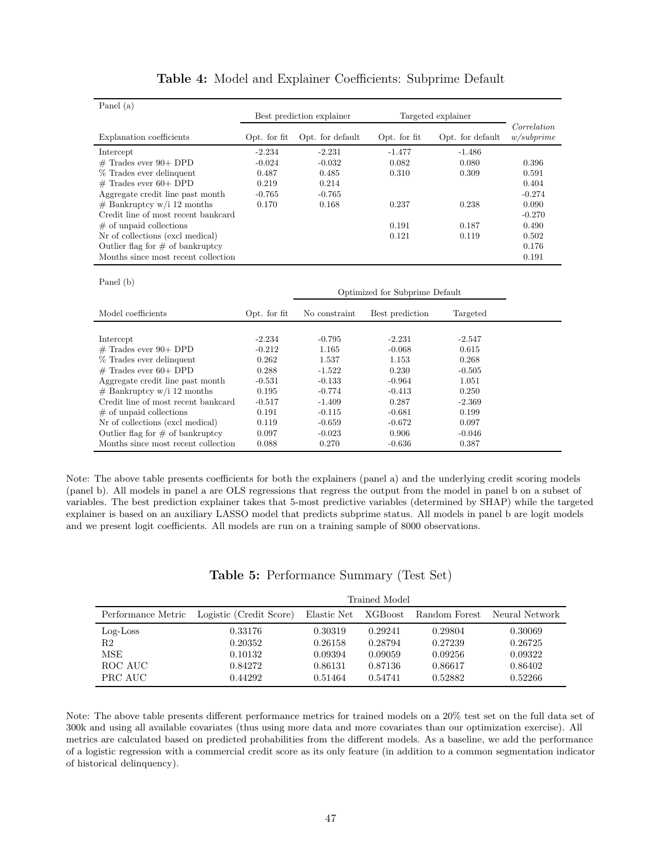<span id="page-46-1"></span>

| Panel $(a)$                                                                |                |                           |                                |                   |             |
|----------------------------------------------------------------------------|----------------|---------------------------|--------------------------------|-------------------|-------------|
|                                                                            |                | Best prediction explainer | Targeted explainer             |                   |             |
|                                                                            |                |                           |                                |                   | Correlation |
| Explanation coefficients                                                   | Opt. for fit   | Opt. for default          | Opt. for fit                   | Opt. for default  | w/subprime  |
| Intercept                                                                  | $-2.234$       | $-2.231$                  | $-1.477$                       | $-1.486$          |             |
| $#$ Trades ever $90+$ DPD                                                  | $-0.024$       | $-0.032$                  | 0.082                          | 0.080             | 0.396       |
| % Trades ever delinquent                                                   | 0.487          | 0.485                     | 0.310                          | 0.309             | 0.591       |
| $#$ Trades ever 60+ DPD                                                    | 0.219          | 0.214                     |                                |                   | 0.404       |
| Aggregate credit line past month                                           | $-0.765$       | $-0.765$                  |                                |                   | $-0.274$    |
| $#$ Bankruptcy w/i 12 months                                               | 0.170          | 0.168                     | 0.237                          | 0.238             | 0.090       |
| Credit line of most recent bankcard                                        |                |                           |                                |                   | $-0.270$    |
| $#$ of unpaid collections                                                  |                |                           | 0.191                          | 0.187             | 0.490       |
| Nr of collections (excl medical)                                           |                |                           | 0.121                          | 0.119             | 0.502       |
| Outlier flag for $\#$ of bankruptcy                                        |                |                           |                                |                   | 0.176       |
| Months since most recent collection                                        |                |                           |                                |                   | 0.191       |
|                                                                            |                |                           |                                |                   |             |
| Panel (b)                                                                  |                |                           |                                |                   |             |
|                                                                            |                |                           | Optimized for Subprime Default |                   |             |
| Model coefficients                                                         | Opt. for fit   |                           |                                |                   |             |
|                                                                            |                | No constraint             | Best prediction                | Targeted          |             |
|                                                                            |                |                           |                                |                   |             |
| Intercept                                                                  | $-2.234$       | $-0.795$                  | $-2.231$                       | $-2.547$          |             |
| $#$ Trades ever $90+$ DPD                                                  | $-0.212$       | 1.165                     | $-0.068$                       | 0.615             |             |
| % Trades ever delinquent                                                   | 0.262          | 1.537                     | 1.153                          | 0.268             |             |
| $#$ Trades ever 60+ DPD                                                    | 0.288          | $-1.522$                  | 0.230                          | $-0.505$          |             |
| Aggregate credit line past month                                           | $-0.531$       | $-0.133$                  | $-0.964$                       | 1.051             |             |
| $#$ Bankruptcy w/i 12 months                                               | 0.195          | $-0.774$                  | $-0.413$                       | 0.250             |             |
| Credit line of most recent bankcard                                        | $-0.517$       | $-1.409$                  | 0.287                          | $-2.369$          |             |
| $#$ of unpaid collections                                                  | 0.191          | $-0.115$                  | $-0.681$                       | 0.199             |             |
| Nr of collections (excl medical)                                           | 0.119          | $-0.659$                  | $-0.672$                       | 0.097             |             |
| Outlier flag for $\#$ of bankruptcy<br>Months since most recent collection | 0.097<br>0.088 | $-0.023$<br>0.270         | 0.906<br>$-0.636$              | $-0.046$<br>0.387 |             |

| Table 4: Model and Explainer Coefficients: Subprime Default |  |
|-------------------------------------------------------------|--|
|-------------------------------------------------------------|--|

Note: The above table presents coefficients for both the explainers (panel a) and the underlying credit scoring models (panel b). All models in panel a are OLS regressions that regress the output from the model in panel b on a subset of variables. The best prediction explainer takes that 5-most predictive variables (determined by SHAP) while the targeted explainer is based on an auxiliary LASSO model that predicts subprime status. All models in panel b are logit models and we present logit coefficients. All models are run on a training sample of 8000 observations.

<span id="page-46-0"></span>

|                                                |                                                     |                                                     | Trained Model                                       |                                                     |                                                     |
|------------------------------------------------|-----------------------------------------------------|-----------------------------------------------------|-----------------------------------------------------|-----------------------------------------------------|-----------------------------------------------------|
|                                                | Performance Metric Logistic (Credit Score)          | Elastic Net                                         | XGBoost                                             | Random Forest                                       | Neural Network                                      |
| $Log$ -Loss<br>R2<br>MSE<br>ROC AUC<br>PRC AUC | 0.33176<br>0.20352<br>0.10132<br>0.84272<br>0.44292 | 0.30319<br>0.26158<br>0.09394<br>0.86131<br>0.51464 | 0.29241<br>0.28794<br>0.09059<br>0.87136<br>0.54741 | 0.29804<br>0.27239<br>0.09256<br>0.86617<br>0.52882 | 0.30069<br>0.26725<br>0.09322<br>0.86402<br>0.52266 |

|  | Table 5: Performance Summary (Test Set) |  |  |
|--|-----------------------------------------|--|--|
|--|-----------------------------------------|--|--|

Note: The above table presents different performance metrics for trained models on a 20% test set on the full data set of 300k and using all available covariates (thus using more data and more covariates than our optimization exercise). All metrics are calculated based on predicted probabilities from the different models. As a baseline, we add the performance of a logistic regression with a commercial credit score as its only feature (in addition to a common segmentation indicator of historical delinquency).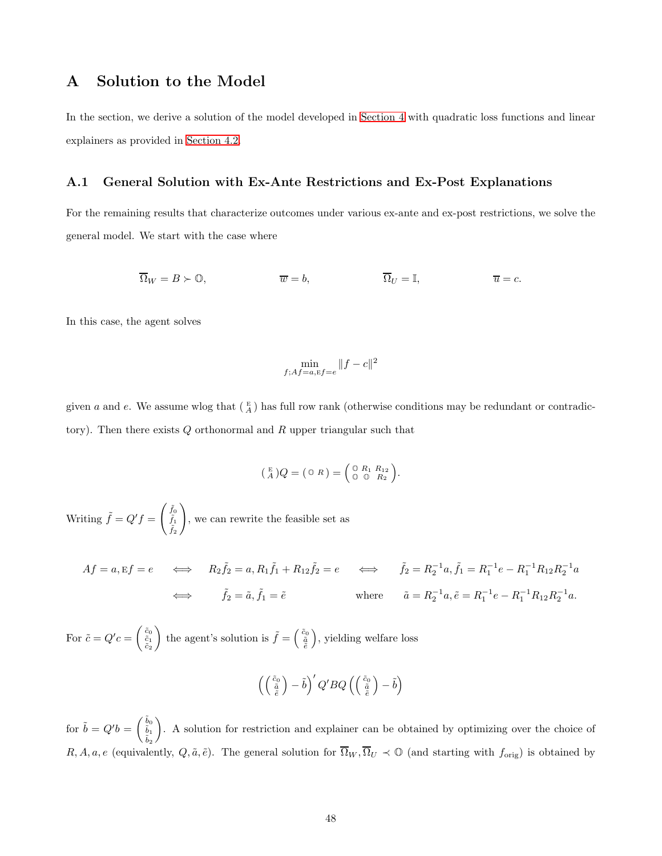## <span id="page-47-0"></span>A Solution to the Model

In the section, we derive a solution of the model developed in [Section](#page-30-0) 4 with quadratic loss functions and linear explainers as provided in [Section 4.2.](#page-32-0)

#### A.1 General Solution with Ex-Ante Restrictions and Ex-Post Explanations

For the remaining results that characterize outcomes under various ex-ante and ex-post restrictions, we solve the general model. We start with the case where

$$
\overline{\Omega}_W = B \succ 0, \qquad \qquad \overline{w} = b, \qquad \overline{\Omega}_U = \mathbb{I}, \qquad \overline{u} = c.
$$

In this case, the agent solves

$$
\min_{f; Af = a, \mathbf{E}f = e} \|f - c\|^2
$$

given a and e. We assume wlog that  $(\frac{E}{A})$  has full row rank (otherwise conditions may be redundant or contradictory). Then there exists  $Q$  orthonormal and  $R$  upper triangular such that

$$
\left(\begin{smallmatrix} E \\ A \end{smallmatrix}\right) Q = \left(\begin{smallmatrix} \mathbb{O} & R \end{smallmatrix}\right) = \left(\begin{smallmatrix} \mathbb{O} & R_1 & R_{12} \\ \mathbb{O} & \mathbb{O} & R_2 \end{smallmatrix}\right).
$$

Writing  $\tilde{f} = Q'f = \begin{pmatrix} \tilde{f}_0 \\ \tilde{f}_1 \end{pmatrix}$  $\tilde{f}_1$  $\tilde{f}_2$  $\setminus$ , we can rewrite the feasible set as

$$
Af = a, Ef = e \iff R_2 \tilde{f}_2 = a, R_1 \tilde{f}_1 + R_{12} \tilde{f}_2 = e \iff \tilde{f}_2 = R_2^{-1} a, \tilde{f}_1 = R_1^{-1} e - R_1^{-1} R_{12} R_2^{-1} a
$$
  

$$
\iff \tilde{f}_2 = \tilde{a}, \tilde{f}_1 = \tilde{e} \qquad \text{where} \qquad \tilde{a} = R_2^{-1} a, \tilde{e} = R_1^{-1} e - R_1^{-1} R_{12} R_2^{-1} a.
$$

For  $\tilde{c} = Q'c = \begin{pmatrix} \tilde{c}_0 \\ \tilde{c}_1 \\ \tilde{c}_2 \end{pmatrix}$ ) the agent's solution is  $\tilde{f} = \begin{pmatrix} \tilde{c}_0 \\ \tilde{a} \\ \tilde{e} \end{pmatrix}$ , yielding welfare loss

$$
\left(\left(\begin{smallmatrix}\tilde{c}_0\\\tilde{a}\\\tilde{e}\end{smallmatrix}\right)-\tilde{b}\right)'Q'BQ\left(\left(\begin{smallmatrix}\tilde{c}_0\\\tilde{a}\\\tilde{e}\end{smallmatrix}\right)-\tilde{b}\right)
$$

for  $\tilde{b} = Q'b = \begin{pmatrix} \tilde{b}_0 \\ \tilde{b}_1 \end{pmatrix}$  $\tilde{b}_2$  . A solution for restriction and explainer can be obtained by optimizing over the choice of  $R, A, a, e$  (equivalently,  $Q, \tilde{a}, \tilde{e}$ ). The general solution for  $\overline{\Omega}_W, \overline{\Omega}_U \prec \mathbb{O}$  (and starting with  $f_{\text{orig}}$ ) is obtained by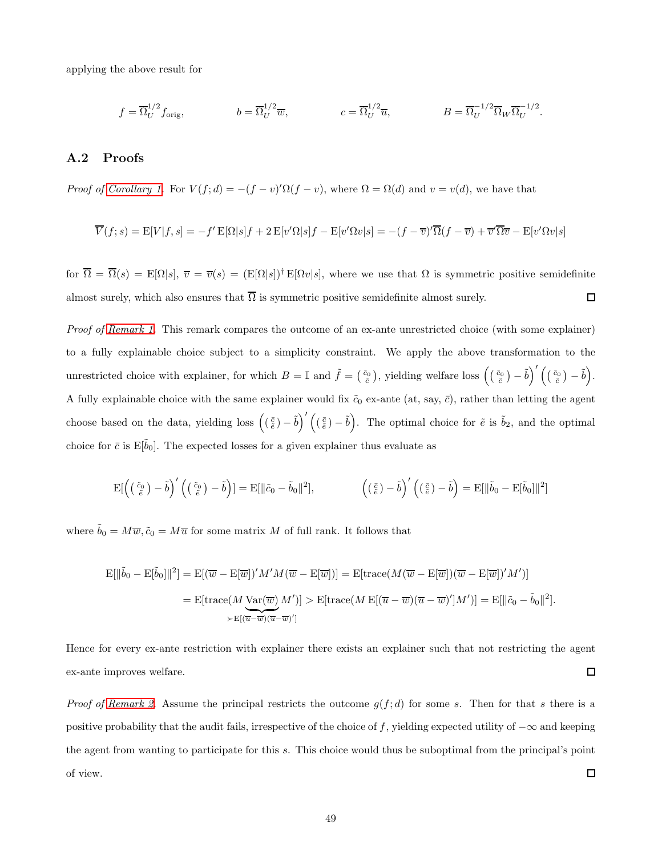applying the above result for

$$
f = \overline{\Omega}_U^{1/2} f_{\text{orig}}, \qquad b = \overline{\Omega}_U^{1/2} \overline{w}, \qquad c = \overline{\Omega}_U^{1/2} \overline{u}, \qquad B = \overline{\Omega}_U^{-1/2} \overline{\Omega}_W \overline{\Omega}_U^{-1/2}.
$$

### A.2 Proofs

Proof of [Corollary 1.](#page-33-0) For  $V(f; d) = -(f - v)'\Omega(f - v)$ , where  $\Omega = \Omega(d)$  and  $v = v(d)$ , we have that

$$
\overline{V}(f;s) = \mathcal{E}[V|f,s] = -f'\mathcal{E}[\Omega|s]f + 2\mathcal{E}[v'\Omega|s]f - \mathcal{E}[v'\Omega v|s] = -(f-\overline{v})'\overline{\Omega}(f-\overline{v}) + \overline{v}'\overline{\Omega}\overline{v} - \mathcal{E}[v'\Omega v|s]
$$

for  $\overline{\Omega} = \overline{\Omega}(s) = E[\Omega|s], \overline{v} = \overline{v}(s) = (E[\Omega|s])^{\dagger} E[\Omega v|s],$  where we use that  $\Omega$  is symmetric positive semidefinite almost surely, which also ensures that  $\overline{\Omega}$  is symmetric positive semidefinite almost surely.  $\Box$ 

Proof of [Remark 1.](#page-34-1) This remark compares the outcome of an ex-ante unrestricted choice (with some explainer) to a fully explainable choice subject to a simplicity constraint. We apply the above transformation to the unrestricted choice with explainer, for which  $B = \mathbb{I}$  and  $\tilde{f} = \begin{pmatrix} \tilde{c}_0 \\ \tilde{e} \end{pmatrix}$ , yielding welfare loss  $\left( \begin{pmatrix} \tilde{c}_0 \\ \tilde{e} \end{pmatrix} - \tilde{b} \right)' \begin{pmatrix} \begin{pmatrix} \tilde{c}_0 \\ \tilde{e} \end{pmatrix} - \tilde{b}$ . A fully explainable choice with the same explainer would fix  $\tilde{c}_0$  ex-ante (at, say,  $\bar{c}$ ), rather than letting the agent choose based on the data, yielding loss  $((\frac{\bar{c}}{\tilde{e}}) - \tilde{b})'((\frac{\bar{c}}{\tilde{e}}) - \tilde{b})$ . The optimal choice for  $\tilde{e}$  is  $\tilde{b}_2$ , and the optimal choice for  $\bar{c}$  is E[ $\tilde{b}_0$ ]. The expected losses for a given explainer thus evaluate as

$$
\mathrm{E}[ \left( \left( \frac{\tilde{c}_0}{\tilde{e}} \right) - \tilde{b} \right)' \left( \left( \frac{\tilde{c}_0}{\tilde{e}} \right) - \tilde{b} \right) ] = \mathrm{E}[ \|\tilde{c}_0 - \tilde{b}_0\|^2], \qquad \qquad \left( \left( \frac{\tilde{c}}{\tilde{e}} \right) - \tilde{b} \right)' \left( \left( \frac{\tilde{c}}{\tilde{e}} \right) - \tilde{b} \right) = \mathrm{E}[ \|\tilde{b}_0 - \mathrm{E}[\tilde{b}_0]\|^2]
$$

where  $b_0 = M\overline{w}, \tilde{c}_0 = M\overline{u}$  for some matrix M of full rank. It follows that

$$
\begin{aligned} \mathbf{E}[\|\tilde{b}_0 - \mathbf{E}[\tilde{b}_0]\|^2] &= \mathbf{E}[(\overline{w} - \mathbf{E}[\overline{w}])'M'M(\overline{w} - \mathbf{E}[\overline{w}])] = \mathbf{E}[\text{trace}(M(\overline{w} - \mathbf{E}[\overline{w}])(\overline{w} - \mathbf{E}[\overline{w}])'M')] \\ &= \mathbf{E}[\text{trace}(M\underline{\mathbf{Var}(\overline{w})}M')] > \mathbf{E}[\text{trace}(M\,\mathbf{E}[(\overline{u} - \overline{w})(\overline{u} - \overline{w})']M')] = \mathbf{E}[\|\tilde{c}_0 - \tilde{b}_0\|^2]. \end{aligned}
$$

Hence for every ex-ante restriction with explainer there exists an explainer such that not restricting the agent ex-ante improves welfare.  $\Box$ 

*Proof of [Remark 2.](#page-35-0)* Assume the principal restricts the outcome  $g(f; d)$  for some s. Then for that s there is a positive probability that the audit fails, irrespective of the choice of f, yielding expected utility of  $-\infty$  and keeping the agent from wanting to participate for this s. This choice would thus be suboptimal from the principal's point of view.  $\Box$